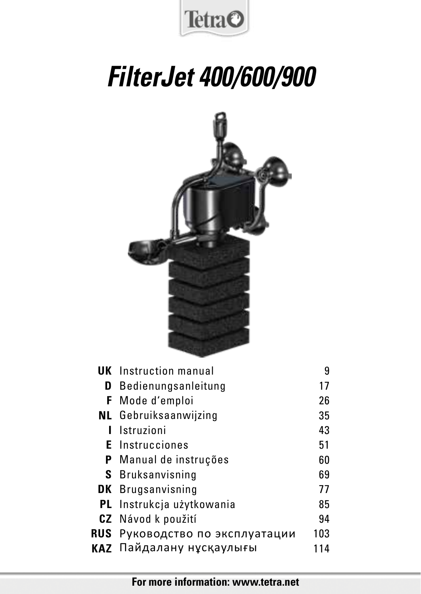

# *FilterJet 400/600/900*



| <b>UK</b> Instruction manual     | 9   |
|----------------------------------|-----|
| <b>D</b> Bedienungsanleitung     | 17  |
| <b>F</b> Mode d'emploi           | 26  |
| <b>NL</b> Gebruiksaanwijzing     | 35  |
| Istruzioni                       | 43  |
| <b>E</b> Instrucciones           | 51  |
| <b>P</b> Manual de instruções    | 60  |
| <b>S</b> Bruksanvisning          | 69  |
| <b>DK</b> Brugsanvisning         | 77  |
| <b>PL</b> Instrukcja użytkowania | 85  |
| <b>CZ</b> Návod k použití        | 94  |
| RUS Руководство по эксплуатации  | 103 |
| <b>КАZ</b> Пайдалану нусқаулығы  | 114 |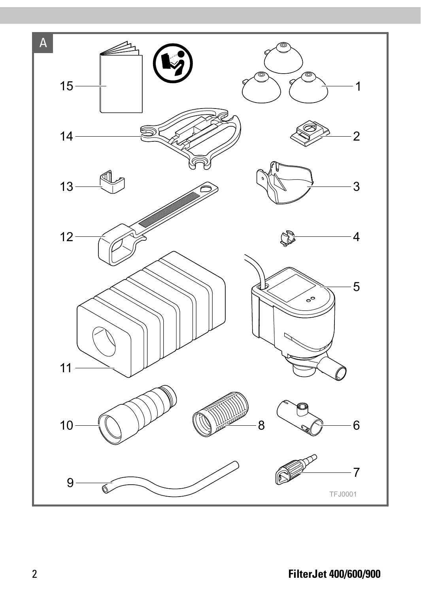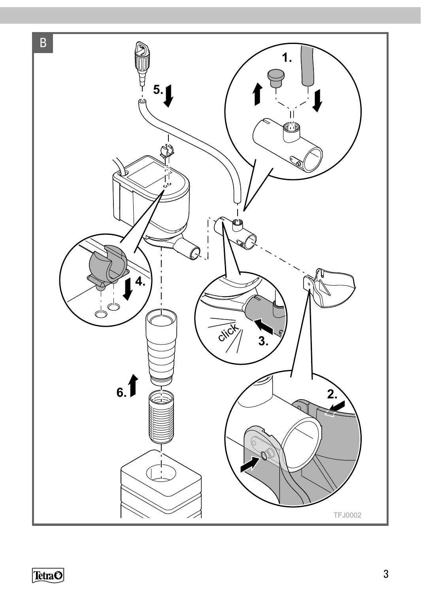

**TetraO**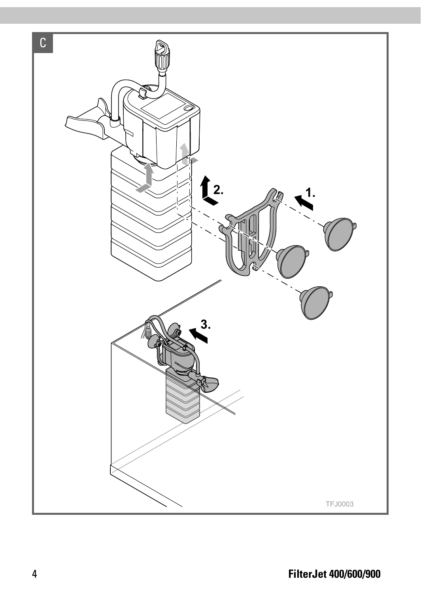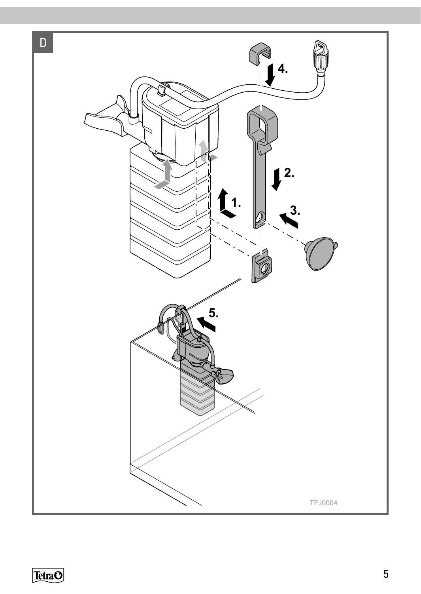

**TetraO**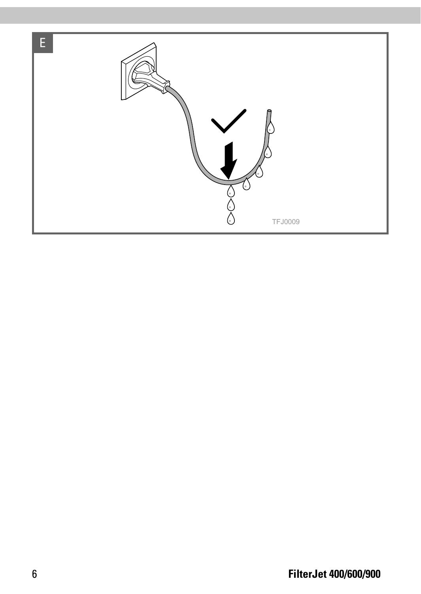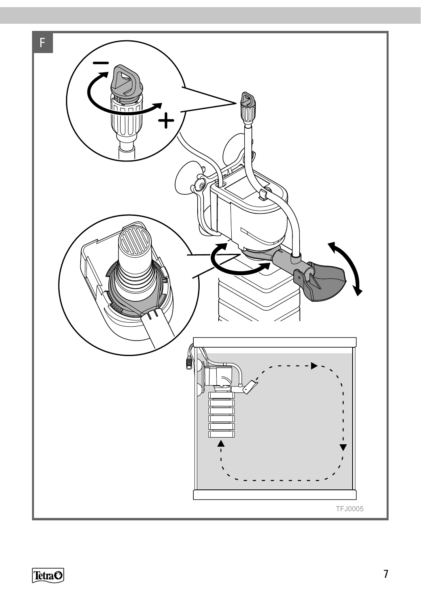

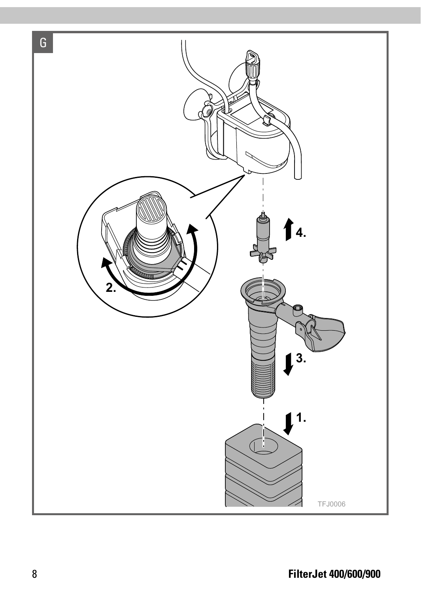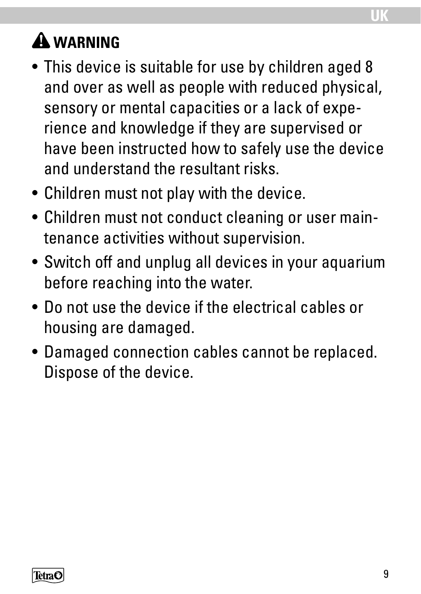# **WARNING**

- This device is suitable for use by children aged 8 and over as well as people with reduced physical, sensory or mental capacities or a lack of experience and knowledge if they are supervised or have been instructed how to safely use the device and understand the resultant risks.
- Children must not play with the device.
- Children must not conduct cleaning or user maintenance activities without supervision.
- Switch off and unplug all devices in your aquarium before reaching into the water.
- Do not use the device if the electrical cables or housing are damaged.
- Damaged connection cables cannot be replaced. Dispose of the device.

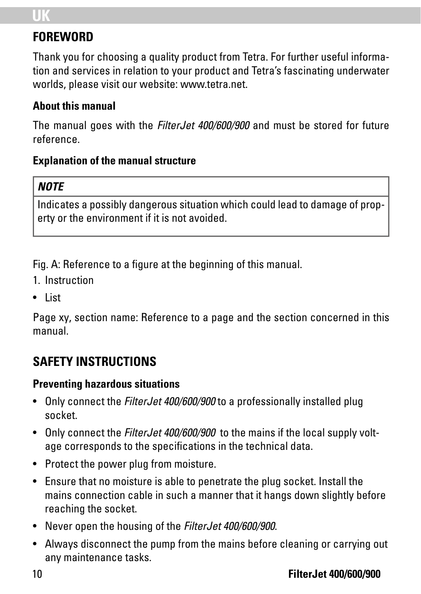# **UK**

### **FOREWORD**

Thank you for choosing a quality product from Tetra. For further useful information and services in relation to your product and Tetra's fascinating underwater worlds, please visit our website: www.tetra.net.

#### **About this manual**

The manual goes with the *FilterJet 400/600/900* and must be stored for future reference.

#### **Explanation of the manual structure**

#### *NOTE*

Indicates a possibly dangerous situation which could lead to damage of property or the environment if it is not avoided.

Fig. A: Reference to a figure at the beginning of this manual.

- 1. Instruction
- List

Page xy, section name: Reference to a page and the section concerned in this manual.

## **SAFETY INSTRUCTIONS**

#### **Preventing hazardous situations**

- Only connect the *FilterJet 400/600/900* to a professionally installed plug socket.
- Only connect the *FilterJet 400/600/900* to the mains if the local supply voltage corresponds to the specifications in the technical data.
- Protect the power plug from moisture.
- Ensure that no moisture is able to penetrate the plug socket. Install the mains connection cable in such a manner that it hangs down slightly before reaching the socket.
- Never open the housing of the *FilterJet 400/600/900*.
- Always disconnect the pump from the mains before cleaning or carrying out any maintenance tasks.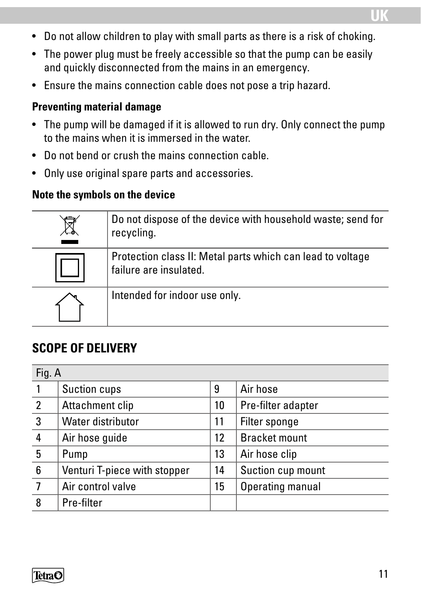- Do not allow children to play with small parts as there is a risk of choking.
- The power plug must be freely accessible so that the pump can be easily and quickly disconnected from the mains in an emergency.
- Ensure the mains connection cable does not pose a trip hazard.

#### **Preventing material damage**

- The pump will be damaged if it is allowed to run dry. Only connect the pump to the mains when it is immersed in the water.
- Do not bend or crush the mains connection cable.
- Only use original spare parts and accessories.

#### **Note the symbols on the device**

| Do not dispose of the device with household waste; send for<br>recycling.            |
|--------------------------------------------------------------------------------------|
| Protection class II: Metal parts which can lead to voltage<br>failure are insulated. |
| Intended for indoor use only.                                                        |

### **SCOPE OF DELIVERY**

| Fig. A         |                              |    |                    |  |
|----------------|------------------------------|----|--------------------|--|
|                | Suction cups                 | 9  | Air hose           |  |
| $\overline{2}$ | Attachment clip              | 10 | Pre-filter adapter |  |
| 3              | Water distributor            | 11 | Filter sponge      |  |
| 4              | Air hose quide               | 12 | Bracket mount      |  |
| 5              | Pump                         | 13 | Air hose clip      |  |
| 6              | Venturi T-piece with stopper | 14 | Suction cup mount  |  |
|                | Air control valve            | 15 | Operating manual   |  |
| 8              | Pre-filter                   |    |                    |  |



**UK**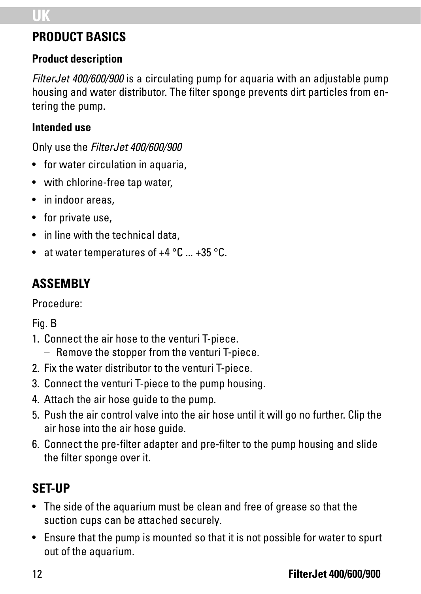### **PRODUCT BASICS**

#### **Product description**

*FilterJet 400/600/900* is a circulating pump for aquaria with an adjustable pump housing and water distributor. The filter sponge prevents dirt particles from entering the pump.

#### **Intended use**

Only use the *FilterJet 400/600/900*

- for water circulation in aquaria,
- with chlorine-free tap water,
- in indoor areas.
- for private use,
- in line with the technical data,
- at water temperatures of  $+4$  °C  $...$   $+35$  °C.

# **ASSEMBLY**

Procedure:

Fig. B

- 1. Connect the air hose to the venturi T-piece.
	- Remove the stopper from the venturi T-piece.
- 2. Fix the water distributor to the venturi T-piece.
- 3. Connect the venturi T-piece to the pump housing.
- 4. Attach the air hose guide to the pump.
- 5. Push the air control valve into the air hose until it will go no further. Clip the air hose into the air hose guide.
- 6. Connect the pre-filter adapter and pre-filter to the pump housing and slide the filter sponge over it.

# **SET-UP**

- The side of the aquarium must be clean and free of grease so that the suction cups can be attached securely.
- Ensure that the pump is mounted so that it is not possible for water to spurt out of the aquarium.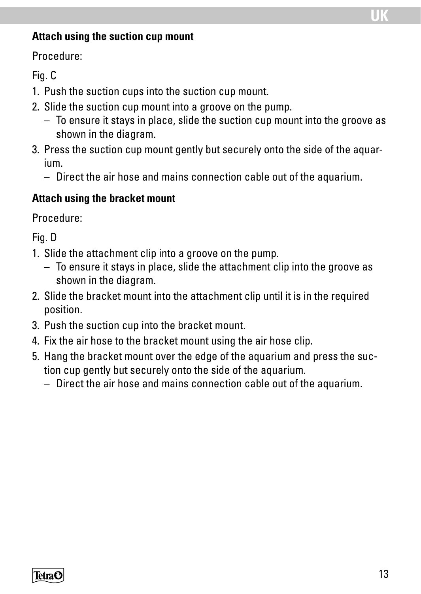#### **Attach using the suction cup mount**

Procedure:

Fig. C

- 1. Push the suction cups into the suction cup mount.
- 2. Slide the suction cup mount into a groove on the pump.
	- To ensure it stays in place, slide the suction cup mount into the groove as shown in the diagram.
- 3. Press the suction cup mount gently but securely onto the side of the aquarium.
	- Direct the air hose and mains connection cable out of the aquarium.

#### **Attach using the bracket mount**

Procedure:

Fig. D

- 1. Slide the attachment clip into a groove on the pump.
	- To ensure it stays in place, slide the attachment clip into the groove as shown in the diagram.
- 2. Slide the bracket mount into the attachment clip until it is in the required position.
- 3. Push the suction cup into the bracket mount.
- 4. Fix the air hose to the bracket mount using the air hose clip.
- 5. Hang the bracket mount over the edge of the aquarium and press the suction cup gently but securely onto the side of the aquarium.
	- Direct the air hose and mains connection cable out of the aquarium.

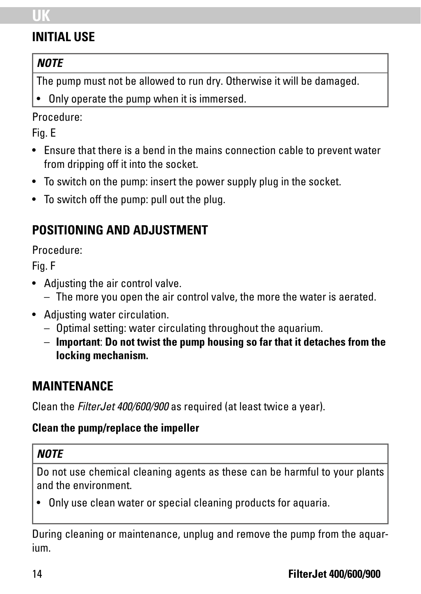# **UK**

### **INITIAL USE**

#### *NOTE*

The pump must not be allowed to run dry. Otherwise it will be damaged.

• Only operate the pump when it is immersed.

#### Procedure:

Fig. E

- Ensure that there is a bend in the mains connection cable to prevent water from dripping off it into the socket.
- To switch on the pump: insert the power supply plug in the socket.
- To switch off the pump: pull out the plug.

### **POSITIONING AND ADJUSTMENT**

Procedure:

Fig. F

- Adjusting the air control valve.
	- The more you open the air control valve, the more the water is aerated.
- Adjusting water circulation.
	- Optimal setting: water circulating throughout the aquarium.
	- **Important**: **Do not twist the pump housing so far that it detaches from the locking mechanism.**

### **MAINTENANCE**

Clean the *FilterJet 400/600/900* as required (at least twice a year).

#### **Clean the pump/replace the impeller**

#### *NOTE*

Do not use chemical cleaning agents as these can be harmful to your plants and the environment.

• Only use clean water or special cleaning products for aquaria.

During cleaning or maintenance, unplug and remove the pump from the aquarium.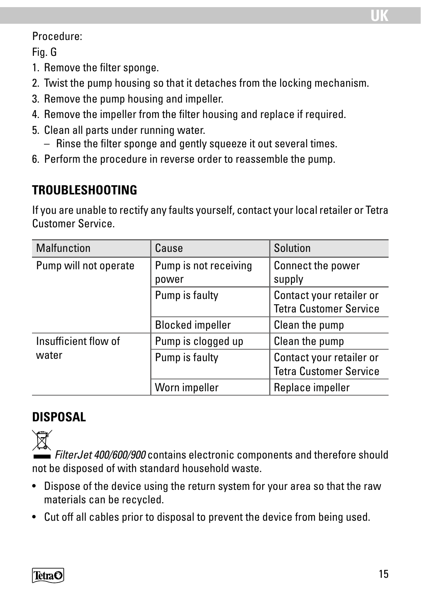#### Procedure:

Fig. G

- 1. Remove the filter sponge.
- 2. Twist the pump housing so that it detaches from the locking mechanism.
- 3. Remove the pump housing and impeller.
- 4. Remove the impeller from the filter housing and replace if required.
- 5. Clean all parts under running water.
	- Rinse the filter sponge and gently squeeze it out several times.
- 6. Perform the procedure in reverse order to reassemble the pump.

### **TROUBLESHOOTING**

If you are unable to rectify any faults yourself, contact your local retailer or Tetra Customer Service.

| <b>Malfunction</b>    | Cause                          | Solution                                                  |
|-----------------------|--------------------------------|-----------------------------------------------------------|
| Pump will not operate | Pump is not receiving<br>power | Connect the power<br>supply                               |
|                       | Pump is faulty                 | Contact your retailer or<br><b>Tetra Customer Service</b> |
|                       | <b>Blocked impeller</b>        | Clean the pump                                            |
| Insufficient flow of  | Pump is clogged up             | Clean the pump                                            |
| water                 | Pump is faulty                 | Contact your retailer or<br><b>Tetra Customer Service</b> |
|                       | Worn impeller                  | Replace impeller                                          |

### **DISPOSAL**



*FilterJet 400/600/900* contains electronic components and therefore should not be disposed of with standard household waste.

- Dispose of the device using the return system for your area so that the raw materials can be recycled.
- Cut off all cables prior to disposal to prevent the device from being used.

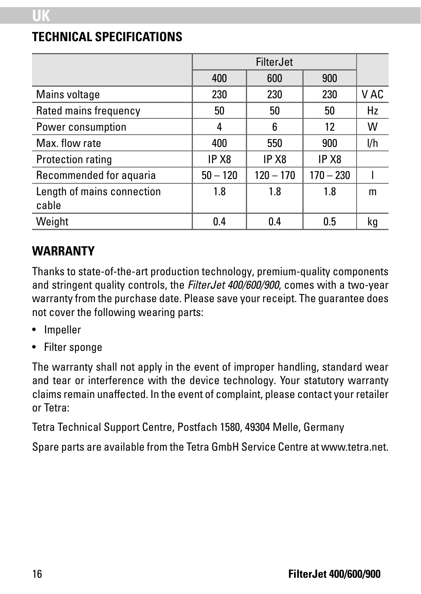#### **TECHNICAL SPECIFICATIONS**

|                                     |                   | <b>FilterJet</b>  |             |      |
|-------------------------------------|-------------------|-------------------|-------------|------|
|                                     | 400               | 600               | 900         |      |
| Mains voltage                       | 230               | 230               | 230         | V AC |
| Rated mains frequency               | 50                | 50                | 50          | Hz   |
| Power consumption                   | 4                 | 6                 | 12          | W    |
| Max. flow rate                      | 400               | 550               | 900         | I/h  |
| Protection rating                   | IP X <sub>8</sub> | IP X <sub>8</sub> | IP X8       |      |
| Recommended for aquaria             | $50 - 120$        | $120 - 170$       | $170 - 230$ |      |
| Length of mains connection<br>cable | 1.8               | 1.8               | 1.8         | m    |
| Weight                              | 0.4               | 0.4               | 0.5         | kq   |

## **WARRANTY**

Thanks to state-of-the-art production technology, premium-quality components and stringent quality controls, the *FilterJet 400/600/900*, comes with a two-year warranty from the purchase date. Please save your receipt. The guarantee does not cover the following wearing parts:

- Impeller
- Filter sponge

The warranty shall not apply in the event of improper handling, standard wear and tear or interference with the device technology. Your statutory warranty claims remain unaffected. In the event of complaint, please contact your retailer or Tetra:

Tetra Technical Support Centre, Postfach 1580, 49304 Melle, Germany

Spare parts are available from the Tetra GmbH Service Centre at www.tetra.net.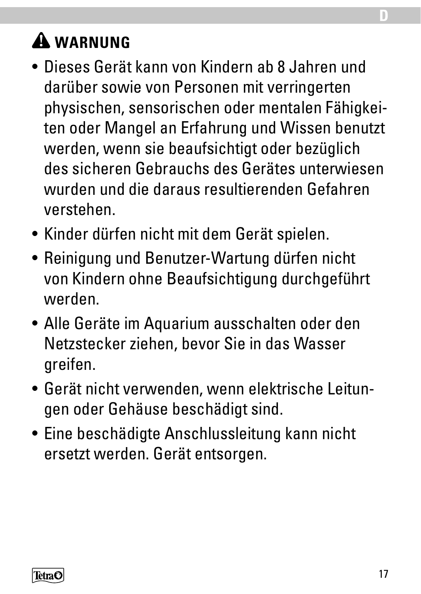# **WARNUNG**

- Dieses Gerät kann von Kindern ab 8 Jahren und darüber sowie von Personen mit verringerten physischen, sensorischen oder mentalen Fähigkeiten oder Mangel an Erfahrung und Wissen benutzt werden, wenn sie beaufsichtigt oder bezüglich des sicheren Gebrauchs des Gerätes unterwiesen wurden und die daraus resultierenden Gefahren verstehen.
- Kinder dürfen nicht mit dem Gerät spielen.
- Reinigung und Benutzer-Wartung dürfen nicht von Kindern ohne Beaufsichtigung durchgeführt werden.
- Alle Geräte im Aquarium ausschalten oder den Netzstecker ziehen, bevor Sie in das Wasser greifen.
- Gerät nicht verwenden, wenn elektrische Leitungen oder Gehäuse beschädigt sind.
- Eine beschädigte Anschlussleitung kann nicht ersetzt werden. Gerät entsorgen.



**D**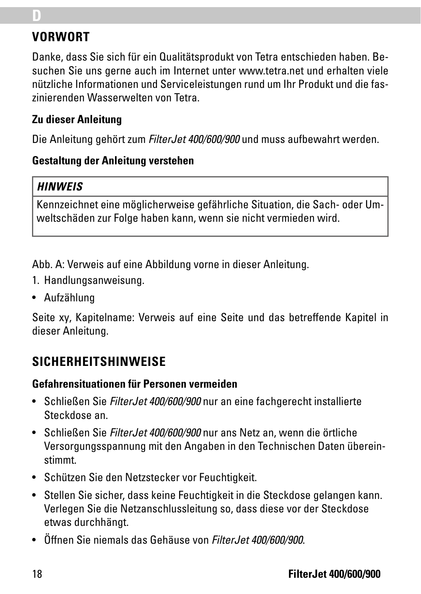## **VORWORT**

**D**

Danke, dass Sie sich für ein Qualitätsprodukt von Tetra entschieden haben. Besuchen Sie uns gerne auch im Internet unter www.tetra.net und erhalten viele nützliche Informationen und Serviceleistungen rund um Ihr Produkt und die faszinierenden Wasserwelten von Tetra.

#### **Zu dieser Anleitung**

Die Anleitung gehört zum *FilterJet 400/600/900* und muss aufbewahrt werden.

#### **Gestaltung der Anleitung verstehen**

#### *HINWEIS*

Kennzeichnet eine möglicherweise gefährliche Situation, die Sach- oder Umweltschäden zur Folge haben kann, wenn sie nicht vermieden wird.

Abb. A: Verweis auf eine Abbildung vorne in dieser Anleitung.

- 1. Handlungsanweisung.
- Aufzählung

Seite xy, Kapitelname: Verweis auf eine Seite und das betreffende Kapitel in dieser Anleitung.

### **SICHERHEITSHINWEISE**

#### **Gefahrensituationen für Personen vermeiden**

- Schließen Sie *FilterJet 400/600/900* nur an eine fachgerecht installierte Steckdose an.
- Schließen Sie *FilterJet 400/600/900* nur ans Netz an, wenn die örtliche Versorgungsspannung mit den Angaben in den Technischen Daten übereinstimmt.
- Schützen Sie den Netzstecker vor Feuchtigkeit.
- Stellen Sie sicher, dass keine Feuchtigkeit in die Steckdose gelangen kann. Verlegen Sie die Netzanschlussleitung so, dass diese vor der Steckdose etwas durchhängt.
- Öffnen Sie niemals das Gehäuse von *FilterJet 400/600/900*.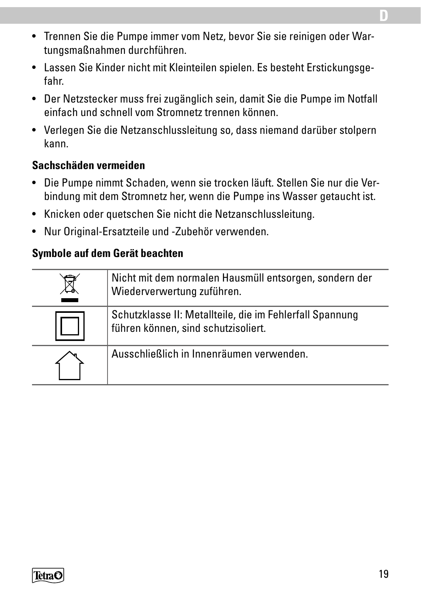- Trennen Sie die Pumpe immer vom Netz, bevor Sie sie reinigen oder Wartungsmaßnahmen durchführen.
- Lassen Sie Kinder nicht mit Kleinteilen spielen. Es besteht Erstickungsgefahr.
- Der Netzstecker muss frei zugänglich sein, damit Sie die Pumpe im Notfall einfach und schnell vom Stromnetz trennen können.
- Verlegen Sie die Netzanschlussleitung so, dass niemand darüber stolpern kann.

#### **Sachschäden vermeiden**

- Die Pumpe nimmt Schaden, wenn sie trocken läuft. Stellen Sie nur die Verbindung mit dem Stromnetz her, wenn die Pumpe ins Wasser getaucht ist.
- Knicken oder quetschen Sie nicht die Netzanschlussleitung.
- Nur Original-Ersatzteile und -Zubehör verwenden.

#### **Symbole auf dem Gerät beachten**



**D**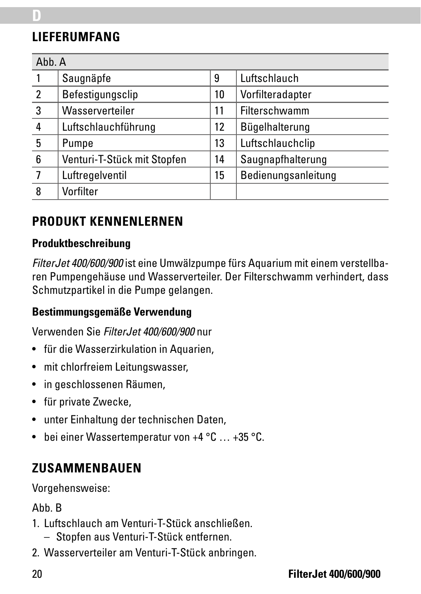## **LIEFERUMFANG**

**D**

| Abb. A |                             |    |                     |  |
|--------|-----------------------------|----|---------------------|--|
|        | Saugnäpfe                   | 9  | Luftschlauch        |  |
| 2      | Befestigungsclip            | 10 | Vorfilteradapter    |  |
| 3      | Wasserverteiler             | 11 | Filterschwamm       |  |
| 4      | Luftschlauchführung         | 12 | Bügelhalterung      |  |
| 5      | Pumpe                       | 13 | Luftschlauchclip    |  |
| 6      | Venturi-T-Stück mit Stopfen | 14 | Saugnapfhalterung   |  |
|        | Luftregelventil             | 15 | Bedienungsanleitung |  |
| 8      | Vorfilter                   |    |                     |  |

### **PRODUKT KENNENLERNEN**

#### **Produktbeschreibung**

*FilterJet 400/600/900* ist eine Umwälzpumpe fürs Aquarium mit einem verstellbaren Pumpengehäuse und Wasserverteiler. Der Filterschwamm verhindert, dass Schmutzpartikel in die Pumpe gelangen.

#### **Bestimmungsgemäße Verwendung**

Verwenden Sie *FilterJet 400/600/900* nur

- für die Wasserzirkulation in Aquarien,
- mit chlorfreiem Leitungswasser,
- in geschlossenen Räumen,
- für private Zwecke,
- unter Einhaltung der technischen Daten,
- bei einer Wassertemperatur von +4 °C … +35 °C.

### **ZUSAMMENBAUEN**

Vorgehensweise:

Abb. B

- 1. Luftschlauch am Venturi-T-Stück anschließen.
	- Stopfen aus Venturi-T-Stück entfernen.
- 2. Wasserverteiler am Venturi-T-Stück anbringen.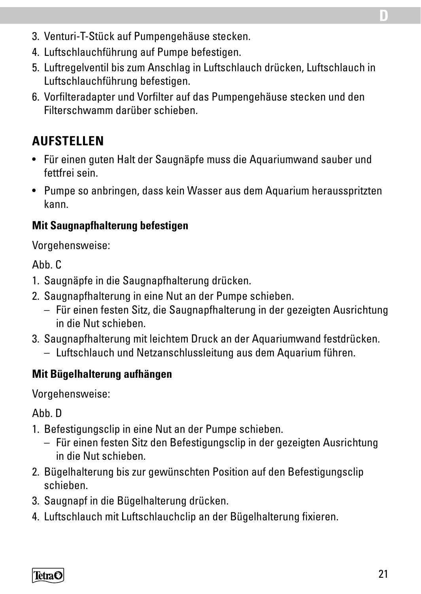- 3. Venturi-T-Stück auf Pumpengehäuse stecken.
- 4. Luftschlauchführung auf Pumpe befestigen.
- 5. Luftregelventil bis zum Anschlag in Luftschlauch drücken, Luftschlauch in Luftschlauchführung befestigen.
- 6. Vorfilteradapter und Vorfilter auf das Pumpengehäuse stecken und den Filterschwamm darüber schieben.

## **AUFSTELLEN**

- Für einen guten Halt der Saugnäpfe muss die Aquariumwand sauber und fettfrei sein.
- Pumpe so anbringen, dass kein Wasser aus dem Aquarium herausspritzten kann.

#### **Mit Saugnapfhalterung befestigen**

Vorgehensweise:

 $A$ <sub>hh</sub> $C$ 

- 1. Saugnäpfe in die Saugnapfhalterung drücken.
- 2. Saugnapfhalterung in eine Nut an der Pumpe schieben.
	- Für einen festen Sitz, die Saugnapfhalterung in der gezeigten Ausrichtung in die Nut schieben.
- 3. Saugnapfhalterung mit leichtem Druck an der Aquariumwand festdrücken.
	- Luftschlauch und Netzanschlussleitung aus dem Aquarium führen.

#### **Mit Bügelhalterung aufhängen**

Vorgehensweise:

Ahh D

- 1. Befestigungsclip in eine Nut an der Pumpe schieben.
	- Für einen festen Sitz den Befestigungsclip in der gezeigten Ausrichtung in die Nut schieben.
- 2. Bügelhalterung bis zur gewünschten Position auf den Befestigungsclip schieben.
- 3. Saugnapf in die Bügelhalterung drücken.
- 4. Luftschlauch mit Luftschlauchclip an der Bügelhalterung fixieren.

TetraC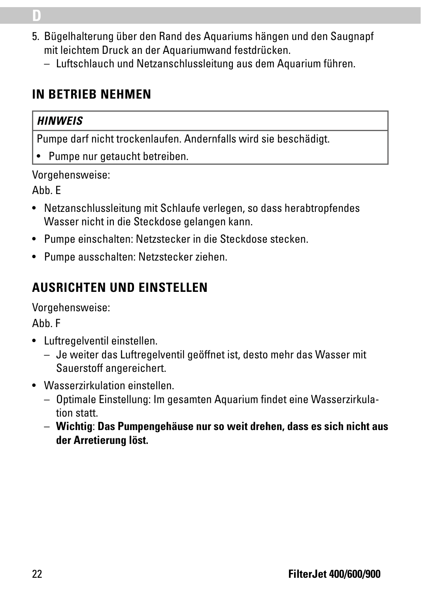- 5. Bügelhalterung über den Rand des Aquariums hängen und den Saugnapf mit leichtem Druck an der Aquariumwand festdrücken.
	- Luftschlauch und Netzanschlussleitung aus dem Aquarium führen.

### **IN BETRIEB NEHMEN**

#### *HINWEIS*

**D**

Pumpe darf nicht trockenlaufen. Andernfalls wird sie beschädigt.

• Pumpe nur getaucht betreiben.

Vorgehensweise:

Abb. E

- Netzanschlussleitung mit Schlaufe verlegen, so dass herabtropfendes Wasser nicht in die Steckdose gelangen kann.
- Pumpe einschalten: Netzstecker in die Steckdose stecken.
- Pumpe ausschalten: Netzstecker ziehen.

# **AUSRICHTEN UND EINSTELLEN**

Vorgehensweise:

Abb. F

- Luftregelventil einstellen.
	- Je weiter das Luftregelventil geöffnet ist, desto mehr das Wasser mit Sauerstoff angereichert.
- Wasserzirkulation einstellen.
	- Optimale Einstellung: Im gesamten Aquarium findet eine Wasserzirkulation statt.
	- **Wichtig**: **Das Pumpengehäuse nur so weit drehen, dass es sich nicht aus der Arretierung löst.**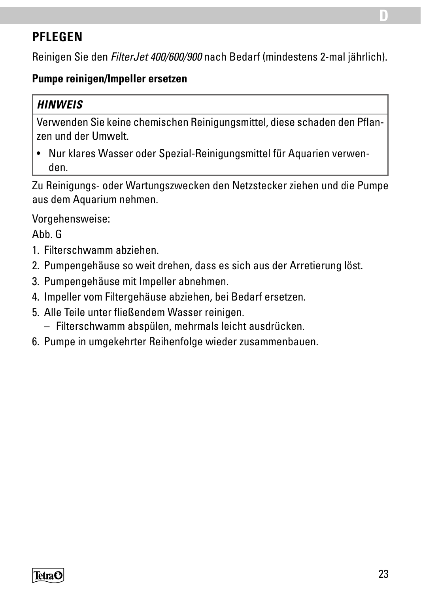### **PFLEGEN**

Reinigen Sie den *FilterJet 400/600/900* nach Bedarf (mindestens 2-mal jährlich).

#### **Pumpe reinigen/Impeller ersetzen**

#### *HINWEIS*

Verwenden Sie keine chemischen Reinigungsmittel, diese schaden den Pflanzen und der Umwelt.

• Nur klares Wasser oder Spezial-Reinigungsmittel für Aquarien verwenden.

Zu Reinigungs- oder Wartungszwecken den Netzstecker ziehen und die Pumpe aus dem Aquarium nehmen.

Vorgehensweise:

Abb. G

- 1. Filterschwamm abziehen.
- 2. Pumpengehäuse so weit drehen, dass es sich aus der Arretierung löst.
- 3. Pumpengehäuse mit Impeller abnehmen.
- 4. Impeller vom Filtergehäuse abziehen, bei Bedarf ersetzen.
- 5. Alle Teile unter fließendem Wasser reinigen.
	- Filterschwamm abspülen, mehrmals leicht ausdrücken.
- 6. Pumpe in umgekehrter Reihenfolge wieder zusammenbauen.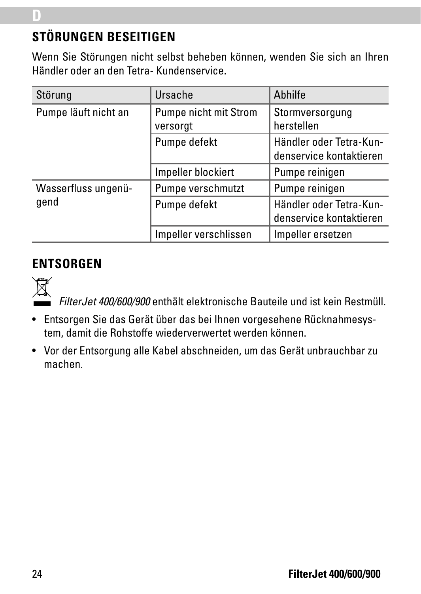# **STÖRUNGEN BESEITIGEN**

Wenn Sie Störungen nicht selbst beheben können, wenden Sie sich an Ihren Händler oder an den Tetra- Kundenservice.

| Störung              | Ursache                           | Abhilfe                                            |
|----------------------|-----------------------------------|----------------------------------------------------|
| Pumpe läuft nicht an | Pumpe nicht mit Strom<br>versorgt | Stormversorgung<br>herstellen                      |
|                      | Pumpe defekt                      | Händler oder Tetra-Kun-<br>denservice kontaktieren |
|                      | Impeller blockiert                | Pumpe reinigen                                     |
| Wasserfluss ungenü-  | Pumpe verschmutzt                 | Pumpe reinigen                                     |
| qend                 | Pumpe defekt                      | Händler oder Tetra-Kun-<br>denservice kontaktieren |
|                      | Impeller verschlissen             | Impeller ersetzen                                  |

#### **ENTSORGEN**



**D**

*FilterJet 400/600/900* enthält elektronische Bauteile und ist kein Restmüll.

- Entsorgen Sie das Gerät über das bei Ihnen vorgesehene Rücknahmesystem, damit die Rohstoffe wiederverwertet werden können.
- Vor der Entsorgung alle Kabel abschneiden, um das Gerät unbrauchbar zu machen.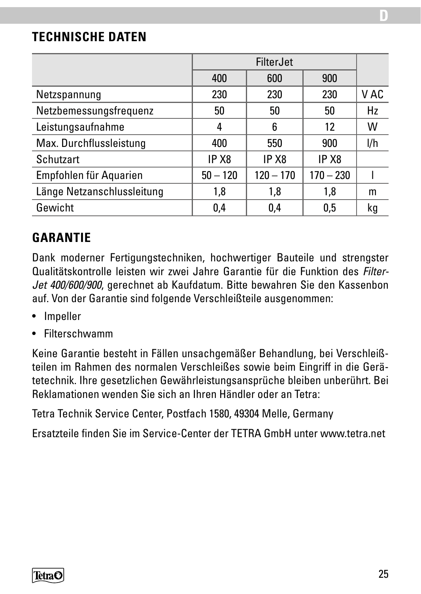### **TECHNISCHE DATEN**

|                            |                   | FilterJet         |                   |      |
|----------------------------|-------------------|-------------------|-------------------|------|
|                            | 400               | 600               | 900               |      |
| Netzspannung               | 230               | 230               | 230               | V AC |
| Netzbemessungsfrequenz     | 50                | 50                | 50                | Hz   |
| Leistungsaufnahme          |                   | 6                 | 12                | W    |
| Max. Durchflussleistung    | 400               | 550               | 900               | l/h  |
| Schutzart                  | IP X <sub>8</sub> | IP X <sub>8</sub> | IP X <sub>8</sub> |      |
| Empfohlen für Aquarien     | $50 - 120$        | $120 - 170$       | $170 - 230$       |      |
| Länge Netzanschlussleitung | 1,8               | 1,8               | 1.8               | m    |
| Gewicht                    | 0,4               | 0,4               | 0.5               | kg   |

### **GARANTIE**

Dank moderner Fertigungstechniken, hochwertiger Bauteile und strengster Qualitätskontrolle leisten wir zwei Jahre Garantie für die Funktion des *Filter-Jet 400/600/900*, gerechnet ab Kaufdatum. Bitte bewahren Sie den Kassenbon auf. Von der Garantie sind folgende Verschleißteile ausgenommen:

- Impeller
- Filterschwamm

Keine Garantie besteht in Fällen unsachgemäßer Behandlung, bei Verschleißteilen im Rahmen des normalen Verschleißes sowie beim Eingriff in die Gerätetechnik. Ihre gesetzlichen Gewährleistungsansprüche bleiben unberührt. Bei Reklamationen wenden Sie sich an Ihren Händler oder an Tetra:

Tetra Technik Service Center, Postfach 1580, 49304 Melle, Germany

Ersatzteile finden Sie im Service-Center der TETRA GmbH unter www.tetra.net

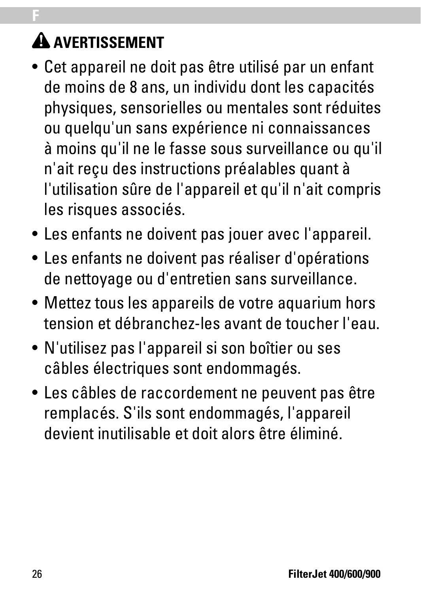# **A AVERTISSEMENT**

**F**

- Cet appareil ne doit pas être utilisé par un enfant de moins de 8 ans, un individu dont les capacités physiques, sensorielles ou mentales sont réduites ou quelqu'un sans expérience ni connaissances à moins qu'il ne le fasse sous surveillance ou qu'il n'ait reçu des instructions préalables quant à l'utilisation sûre de l'appareil et qu'il n'ait compris les risques associés.
- Les enfants ne doivent pas jouer avec l'appareil.
- Les enfants ne doivent pas réaliser d'opérations de nettoyage ou d'entretien sans surveillance.
- Mettez tous les appareils de votre aquarium hors tension et débranchez-les avant de toucher l'eau.
- N'utilisez pas l'appareil si son boîtier ou ses câbles électriques sont endommagés.
- Les câbles de raccordement ne peuvent pas être remplacés. S'ils sont endommagés, l'appareil devient inutilisable et doit alors être éliminé.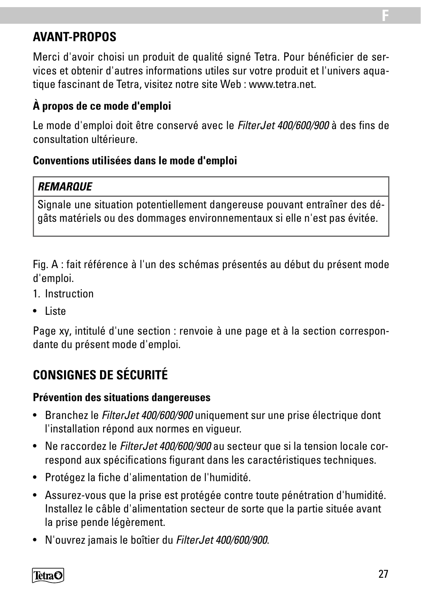### **AVANT-PROPOS**

Merci d'avoir choisi un produit de qualité signé Tetra. Pour bénéficier de services et obtenir d'autres informations utiles sur votre produit et l'univers aquatique fascinant de Tetra, visitez notre site Web : www.tetra.net.

#### **À propos de ce mode d'emploi**

Le mode d'emploi doit être conservé avec le *FilterJet 400/600/900* à des fins de consultation ultérieure.

#### **Conventions utilisées dans le mode d'emploi**

#### *REMARQUE*

Signale une situation potentiellement dangereuse pouvant entraîner des dégâts matériels ou des dommages environnementaux si elle n'est pas évitée.

Fig. A : fait référence à l'un des schémas présentés au début du présent mode d'emploi.

- 1. Instruction
- Liste

Page xy, intitulé d'une section : renvoie à une page et à la section correspondante du présent mode d'emploi.

# **CONSIGNES DE SÉCURITÉ**

#### **Prévention des situations dangereuses**

- Branchez le *FilterJet 400/600/900* uniquement sur une prise électrique dont l'installation répond aux normes en vigueur.
- Ne raccordez le *FilterJet 400/600/900* au secteur que si la tension locale correspond aux spécifications figurant dans les caractéristiques techniques.
- Protégez la fiche d'alimentation de l'humidité.
- Assurez-vous que la prise est protégée contre toute pénétration d'humidité. Installez le câble d'alimentation secteur de sorte que la partie située avant la prise pende légèrement.
- N'ouvrez jamais le boîtier du *FilterJet 400/600/900*.

TetraC

**F**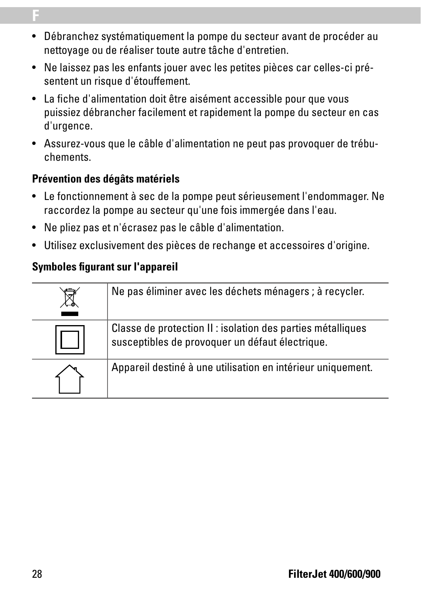- Débranchez systématiquement la pompe du secteur avant de procéder au nettoyage ou de réaliser toute autre tâche d'entretien.
- Ne laissez pas les enfants jouer avec les petites pièces car celles-ci présentent un risque d'étouffement.
- La fiche d'alimentation doit être aisément accessible pour que vous puissiez débrancher facilement et rapidement la pompe du secteur en cas d'urgence.
- Assurez-vous que le câble d'alimentation ne peut pas provoquer de trébuchements.

#### **Prévention des dégâts matériels**

**F**

- Le fonctionnement à sec de la pompe peut sérieusement l'endommager. Ne raccordez la pompe au secteur qu'une fois immergée dans l'eau.
- Ne pliez pas et n'écrasez pas le câble d'alimentation.
- Utilisez exclusivement des pièces de rechange et accessoires d'origine.

#### **Symboles figurant sur l'appareil**

| Ne pas éliminer avec les déchets ménagers ; à recycler.                                                        |
|----------------------------------------------------------------------------------------------------------------|
| Classe de protection II : isolation des parties métalliques<br>susceptibles de provoquer un défaut électrique. |
| Appareil destiné à une utilisation en intérieur uniquement.                                                    |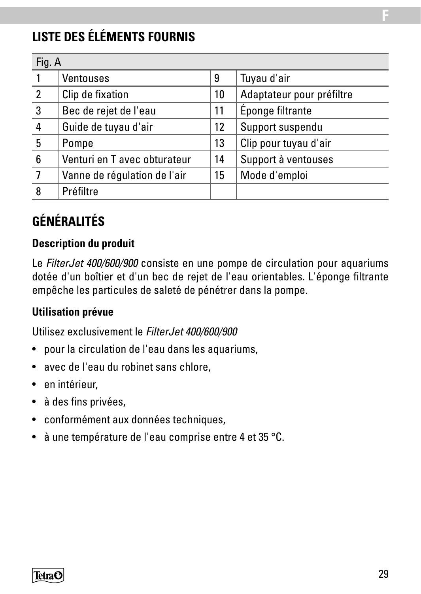# **LISTE DES ÉLÉMENTS FOURNIS**

| Fig. A         |                              |    |                           |
|----------------|------------------------------|----|---------------------------|
|                | Ventouses                    | 9  | Tuyau d'air               |
| $\mathfrak{p}$ | Clip de fixation             | 10 | Adaptateur pour préfiltre |
| 3              | Bec de rejet de l'eau        | 11 | Éponge filtrante          |
| 4              | Guide de tuyau d'air         | 12 | Support suspendu          |
| 5              | Pompe                        | 13 | Clip pour tuyau d'air     |
| 6              | Venturi en T avec obturateur | 14 | Support à ventouses       |
|                | Vanne de régulation de l'air | 15 | Mode d'emploi             |
| 8              | Préfiltre                    |    |                           |

# **GÉNÉRALITÉS**

#### **Description du produit**

Le *FilterJet 400/600/900* consiste en une pompe de circulation pour aquariums dotée d'un boîtier et d'un bec de rejet de l'eau orientables. L'éponge filtrante empêche les particules de saleté de pénétrer dans la pompe.

#### **Utilisation prévue**

Utilisez exclusivement le *FilterJet 400/600/900*

- pour la circulation de l'eau dans les aquariums,
- avec de l'eau du robinet sans chlore,
- en intérieur,
- à des fins privées,
- conformément aux données techniques,
- à une température de l'eau comprise entre 4 et 35 °C.

**F**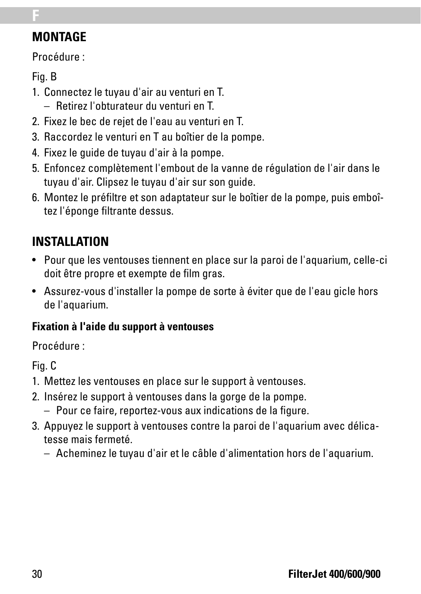## **MONTAGE**

Procédure :

Fig. B

**F**

- 1. Connectez le tuyau d'air au venturi en T.
	- Retirez l'obturateur du venturi en T.
- 2. Fixez le bec de rejet de l'eau au venturi en T.
- 3. Raccordez le venturi en T au boîtier de la pompe.
- 4. Fixez le guide de tuyau d'air à la pompe.
- 5. Enfoncez complètement l'embout de la vanne de régulation de l'air dans le tuyau d'air. Clipsez le tuyau d'air sur son guide.
- 6. Montez le préfiltre et son adaptateur sur le boîtier de la pompe, puis emboîtez l'éponge filtrante dessus.

# **INSTALLATION**

- Pour que les ventouses tiennent en place sur la paroi de l'aquarium, celle-ci doit être propre et exempte de film gras.
- Assurez-vous d'installer la pompe de sorte à éviter que de l'eau gicle hors de l'aquarium.

#### **Fixation à l'aide du support à ventouses**

Procédure :

Fig. C

- 1. Mettez les ventouses en place sur le support à ventouses.
- 2. Insérez le support à ventouses dans la gorge de la pompe.
	- Pour ce faire, reportez-vous aux indications de la figure.
- 3. Appuyez le support à ventouses contre la paroi de l'aquarium avec délicatesse mais fermeté.
	- Acheminez le tuyau d'air et le câble d'alimentation hors de l'aquarium.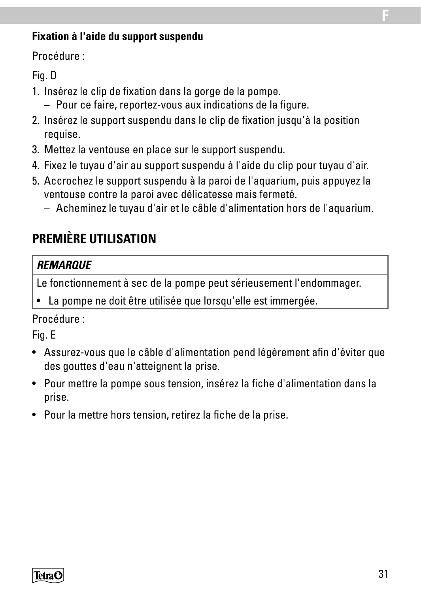#### **Fixation à l'aide du support suspendu**

Procédure :

#### Fig. D

- 1. Insérez le clip de fixation dans la gorge de la pompe.
	- Pour ce faire, reportez-vous aux indications de la figure.
- 2. Insérez le support suspendu dans le clip de fixation jusqu'à la position requise.
- 3. Mettez la ventouse en place sur le support suspendu.
- 4. Fixez le tuyau d'air au support suspendu à l'aide du clip pour tuyau d'air.
- 5. Accrochez le support suspendu à la paroi de l'aquarium, puis appuyez la ventouse contre la paroi avec délicatesse mais fermeté.
	- Acheminez le tuyau d'air et le câble d'alimentation hors de l'aquarium.

### **PREMIÈRE UTILISATION**

#### *REMARQUE*

Le fonctionnement à sec de la pompe peut sérieusement l'endommager.

La pompe ne doit être utilisée que lorsqu'elle est immergée.

#### Procédure :

#### Fig. E

- Assurez-vous que le câble d'alimentation pend légèrement afin d'éviter que des gouttes d'eau n'atteignent la prise.
- Pour mettre la pompe sous tension, insérez la fiche d'alimentation dans la prise.
- Pour la mettre hors tension, retirez la fiche de la prise.



**F**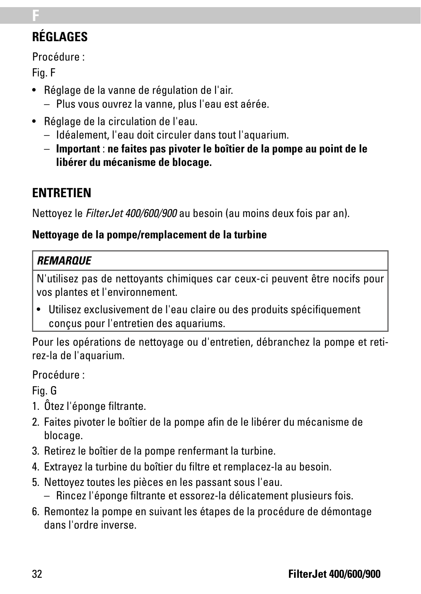# **RÉGLAGES**

Procédure :

Fig. F

**F**

- Réglage de la vanne de régulation de l'air.
	- Plus vous ouvrez la vanne, plus l'eau est aérée.
- Réglage de la circulation de l'eau.
	- Idéalement, l'eau doit circuler dans tout l'aquarium.
	- **Important** : **ne faites pas pivoter le boîtier de la pompe au point de le libérer du mécanisme de blocage.**

# **ENTRETIEN**

Nettoyez le *FilterJet 400/600/900* au besoin (au moins deux fois par an).

#### **Nettoyage de la pompe/remplacement de la turbine**

#### *REMARQUE*

N'utilisez pas de nettoyants chimiques car ceux-ci peuvent être nocifs pour vos plantes et l'environnement.

• Utilisez exclusivement de l'eau claire ou des produits spécifiquement conçus pour l'entretien des aquariums.

Pour les opérations de nettoyage ou d'entretien, débranchez la pompe et retirez-la de l'aquarium.

Procédure :

Fig. G

- 1. Ôtez l'éponge filtrante.
- 2. Faites pivoter le boîtier de la pompe afin de le libérer du mécanisme de blocage.
- 3. Retirez le boîtier de la pompe renfermant la turbine.
- 4. Extrayez la turbine du boîtier du filtre et remplacez-la au besoin.
- 5. Nettoyez toutes les pièces en les passant sous l'eau.
	- Rincez l'éponge filtrante et essorez-la délicatement plusieurs fois.
- 6. Remontez la pompe en suivant les étapes de la procédure de démontage dans l'ordre inverse.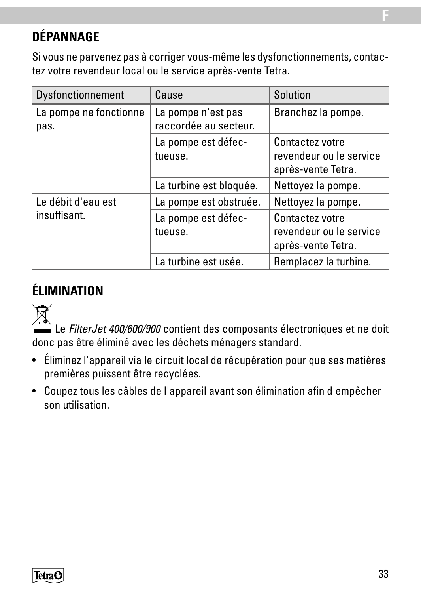# **DÉPANNAGE**

Si vous ne parvenez pas à corriger vous-même les dysfonctionnements, contactez votre revendeur local ou le service après-vente Tetra.

| Dysfonctionnement              | Cause                                       | Solution                                                         |
|--------------------------------|---------------------------------------------|------------------------------------------------------------------|
| La pompe ne fonctionne<br>pas. | La pompe n'est pas<br>raccordée au secteur. | Branchez la pompe.                                               |
|                                | La pompe est défec-<br>tueuse.              | Contactez votre<br>revendeur ou le service<br>après-vente Tetra. |
|                                | La turbine est bloquée.                     | Nettoyez la pompe.                                               |
| Le débit d'eau est             | La pompe est obstruée.                      | Nettoyez la pompe.                                               |
| insuffisant.                   | La pompe est défec-<br>tueuse.              | Contactez votre<br>revendeur ou le service<br>après-vente Tetra. |
|                                | La turbine est usée.                        | Remplacez la turbine.                                            |

# **ÉLIMINATION**



 Le *FilterJet 400/600/900* contient des composants électroniques et ne doit donc pas être éliminé avec les déchets ménagers standard.

- Éliminez l'appareil via le circuit local de récupération pour que ses matières premières puissent être recyclées.
- Coupez tous les câbles de l'appareil avant son élimination afin d'empêcher son utilisation.



**F**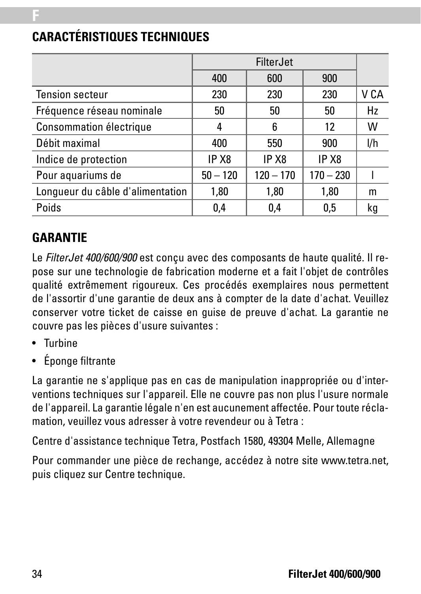|                                  |            | <b>FilterJet</b> |             |      |
|----------------------------------|------------|------------------|-------------|------|
|                                  | 400        | 600              | 900         |      |
| <b>Tension secteur</b>           | 230        | 230              | 230         | V CA |
| Fréquence réseau nominale        | 50         | 50               | 50          | Hz   |
| Consommation électrique          | 4          | 6                | 12          | W    |
| Débit maximal                    | 400        | 550              | 900         | l/h  |
| Indice de protection             | IP X8      | IP X8            | IP X8       |      |
| Pour aquariums de                | $50 - 120$ | $120 - 170$      | $170 - 230$ |      |
| Lonqueur du câble d'alimentation | 1,80       | 1,80             | 1,80        | m    |
| Poids                            | 0,4        | 0.4              | 0.5         | kg   |

# **CARACTÉRISTIQUES TECHNIQUES**

### **GARANTIE**

**F**

Le *FilterJet 400/600/900* est conçu avec des composants de haute qualité. Il repose sur une technologie de fabrication moderne et a fait l'objet de contrôles qualité extrêmement rigoureux. Ces procédés exemplaires nous permettent de l'assortir d'une garantie de deux ans à compter de la date d'achat. Veuillez conserver votre ticket de caisse en guise de preuve d'achat. La garantie ne couvre pas les pièces d'usure suivantes :

- Turbine
- Éponge filtrante

La garantie ne s'applique pas en cas de manipulation inappropriée ou d'interventions techniques sur l'appareil. Elle ne couvre pas non plus l'usure normale de l'appareil. La garantie légale n'en est aucunement affectée. Pour toute réclamation, veuillez vous adresser à votre revendeur ou à Tetra :

Centre d'assistance technique Tetra, Postfach 1580, 49304 Melle, Allemagne

Pour commander une pièce de rechange, accédez à notre site www.tetra.net, puis cliquez sur Centre technique.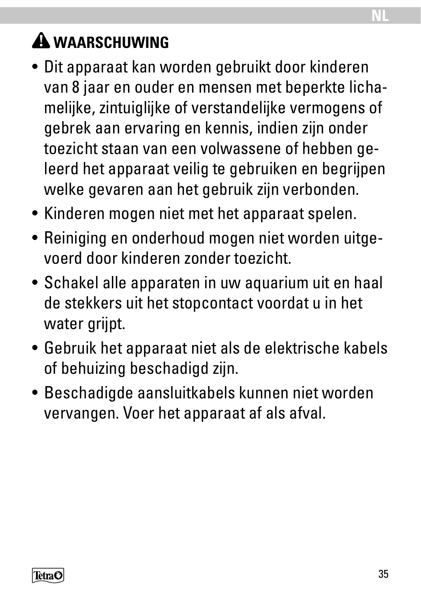# **WAARSCHUWING**

- Dit apparaat kan worden gebruikt door kinderen van 8 jaar en ouder en mensen met beperkte lichamelijke, zintuiglijke of verstandelijke vermogens of gebrek aan ervaring en kennis, indien zijn onder toezicht staan van een volwassene of hebben geleerd het apparaat veilig te gebruiken en begrijpen welke gevaren aan het gebruik zijn verbonden.
- Kinderen mogen niet met het apparaat spelen.
- Reiniging en onderhoud mogen niet worden uitgevoerd door kinderen zonder toezicht.
- Schakel alle apparaten in uw aquarium uit en haal de stekkers uit het stopcontact voordat u in het water grijpt.
- Gebruik het apparaat niet als de elektrische kabels of behuizing beschadigd zijn.
- Beschadigde aansluitkabels kunnen niet worden vervangen. Voer het apparaat af als afval.

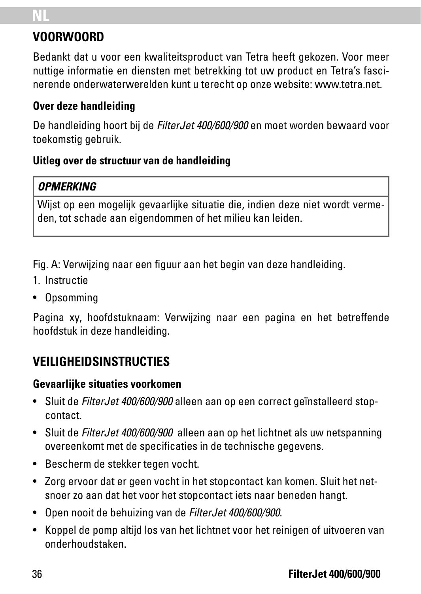# **NL**

## **VOORWOORD**

Bedankt dat u voor een kwaliteitsproduct van Tetra heeft gekozen. Voor meer nuttige informatie en diensten met betrekking tot uw product en Tetra's fascinerende onderwaterwerelden kunt u terecht op onze website: www.tetra.net.

#### **Over deze handleiding**

De handleiding hoort bij de *FilterJet 400/600/900* en moet worden bewaard voor toekomstig gebruik.

#### **Uitleg over de structuur van de handleiding**

#### *OPMERKING*

Wijst op een mogelijk gevaarlijke situatie die, indien deze niet wordt vermeden, tot schade aan eigendommen of het milieu kan leiden.

Fig. A: Verwijzing naar een figuur aan het begin van deze handleiding.

- 1. Instructie
- Opsomming

Pagina xy, hoofdstuknaam: Verwijzing naar een pagina en het betreffende hoofdstuk in deze handleiding.

# **VEILIGHEIDSINSTRUCTIES**

#### **Gevaarlijke situaties voorkomen**

- Sluit de *FilterJet 400/600/900* alleen aan op een correct geïnstalleerd stopcontact.
- Sluit de *FilterJet 400/600/900* alleen aan op het lichtnet als uw netspanning overeenkomt met de specificaties in de technische gegevens.
- Bescherm de stekker tegen vocht.
- Zorg ervoor dat er geen vocht in het stopcontact kan komen. Sluit het netsnoer zo aan dat het voor het stopcontact iets naar beneden hangt.
- Open nooit de behuizing van de *FilterJet 400/600/900*.
- Koppel de pomp altijd los van het lichtnet voor het reinigen of uitvoeren van onderhoudstaken.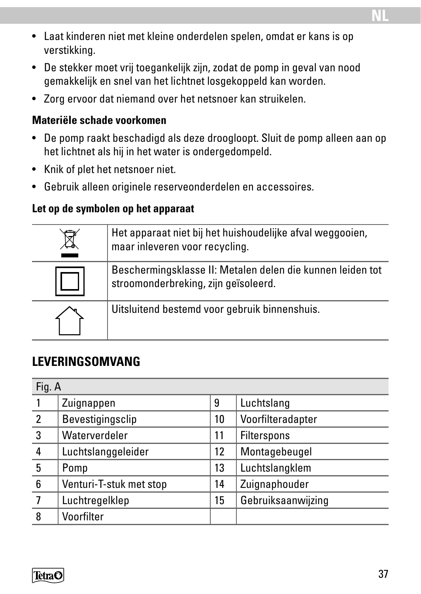- Laat kinderen niet met kleine onderdelen spelen, omdat er kans is op verstikking.
- De stekker moet vrij toegankelijk zijn, zodat de pomp in geval van nood gemakkelijk en snel van het lichtnet losgekoppeld kan worden.
- Zorg ervoor dat niemand over het netsnoer kan struikelen.

#### **Materiële schade voorkomen**

- De pomp raakt beschadigd als deze droogloopt. Sluit de pomp alleen aan op het lichtnet als hij in het water is ondergedompeld.
- Knik of plet het netsnoer niet.
- Gebruik alleen originele reserveonderdelen en accessoires.

#### **Let op de symbolen op het apparaat**

| Het apparaat niet bij het huishoudelijke afval weggooien,<br>maar inleveren voor recycling.        |
|----------------------------------------------------------------------------------------------------|
| Beschermingsklasse II: Metalen delen die kunnen leiden tot<br>stroomonderbreking, zijn geïsoleerd. |
| Uitsluitend bestemd voor gebruik binnenshuis.                                                      |

# **LEVERINGSOMVANG**

| Fig. A         |                         |    |                    |  |
|----------------|-------------------------|----|--------------------|--|
|                | Zuignappen              | 9  | Luchtslang         |  |
| $\overline{2}$ | Bevestigingsclip        | 10 | Voorfilteradapter  |  |
| 3              | Waterverdeler           | 11 | Filterspons        |  |
| 4              | Luchtslanggeleider      | 12 | Montagebeugel      |  |
| 5              | Pomp                    | 13 | Luchtslangklem     |  |
| 6              | Venturi-T-stuk met stop | 14 | Zuignaphouder      |  |
|                | Luchtregelklep          | 15 | Gebruiksaanwijzing |  |
| 8              | Voorfilter              |    |                    |  |

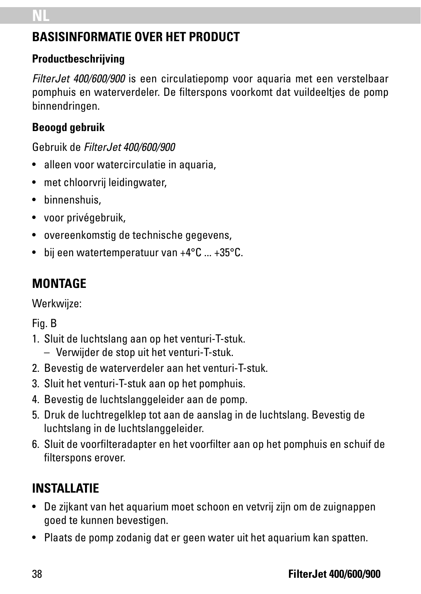### **BASISINFORMATIE OVER HET PRODUCT**

#### **Productbeschrijving**

*FilterJet 400/600/900* is een circulatiepomp voor aquaria met een verstelbaar pomphuis en waterverdeler. De filterspons voorkomt dat vuildeeltjes de pomp binnendringen.

### **Beoogd gebruik**

Gebruik de *FilterJet 400/600/900*

- alleen voor watercirculatie in aquaria,
- met chloorvrij leidingwater.
- binnenshuis,
- voor privégebruik,
- overeenkomstig de technische gegevens,
- bij een watertemperatuur van +4°C ... +35°C.

# **MONTAGE**

Werkwiize:

Fig. B

- 1. Sluit de luchtslang aan op het venturi-T-stuk.
	- Verwijder de stop uit het venturi-T-stuk.
- 2. Bevestig de waterverdeler aan het venturi-T-stuk.
- 3. Sluit het venturi-T-stuk aan op het pomphuis.
- 4. Bevestig de luchtslanggeleider aan de pomp.
- 5. Druk de luchtregelklep tot aan de aanslag in de luchtslang. Bevestig de luchtslang in de luchtslanggeleider.
- 6. Sluit de voorfilteradapter en het voorfilter aan op het pomphuis en schuif de filterspons erover.

# **INSTALLATIE**

- De zijkant van het aquarium moet schoon en vetvrij zijn om de zuignappen goed te kunnen bevestigen.
- Plaats de pomp zodanig dat er geen water uit het aquarium kan spatten.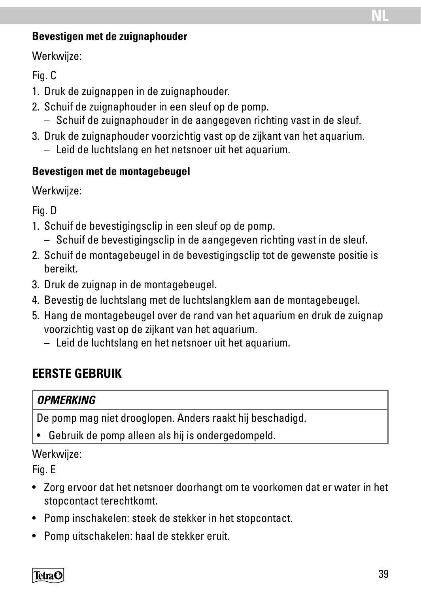#### **Bevestigen met de zuignaphouder**

Werkwijze:

### Fig. C

- 1. Druk de zuignappen in de zuignaphouder.
- 2. Schuif de zuignaphouder in een sleuf op de pomp.
	- Schuif de zuignaphouder in de aangegeven richting vast in de sleuf.
- 3. Druk de zuignaphouder voorzichtig vast op de zijkant van het aquarium.
	- Leid de luchtslang en het netsnoer uit het aquarium.

### **Bevestigen met de montagebeugel**

Werkwiize:

Fig. D

- 1. Schuif de bevestigingsclip in een sleuf op de pomp.
	- Schuif de bevestigingsclip in de aangegeven richting vast in de sleuf.
- 2. Schuif de montagebeugel in de bevestigingsclip tot de gewenste positie is bereikt.
- 3. Druk de zuignap in de montagebeugel.
- 4. Bevestig de luchtslang met de luchtslangklem aan de montagebeugel.
- 5. Hang de montagebeugel over de rand van het aquarium en druk de zuignap voorzichtig vast op de zijkant van het aquarium.
	- Leid de luchtslang en het netsnoer uit het aquarium.

# **EERSTE GEBRUIK**

### *OPMERKING*

De pomp mag niet drooglopen. Anders raakt hij beschadigd.

• Gebruik de pomp alleen als hij is ondergedompeld.

### Werkwiize:

Fig. E

- Zorg ervoor dat het netsnoer doorhangt om te voorkomen dat er water in het stopcontact terechtkomt.
- Pomp inschakelen: steek de stekker in het stopcontact.
- Pomp uitschakelen: haal de stekker eruit.

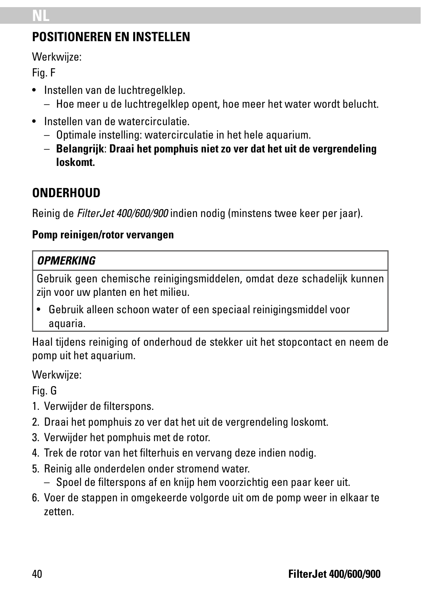# **NL**

### **POSITIONEREN EN INSTELLEN**

Werkwijze:

Fig. F

- Instellen van de luchtregelklep.
	- Hoe meer u de luchtregelklep opent, hoe meer het water wordt belucht.
- Instellen van de watercirculatie.
	- Optimale instelling: watercirculatie in het hele aquarium.
	- **Belangrijk**: **Draai het pomphuis niet zo ver dat het uit de vergrendeling loskomt.**

# **ONDERHOUD**

Reinig de *FilterJet 400/600/900* indien nodig (minstens twee keer per jaar).

#### **Pomp reinigen/rotor vervangen**

### *OPMERKING*

Gebruik geen chemische reinigingsmiddelen, omdat deze schadelijk kunnen zijn voor uw planten en het milieu.

• Gebruik alleen schoon water of een speciaal reinigingsmiddel voor aquaria.

Haal tijdens reiniging of onderhoud de stekker uit het stopcontact en neem de pomp uit het aquarium.

Werkwijze:

Fig. G

- 1. Verwijder de filterspons.
- 2. Draai het pomphuis zo ver dat het uit de vergrendeling loskomt.
- 3. Verwijder het pomphuis met de rotor.
- 4. Trek de rotor van het filterhuis en vervang deze indien nodig.
- 5. Reinig alle onderdelen onder stromend water.
	- Spoel de filterspons af en knijp hem voorzichtig een paar keer uit.
- 6. Voer de stappen in omgekeerde volgorde uit om de pomp weer in elkaar te zetten.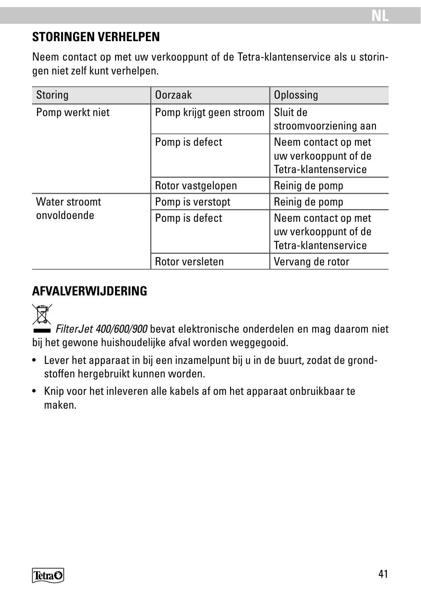### **STORINGEN VERHELPEN**

Neem contact op met uw verkooppunt of de Tetra-klantenservice als u storingen niet zelf kunt verhelpen.

| Storing         | Oorzaak                 | Oplossing                                                           |
|-----------------|-------------------------|---------------------------------------------------------------------|
| Pomp werkt niet | Pomp krijgt geen stroom | Sluit de<br>stroomvoorziening aan                                   |
|                 | Pomp is defect          | Neem contact op met<br>uw verkooppunt of de<br>Tetra-klantenservice |
|                 | Rotor vastgelopen       | Reinig de pomp                                                      |
| Water stroomt   | Pomp is verstopt        | Reinig de pomp                                                      |
| onvoldoende     | Pomp is defect          | Neem contact op met<br>uw verkooppunt of de<br>Tetra-klantenservice |
|                 | Rotor versleten         | Vervang de rotor                                                    |

### **AFVALVERWIJDERING**



*FilterJet 400/600/900* bevat elektronische onderdelen en mag daarom niet bij het gewone huishoudelijke afval worden weggegooid.

- Lever het apparaat in bij een inzamelpunt bij u in de buurt, zodat de grondstoffen hergebruikt kunnen worden.
- Knip voor het inleveren alle kabels af om het apparaat onbruikbaar te maken.

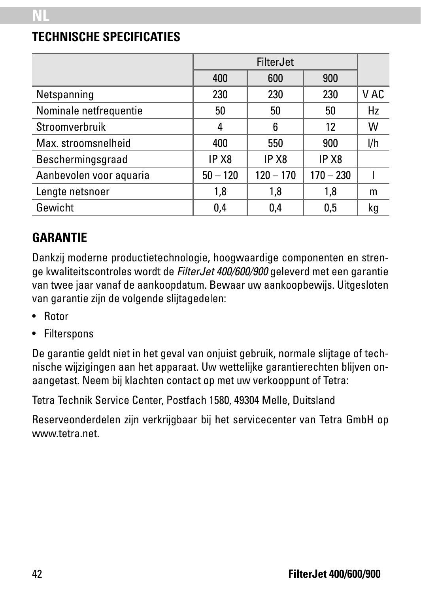### **TECHNISCHE SPECIFICATIES**

|                         |                   | <b>FilterJet</b>  |                   |      |
|-------------------------|-------------------|-------------------|-------------------|------|
|                         | 400               | 600               | 900               |      |
| Netspanning             | 230               | 230               | 230               | V AC |
| Nominale netfrequentie  | 50                | 50                | 50                | Hz   |
| Stroomverbruik          | 4                 | 6                 | 12                | w    |
| Max. stroomsnelheid     | 400               | 550               | 900               | I/h  |
| Beschermingsgraad       | IP X <sub>8</sub> | IP X <sub>8</sub> | IP X <sub>8</sub> |      |
| Aanbevolen voor aquaria | $50 - 120$        | $120 - 170$       | $170 - 230$       |      |
| Lengte netsnoer         | 1,8               | 1,8               | 1.8               | m    |
| Gewicht                 | 0,4               | 0,4               | 0.5               | kg   |

### **GARANTIE**

Dankzij moderne productietechnologie, hoogwaardige componenten en strenge kwaliteitscontroles wordt de *FilterJet 400/600/900* geleverd met een garantie van twee jaar vanaf de aankoopdatum. Bewaar uw aankoopbewijs. Uitgesloten van garantie zijn de volgende slijtagedelen:

- Rotor
- Filterspons

De garantie geldt niet in het geval van onjuist gebruik, normale slijtage of technische wijzigingen aan het apparaat. Uw wettelijke garantierechten blijven onaangetast. Neem bij klachten contact op met uw verkooppunt of Tetra:

Tetra Technik Service Center, Postfach 1580, 49304 Melle, Duitsland

Reserveonderdelen zijn verkrijgbaar bij het servicecenter van Tetra GmbH op www.tetra.net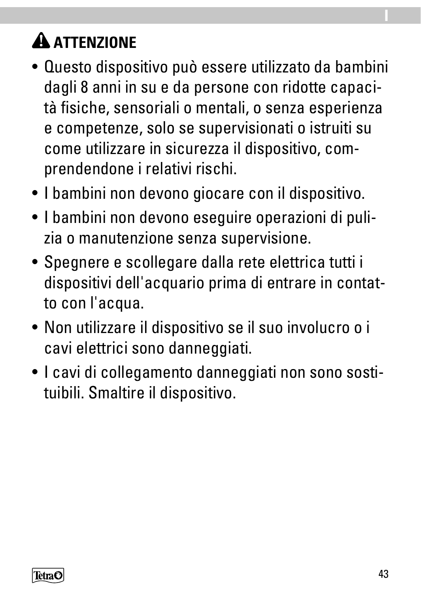# **A ATTENZIONE**

- Questo dispositivo può essere utilizzato da bambini dagli 8 anni in su e da persone con ridotte capacità fisiche, sensoriali o mentali, o senza esperienza e competenze, solo se supervisionati o istruiti su come utilizzare in sicurezza il dispositivo, comprendendone i relativi rischi.
- I bambini non devono giocare con il dispositivo.
- I bambini non devono eseguire operazioni di pulizia o manutenzione senza supervisione.
- Spegnere e scollegare dalla rete elettrica tutti i dispositivi dell'acquario prima di entrare in contatto con l'acqua.
- Non utilizzare il dispositivo se il suo involucro o i cavi elettrici sono danneggiati.
- I cavi di collegamento danneggiati non sono sostituibili. Smaltire il dispositivo.



**I**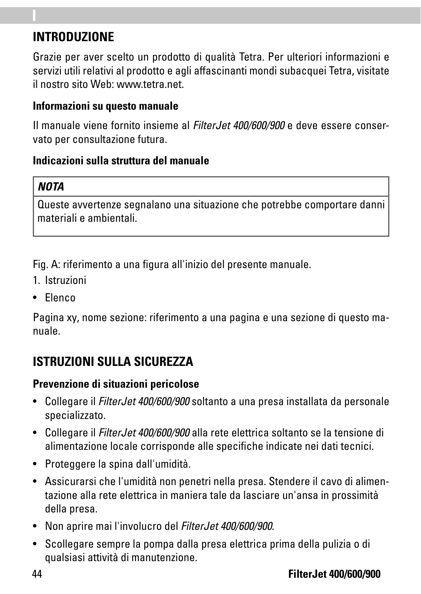### **INTRODUZIONE**

**I**

Grazie per aver scelto un prodotto di qualità Tetra. Per ulteriori informazioni e servizi utili relativi al prodotto e agli affascinanti mondi subacquei Tetra, visitate il nostro sito Web: www.tetra.net.

#### **Informazioni su questo manuale**

Il manuale viene fornito insieme al *FilterJet 400/600/900* e deve essere conservato per consultazione futura.

#### **Indicazioni sulla struttura del manuale**

#### *NOTA*

Queste avvertenze segnalano una situazione che potrebbe comportare danni materiali e ambientali.

Fig. A: riferimento a una figura all'inizio del presente manuale.

- 1. Istruzioni
- Elenco

Pagina xy, nome sezione: riferimento a una pagina e una sezione di questo manuale.

# **ISTRUZIONI SULLA SICUREZZA**

#### **Prevenzione di situazioni pericolose**

- Collegare il *FilterJet 400/600/900* soltanto a una presa installata da personale specializzato.
- Collegare il *FilterJet 400/600/900* alla rete elettrica soltanto se la tensione di alimentazione locale corrisponde alle specifiche indicate nei dati tecnici.
- Proteggere la spina dall'umidità.
- Assicurarsi che l'umidità non penetri nella presa. Stendere il cavo di alimentazione alla rete elettrica in maniera tale da lasciare un'ansa in prossimità della presa.
- Non aprire mai l'involucro del *FilterJet 400/600/900*.
- Scollegare sempre la pompa dalla presa elettrica prima della pulizia o di qualsiasi attività di manutenzione.

#### 44 **FilterJet 400/600/900**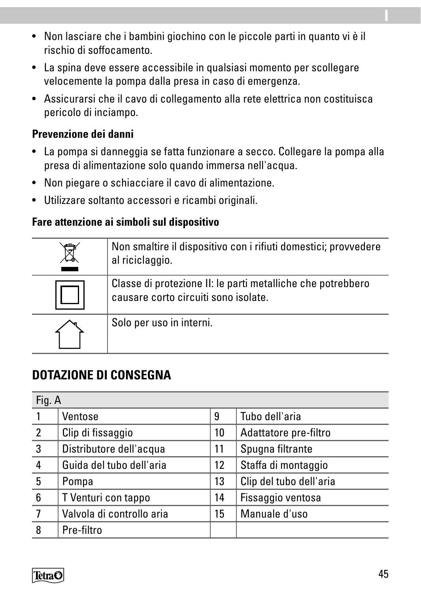- Non lasciare che i bambini giochino con le piccole parti in quanto vi è il rischio di soffocamento.
- La spina deve essere accessibile in qualsiasi momento per scollegare velocemente la pompa dalla presa in caso di emergenza.
- Assicurarsi che il cavo di collegamento alla rete elettrica non costituisca pericolo di inciampo.

#### **Prevenzione dei danni**

- La pompa si danneggia se fatta funzionare a secco. Collegare la pompa alla presa di alimentazione solo quando immersa nell'acqua.
- Non piegare o schiacciare il cavo di alimentazione.
- Utilizzare soltanto accessori e ricambi originali.

#### **Fare attenzione ai simboli sul dispositivo**

| Non smaltire il dispositivo con i rifiuti domestici; provvedere<br>al riciclaggio.                  |
|-----------------------------------------------------------------------------------------------------|
| Classe di protezione II: le parti metalliche che potrebbero<br>causare corto circuiti sono isolate. |
| Solo per uso in interni.                                                                            |

### **DOTAZIONE DI CONSEGNA**

| Fig. A         |                           |    |                         |
|----------------|---------------------------|----|-------------------------|
|                | Ventose                   | 9  | Tubo dell'aria          |
| $\overline{2}$ | Clip di fissaggio         | 10 | Adattatore pre-filtro   |
| 3              | Distributore dell'acqua   | 11 | Spugna filtrante        |
| 4              | Guida del tubo dell'aria  | 12 | Staffa di montaggio     |
| 5              | Pompa                     | 13 | Clip del tubo dell'aria |
| 6              | T Venturi con tappo       | 14 | Fissaggio ventosa       |
| $\overline{7}$ | Valvola di controllo aria | 15 | Manuale d'uso           |
| 8              | Pre-filtro                |    |                         |



**I**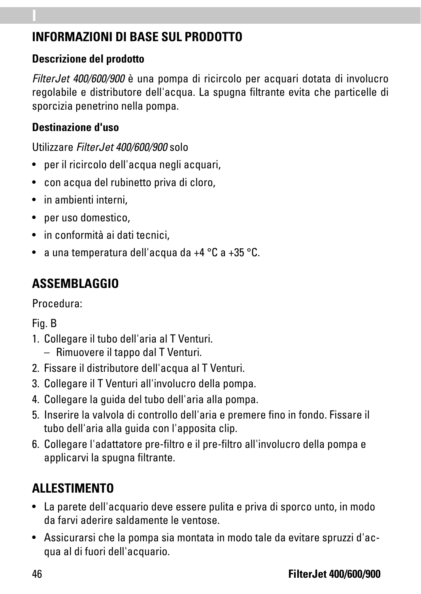### **INFORMAZIONI DI BASE SUL PRODOTTO**

### **Descrizione del prodotto**

**I**

*FilterJet 400/600/900* è una pompa di ricircolo per acquari dotata di involucro regolabile e distributore dell'acqua. La spugna filtrante evita che particelle di sporcizia penetrino nella pompa.

### **Destinazione d'uso**

Utilizzare *FilterJet 400/600/900* solo

- per il ricircolo dell'acqua negli acquari,
- con acqua del rubinetto priva di cloro,
- in ambienti interni,
- per uso domestico,
- in conformità ai dati tecnici,
- a una temperatura dell'acqua da +4 °C a +35 °C.

# **ASSEMBLAGGIO**

Procedura:

Fig. B

- 1. Collegare il tubo dell'aria al T Venturi.
	- Rimuovere il tappo dal T Venturi.
- 2. Fissare il distributore dell'acqua al T Venturi.
- 3. Collegare il T Venturi all'involucro della pompa.
- 4. Collegare la guida del tubo dell'aria alla pompa.
- 5. Inserire la valvola di controllo dell'aria e premere fino in fondo. Fissare il tubo dell'aria alla guida con l'apposita clip.
- 6. Collegare l'adattatore pre-filtro e il pre-filtro all'involucro della pompa e applicarvi la spugna filtrante.

# **ALLESTIMENTO**

- La parete dell'acquario deve essere pulita e priva di sporco unto, in modo da farvi aderire saldamente le ventose.
- Assicurarsi che la pompa sia montata in modo tale da evitare spruzzi d'acqua al di fuori dell'acquario.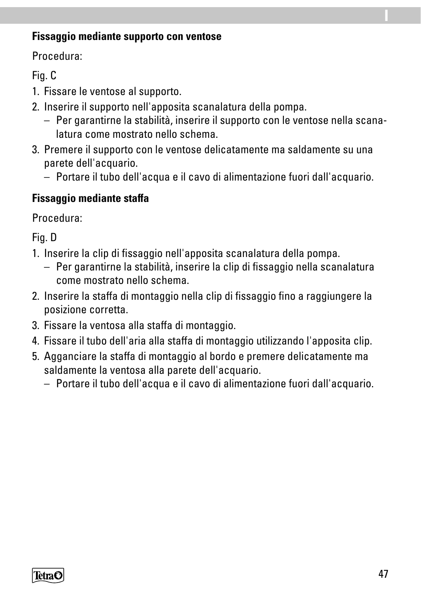#### **Fissaggio mediante supporto con ventose**

Procedura:

### Fig. C

- 1. Fissare le ventose al supporto.
- 2. Inserire il supporto nell'apposita scanalatura della pompa.
	- Per garantirne la stabilità, inserire il supporto con le ventose nella scanalatura come mostrato nello schema.
- 3. Premere il supporto con le ventose delicatamente ma saldamente su una parete dell'acquario.
	- Portare il tubo dell'acqua e il cavo di alimentazione fuori dall'acquario.

### **Fissaggio mediante staffa**

Procedura:

Fig. D

- 1. Inserire la clip di fissaggio nell'apposita scanalatura della pompa.
	- Per garantirne la stabilità, inserire la clip di fissaggio nella scanalatura come mostrato nello schema.
- 2. Inserire la staffa di montaggio nella clip di fissaggio fino a raggiungere la posizione corretta.
- 3. Fissare la ventosa alla staffa di montaggio.
- 4. Fissare il tubo dell'aria alla staffa di montaggio utilizzando l'apposita clip.
- 5. Agganciare la staffa di montaggio al bordo e premere delicatamente ma saldamente la ventosa alla parete dell'acquario.
	- Portare il tubo dell'acqua e il cavo di alimentazione fuori dall'acquario.



**I**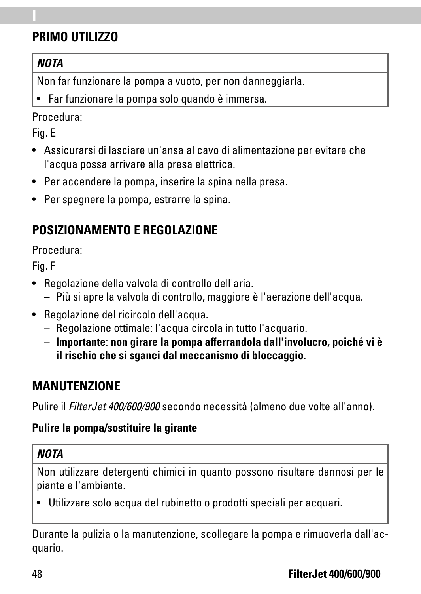### **PRIMO UTILIZZO**

### *NOTA*

**I**

Non far funzionare la pompa a vuoto, per non danneggiarla.

• Far funzionare la pompa solo quando è immersa.

### Procedura:

Fig. E

- Assicurarsi di lasciare un'ansa al cavo di alimentazione per evitare che l'acqua possa arrivare alla presa elettrica.
- Per accendere la pompa, inserire la spina nella presa.
- Per spegnere la pompa, estrarre la spina.

# **POSIZIONAMENTO E REGOLAZIONE**

Procedura:

Fig. F

- Regolazione della valvola di controllo dell'aria.
	- Più si apre la valvola di controllo, maggiore è l'aerazione dell'acqua.
- Regolazione del ricircolo dell'acqua.
	- Regolazione ottimale: l'acqua circola in tutto l'acquario.
	- **Importante**: **non girare la pompa afferrandola dall'involucro, poiché vi è il rischio che si sganci dal meccanismo di bloccaggio.**

# **MANUTENZIONE**

Pulire il *FilterJet 400/600/900* secondo necessità (almeno due volte all'anno).

### **Pulire la pompa/sostituire la girante**

### *NOTA*

Non utilizzare detergenti chimici in quanto possono risultare dannosi per le piante e l'ambiente.

• Utilizzare solo acqua del rubinetto o prodotti speciali per acquari.

Durante la pulizia o la manutenzione, scollegare la pompa e rimuoverla dall'acquario.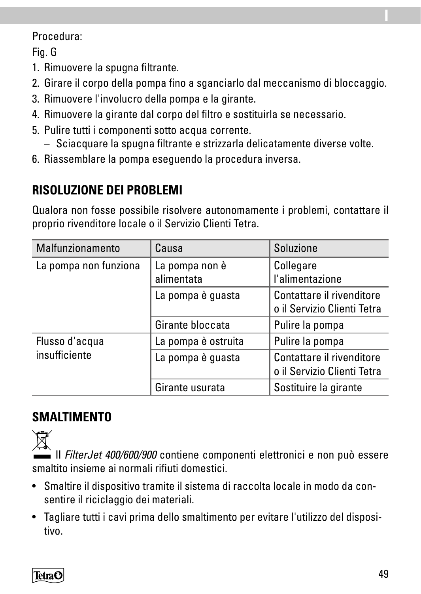#### Procedura:

Fig. G

- 1. Rimuovere la spugna filtrante.
- 2. Girare il corpo della pompa fino a sganciarlo dal meccanismo di bloccaggio.
- 3. Rimuovere l'involucro della pompa e la girante.
- 4. Rimuovere la girante dal corpo del filtro e sostituirla se necessario.
- 5. Pulire tutti i componenti sotto acqua corrente.
	- Sciacquare la spugna filtrante e strizzarla delicatamente diverse volte.
- 6. Riassemblare la pompa eseguendo la procedura inversa.

# **RISOLUZIONE DEI PROBLEMI**

Qualora non fosse possibile risolvere autonomamente i problemi, contattare il proprio rivenditore locale o il Servizio Clienti Tetra.

| Malfunzionamento      | Causa                        | Soluzione                                                |
|-----------------------|------------------------------|----------------------------------------------------------|
| La pompa non funziona | La pompa non è<br>alimentata | Collegare<br>l'alimentazione                             |
|                       | La pompa è quasta            | Contattare il rivenditore<br>o il Servizio Clienti Tetra |
|                       | Girante bloccata             | Pulire la pompa                                          |
| Flusso d'acqua        | La pompa è ostruita          | Pulire la pompa                                          |
| insufficiente         | La pompa è quasta            | Contattare il rivenditore<br>o il Servizio Clienti Tetra |
|                       | Girante usurata              | Sostituire la girante                                    |

# **SMALTIMENTO**

 Il *FilterJet 400/600/900* contiene componenti elettronici e non può essere smaltito insieme ai normali rifiuti domestici.

- Smaltire il dispositivo tramite il sistema di raccolta locale in modo da consentire il riciclaggio dei materiali.
- Tagliare tutti i cavi prima dello smaltimento per evitare l'utilizzo del dispositivo.



**I**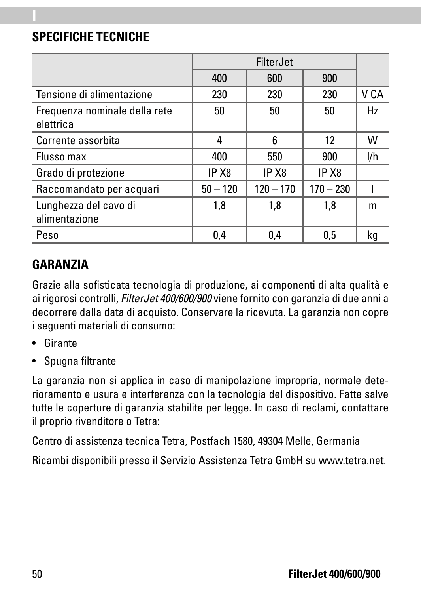### **SPECIFICHE TECNICHE**

**I**

|                                            |                   | FilterJet         |                   |      |
|--------------------------------------------|-------------------|-------------------|-------------------|------|
|                                            | 400               | 600               | 900               |      |
| Tensione di alimentazione                  | 230               | 230               | 230               | V CA |
| Frequenza nominale della rete<br>elettrica | 50                | 50                | 50                | Hz   |
| Corrente assorbita                         | 4                 | 6                 | 12                | W    |
| Flusso max                                 | 400               | 550               | 900               | I/h  |
| Grado di protezione                        | IP X <sub>8</sub> | IP X <sub>8</sub> | IP X <sub>8</sub> |      |
| Raccomandato per acquari                   | $50 - 120$        | $120 - 170$       | $170 - 230$       |      |
| Lunghezza del cavo di<br>alimentazione     | 1,8               | 1,8               | 1.8               | m    |
| Peso                                       | 0,4               | 0.4               | 0.5               | kq   |

### **GARANZIA**

Grazie alla sofisticata tecnologia di produzione, ai componenti di alta qualità e ai rigorosi controlli, *FilterJet 400/600/900* viene fornito con garanzia di due anni a decorrere dalla data di acquisto. Conservare la ricevuta. La garanzia non copre i seguenti materiali di consumo:

- Girante
- Spugna filtrante

La garanzia non si applica in caso di manipolazione impropria, normale deterioramento e usura e interferenza con la tecnologia del dispositivo. Fatte salve tutte le coperture di garanzia stabilite per legge. In caso di reclami, contattare il proprio rivenditore o Tetra:

Centro di assistenza tecnica Tetra, Postfach 1580, 49304 Melle, Germania

Ricambi disponibili presso il Servizio Assistenza Tetra GmbH su www.tetra.net.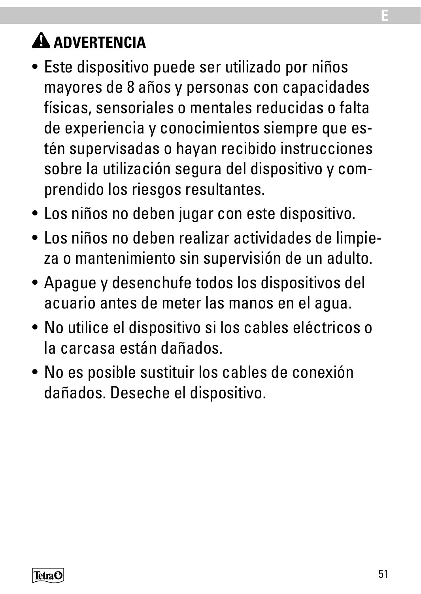# **A** ADVERTENCIA

- Este dispositivo puede ser utilizado por niños mayores de 8 años y personas con capacidades físicas, sensoriales o mentales reducidas o falta de experiencia y conocimientos siempre que estén supervisadas o hayan recibido instrucciones sobre la utilización segura del dispositivo y comprendido los riesgos resultantes.
- Los niños no deben jugar con este dispositivo.
- Los niños no deben realizar actividades de limpieza o mantenimiento sin supervisión de un adulto.
- Apague y desenchufe todos los dispositivos del acuario antes de meter las manos en el agua.
- No utilice el dispositivo si los cables eléctricos o la carcasa están dañados.
- No es posible sustituir los cables de conexión dañados. Deseche el dispositivo.



**E**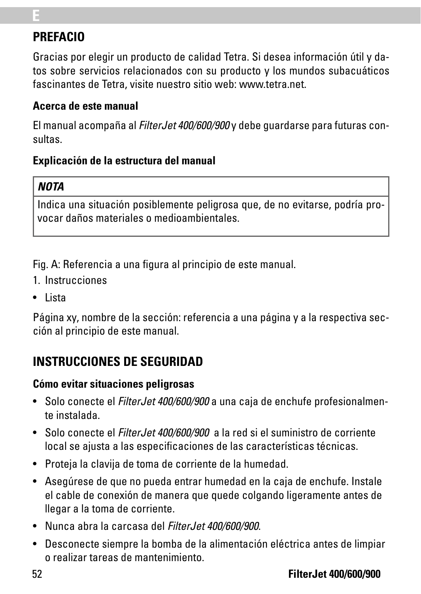### **PREFACIO**

**E**

Gracias por elegir un producto de calidad Tetra. Si desea información útil y datos sobre servicios relacionados con su producto y los mundos subacuáticos fascinantes de Tetra, visite nuestro sitio web: www.tetra.net.

#### **Acerca de este manual**

El manual acompaña al *FilterJet 400/600/900* y debe guardarse para futuras consultas.

#### **Explicación de la estructura del manual**

#### *NOTA*

Indica una situación posiblemente peligrosa que, de no evitarse, podría provocar daños materiales o medioambientales.

Fig. A: Referencia a una figura al principio de este manual.

- 1. Instrucciones
- Lista

Página xy, nombre de la sección: referencia a una página y a la respectiva sección al principio de este manual.

### **INSTRUCCIONES DE SEGURIDAD**

#### **Cómo evitar situaciones peligrosas**

- Solo conecte el *FilterJet 400/600/900* a una caja de enchufe profesionalmente instalada.
- Solo conecte el *FilterJet 400/600/900* a la red si el suministro de corriente local se ajusta a las especificaciones de las características técnicas.
- Proteja la clavija de toma de corriente de la humedad.
- Asegúrese de que no pueda entrar humedad en la caja de enchufe. Instale el cable de conexión de manera que quede colgando ligeramente antes de llegar a la toma de corriente.
- Nunca abra la carcasa del *FilterJet 400/600/900*.
- Desconecte siempre la bomba de la alimentación eléctrica antes de limpiar o realizar tareas de mantenimiento.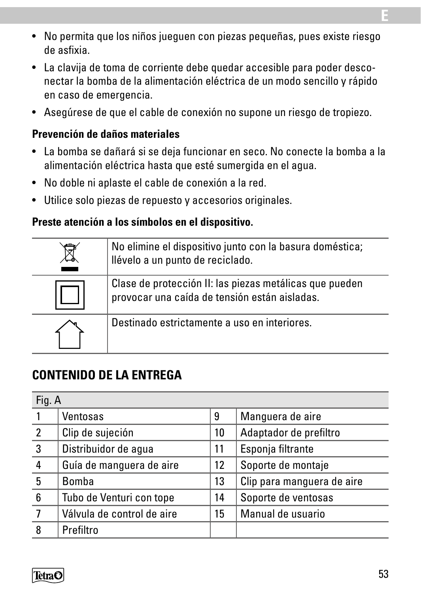- No permita que los niños jueguen con piezas pequeñas, pues existe riesgo de asfixia.
- La clavija de toma de corriente debe quedar accesible para poder desconectar la bomba de la alimentación eléctrica de un modo sencillo y rápido en caso de emergencia.
- Asegúrese de que el cable de conexión no supone un riesgo de tropiezo.

#### **Prevención de daños materiales**

- La bomba se dañará si se deja funcionar en seco. No conecte la bomba a la alimentación eléctrica hasta que esté sumergida en el agua.
- No doble ni aplaste el cable de conexión a la red.
- Utilice solo piezas de repuesto y accesorios originales.

#### **Preste atención a los símbolos en el dispositivo.**

| No elimine el dispositivo junto con la basura doméstica;<br>llévelo a un punto de reciclado.             |
|----------------------------------------------------------------------------------------------------------|
| Clase de protección II: las piezas metálicas que pueden<br>provocar una caída de tensión están aisladas. |
| Destinado estrictamente a uso en interiores.                                                             |

### **CONTENIDO DE LA ENTREGA**

| Fig. A         |                            |                   |                            |
|----------------|----------------------------|-------------------|----------------------------|
|                | Ventosas                   | 9                 | Manguera de aire           |
| $\overline{2}$ | Clip de sujeción           | 10                | Adaptador de prefiltro     |
| 3              | Distribuidor de aqua       | 11                | Esponja filtrante          |
| 4              | Guía de manquera de aire   | $12 \overline{ }$ | Soporte de montaje         |
| 5              | Bomba                      | 13                | Clip para manquera de aire |
| 6              | Tubo de Venturi con tope   | 14                | Soporte de ventosas        |
| 7              | Válvula de control de aire | 15                | Manual de usuario          |
| 8              | Prefiltro                  |                   |                            |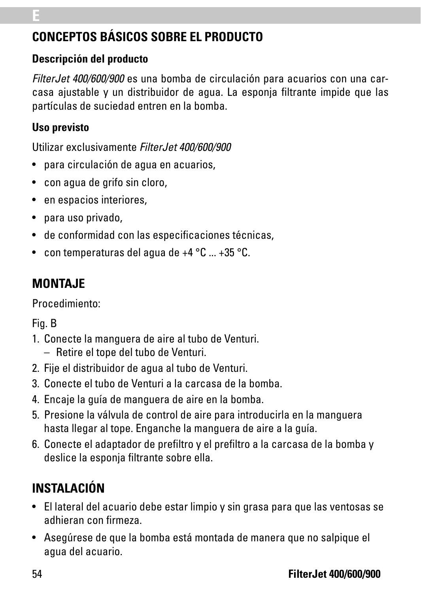# **CONCEPTOS BÁSICOS SOBRE EL PRODUCTO**

#### **Descripción del producto**

*FilterJet 400/600/900* es una bomba de circulación para acuarios con una carcasa ajustable y un distribuidor de agua. La esponja filtrante impide que las partículas de suciedad entren en la bomba.

#### **Uso previsto**

Utilizar exclusivamente *FilterJet 400/600/900*

- para circulación de agua en acuarios,
- con agua de grifo sin cloro,
- en espacios interiores.
- para uso privado,
- de conformidad con las especificaciones técnicas,
- con temperaturas del agua de +4 °C ... +35 °C.

# **MONTAJE**

Procedimiento:

Fig. B

- 1. Conecte la manguera de aire al tubo de Venturi.
	- Retire el tope del tubo de Venturi.
- 2. Fije el distribuidor de agua al tubo de Venturi.
- 3. Conecte el tubo de Venturi a la carcasa de la bomba.
- 4. Encaje la guía de manguera de aire en la bomba.
- 5. Presione la válvula de control de aire para introducirla en la manguera hasta llegar al tope. Enganche la manguera de aire a la guía.
- 6. Conecte el adaptador de prefiltro y el prefiltro a la carcasa de la bomba y deslice la esponja filtrante sobre ella.

# **INSTALACIÓN**

- El lateral del acuario debe estar limpio y sin grasa para que las ventosas se adhieran con firmeza.
- Asegúrese de que la bomba está montada de manera que no salpique el agua del acuario.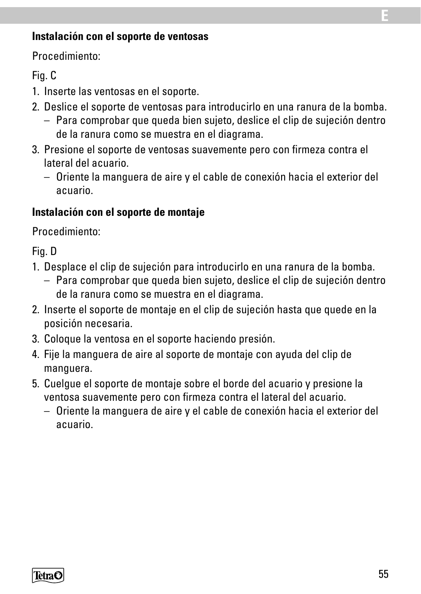#### **Instalación con el soporte de ventosas**

Procedimiento:

#### Fig. C

- 1. Inserte las ventosas en el soporte.
- 2. Deslice el soporte de ventosas para introducirlo en una ranura de la bomba.
	- Para comprobar que queda bien sujeto, deslice el clip de sujeción dentro de la ranura como se muestra en el diagrama.
- 3. Presione el soporte de ventosas suavemente pero con firmeza contra el lateral del acuario.
	- Oriente la manguera de aire y el cable de conexión hacia el exterior del acuario.

#### **Instalación con el soporte de montaje**

Procedimiento:

Fig. D

- 1. Desplace el clip de sujeción para introducirlo en una ranura de la bomba.
	- Para comprobar que queda bien sujeto, deslice el clip de sujeción dentro de la ranura como se muestra en el diagrama.
- 2. Inserte el soporte de montaje en el clip de sujeción hasta que quede en la posición necesaria.
- 3. Coloque la ventosa en el soporte haciendo presión.
- 4. Fije la manguera de aire al soporte de montaje con ayuda del clip de manguera.
- 5. Cuelgue el soporte de montaje sobre el borde del acuario y presione la ventosa suavemente pero con firmeza contra el lateral del acuario.
	- Oriente la manguera de aire y el cable de conexión hacia el exterior del acuario.



**E**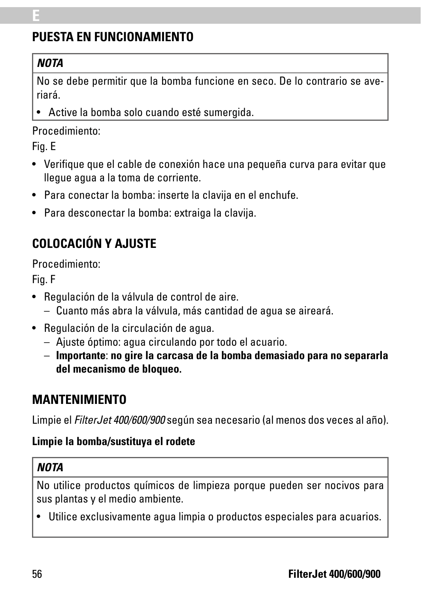# **PUESTA EN FUNCIONAMIENTO**

### *NOTA*

**E**

No se debe permitir que la bomba funcione en seco. De lo contrario se averiará.

• Active la bomba solo cuando esté sumergida.

#### Procedimiento:

Fig. E

- Verifique que el cable de conexión hace una pequeña curva para evitar que llegue agua a la toma de corriente.
- Para conectar la bomba: inserte la clavija en el enchufe.
- Para desconectar la bomba: extraiga la clavija.

# **COLOCACIÓN Y AJUSTE**

Procedimiento:

Fig. F

- Regulación de la válvula de control de aire.
	- Cuanto más abra la válvula, más cantidad de agua se aireará.
- Regulación de la circulación de agua.
	- Ajuste óptimo: agua circulando por todo el acuario.
	- **Importante**: **no gire la carcasa de la bomba demasiado para no separarla del mecanismo de bloqueo.**

# **MANTENIMIENTO**

Limpie el *FilterJet 400/600/900* según sea necesario (al menos dos veces al año).

### **Limpie la bomba/sustituya el rodete**

### *NOTA*

No utilice productos químicos de limpieza porque pueden ser nocivos para sus plantas y el medio ambiente.

• Utilice exclusivamente agua limpia o productos especiales para acuarios.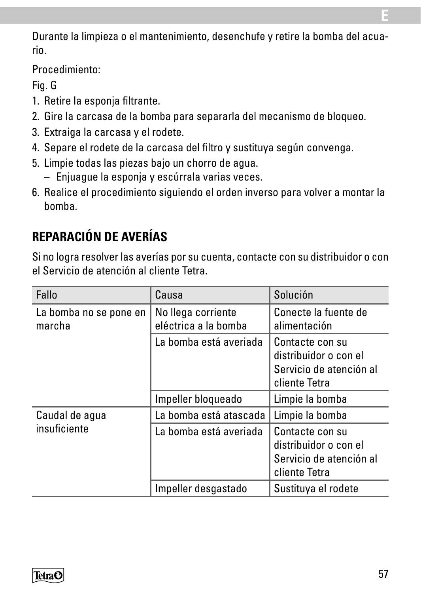Durante la limpieza o el mantenimiento, desenchufe y retire la bomba del acuario.

Procedimiento:

Fig. G

- 1. Retire la esponja filtrante.
- 2. Gire la carcasa de la bomba para separarla del mecanismo de bloqueo.
- 3. Extraiga la carcasa y el rodete.
- 4. Separe el rodete de la carcasa del filtro y sustituya según convenga.
- 5. Limpie todas las piezas bajo un chorro de agua.
	- Enjuague la esponja y escúrrala varias veces.
- 6. Realice el procedimiento siguiendo el orden inverso para volver a montar la bomba.

# **REPARACIÓN DE AVERÍAS**

Si no logra resolver las averías por su cuenta, contacte con su distribuidor o con el Servicio de atención al cliente Tetra.

| Fallo                            | Causa                                      | Solución                                                                             |
|----------------------------------|--------------------------------------------|--------------------------------------------------------------------------------------|
| La bomba no se pone en<br>marcha | No llega corriente<br>eléctrica a la bomba | Conecte la fuente de<br>alimentación                                                 |
|                                  | La bomba está averiada                     | Contacte con su<br>distribuidor o con el<br>Servicio de atención al<br>cliente Tetra |
|                                  | Impeller bloqueado                         | Limpie la bomba                                                                      |
| Caudal de agua                   | La bomba está atascada                     | Limpie la bomba                                                                      |
| insuficiente                     | La bomba está averiada                     | Contacte con su<br>distribuidor o con el<br>Servicio de atención al<br>cliente Tetra |
|                                  | Impeller desgastado                        | Sustituya el rodete                                                                  |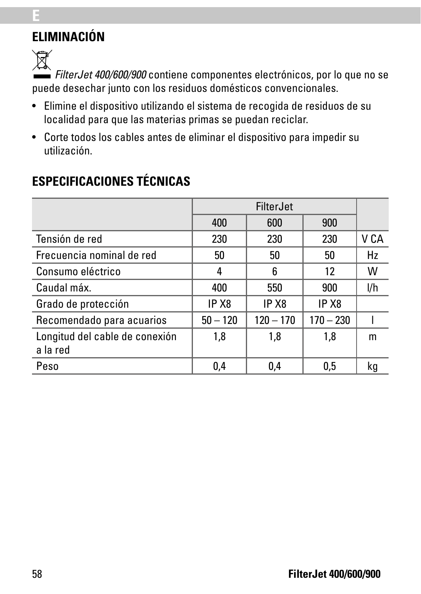# **ELIMINACIÓN**

 $\widehat{\mathbb{X}}$ 

**E**

*FilterJet 400/600/900* contiene componentes electrónicos, por lo que no se puede desechar junto con los residuos domésticos convencionales.

- Elimine el dispositivo utilizando el sistema de recogida de residuos de su localidad para que las materias primas se puedan reciclar.
- Corte todos los cables antes de eliminar el dispositivo para impedir su utilización.

|                                            | FilterJet         |                   |                   |      |
|--------------------------------------------|-------------------|-------------------|-------------------|------|
|                                            | 400               | 600               | 900               |      |
| Tensión de red                             | 230               | 230               | 230               | V CA |
| Frecuencia nominal de red                  | 50                | 50                | 50                | Hz   |
| Consumo eléctrico                          | 4                 | 6                 | 12                | w    |
| Caudal máx.                                | 400               | 550               | 900               | l/h  |
| Grado de protección                        | IP X <sub>8</sub> | IP X <sub>8</sub> | IP X <sub>8</sub> |      |
| Recomendado para acuarios                  | $50 - 120$        | $120 - 170$       | $170 - 230$       |      |
| Longitud del cable de conexión<br>a la red | 1,8               | 1,8               | 1,8               | m    |
| Peso                                       | 0,4               | 0.4               | 0.5               | kg   |

# **ESPECIFICACIONES TÉCNICAS**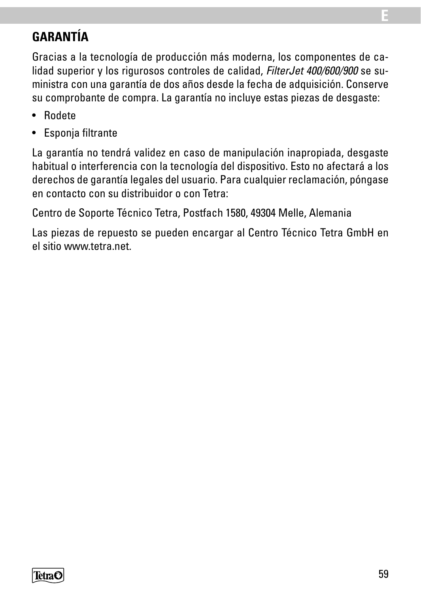# **GARANTÍA**

Gracias a la tecnología de producción más moderna, los componentes de calidad superior y los rigurosos controles de calidad, *FilterJet 400/600/900* se suministra con una garantía de dos años desde la fecha de adquisición. Conserve su comprobante de compra. La garantía no incluye estas piezas de desgaste:

- Rodete
- Esponja filtrante

La garantía no tendrá validez en caso de manipulación inapropiada, desgaste habitual o interferencia con la tecnología del dispositivo. Esto no afectará a los derechos de garantía legales del usuario. Para cualquier reclamación, póngase en contacto con su distribuidor o con Tetra:

Centro de Soporte Técnico Tetra, Postfach 1580, 49304 Melle, Alemania

Las piezas de repuesto se pueden encargar al Centro Técnico Tetra GmbH en el sitio www.tetra.net.



**E**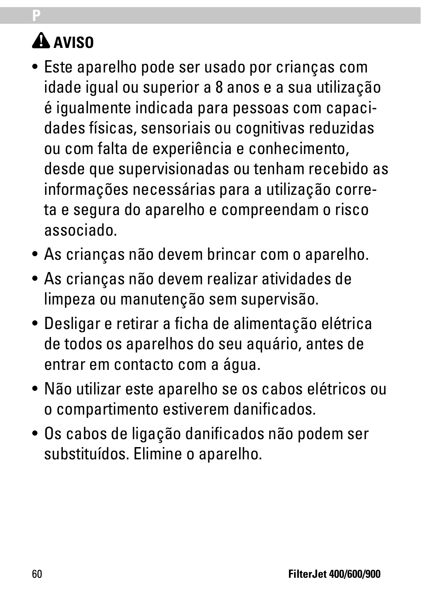# **AVISO**

**P**

- Este aparelho pode ser usado por crianças com idade igual ou superior a 8 anos e a sua utilização é igualmente indicada para pessoas com capacidades físicas, sensoriais ou cognitivas reduzidas ou com falta de experiência e conhecimento, desde que supervisionadas ou tenham recebido as informações necessárias para a utilização correta e segura do aparelho e compreendam o risco associado.
- As crianças não devem brincar com o aparelho.
- As crianças não devem realizar atividades de limpeza ou manutenção sem supervisão.
- Desligar e retirar a ficha de alimentação elétrica de todos os aparelhos do seu aquário, antes de entrar em contacto com a água.
- Não utilizar este aparelho se os cabos elétricos ou o compartimento estiverem danificados.
- Os cabos de ligação danificados não podem ser substituídos. Elimine o aparelho.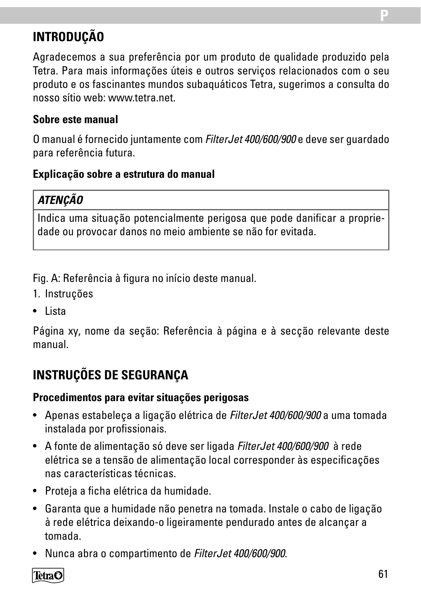# **INTRODUÇÃO**

Agradecemos a sua preferência por um produto de qualidade produzido pela Tetra. Para mais informações úteis e outros serviços relacionados com o seu produto e os fascinantes mundos subaquáticos Tetra, sugerimos a consulta do nosso sítio web: www.tetra.net.

#### **Sobre este manual**

O manual é fornecido juntamente com *FilterJet 400/600/900* e deve ser guardado para referência futura.

#### **Explicação sobre a estrutura do manual**

### *ATENÇÃO*

Indica uma situação potencialmente perigosa que pode danificar a propriedade ou provocar danos no meio ambiente se não for evitada.

Fig. A: Referência à figura no início deste manual.

- 1. Instruções
- Lista

Página xy, nome da seção: Referência à página e à secção relevante deste manual.

# **INSTRUÇÕES DE SEGURANÇA**

#### **Procedimentos para evitar situações perigosas**

- Apenas estabeleça a ligação elétrica de *FilterJet 400/600/900* a uma tomada instalada por profissionais.
- A fonte de alimentação só deve ser ligada *FilterJet 400/600/900* à rede elétrica se a tensão de alimentação local corresponder às especificações nas características técnicas.
- Proteja a ficha elétrica da humidade.
- Garanta que a humidade não penetra na tomada. Instale o cabo de ligação à rede elétrica deixando-o ligeiramente pendurado antes de alcançar a tomada.
- Nunca abra o compartimento de *FilterJet 400/600/900*.

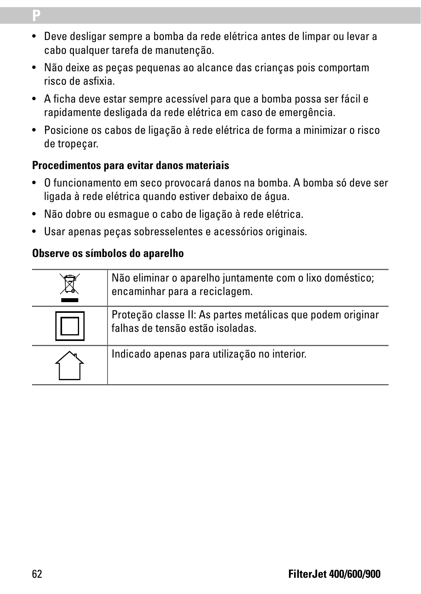- Deve desligar sempre a bomba da rede elétrica antes de limpar ou levar a cabo qualquer tarefa de manutenção.
- Não deixe as peças pequenas ao alcance das crianças pois comportam risco de asfixia.
- A ficha deve estar sempre acessível para que a bomba possa ser fácil e rapidamente desligada da rede elétrica em caso de emergência.
- Posicione os cabos de ligação à rede elétrica de forma a minimizar o risco de tropeçar.

#### **Procedimentos para evitar danos materiais**

- O funcionamento em seco provocará danos na bomba. A bomba só deve ser ligada à rede elétrica quando estiver debaixo de água.
- Não dobre ou esmague o cabo de ligação à rede elétrica.
- Usar apenas peças sobresselentes e acessórios originais.

#### **Observe os símbolos do aparelho**

| Não eliminar o aparelho juntamente com o lixo doméstico;<br>encaminhar para a reciclagem.      |
|------------------------------------------------------------------------------------------------|
| Proteção classe II: As partes metálicas que podem originar<br>falhas de tensão estão isoladas. |
| Indicado apenas para utilização no interior.                                                   |

**P**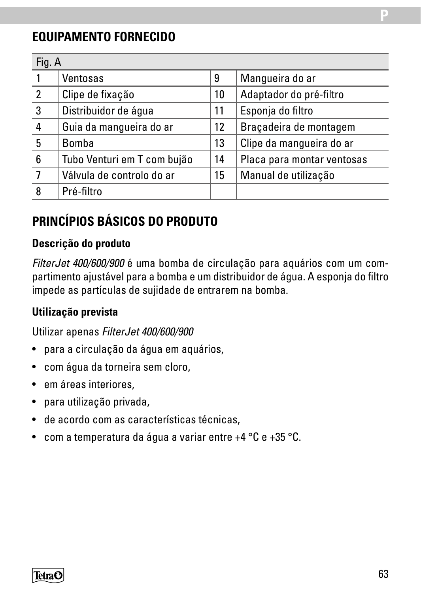### **EQUIPAMENTO FORNECIDO**

| Fig. A |                             |    |                            |
|--------|-----------------------------|----|----------------------------|
|        | Ventosas                    | 9  | Manqueira do ar            |
| 2      | Clipe de fixação            | 10 | Adaptador do pré-filtro    |
| 3      | Distribuidor de água        | 11 | Esponja do filtro          |
| 4      | Guia da manqueira do ar     | 12 | Bracadeira de montagem     |
| 5      | Bomba                       | 13 | Clipe da manqueira do ar   |
| 6      | Tubo Venturi em T com bujão | 14 | Placa para montar ventosas |
|        | Válvula de controlo do ar   | 15 | Manual de utilização       |
| 8      | Pré-filtro                  |    |                            |

# **PRINCÍPIOS BÁSICOS DO PRODUTO**

#### **Descrição do produto**

*FilterJet 400/600/900* é uma bomba de circulação para aquários com um compartimento ajustável para a bomba e um distribuidor de água. A esponja do filtro impede as partículas de sujidade de entrarem na bomba.

#### **Utilização prevista**

Utilizar apenas *FilterJet 400/600/900*

- para a circulação da água em aquários,
- com água da torneira sem cloro,
- em áreas interiores,
- para utilização privada,
- de acordo com as características técnicas,
- com a temperatura da água a variar entre +4 °C e +35 °C.

**TetraC**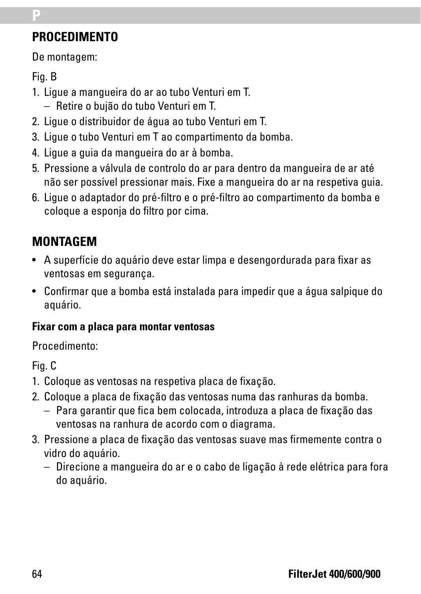# **PROCEDIMENTO**

De montagem:

### Fig. B

**P**

- 1. Ligue a mangueira do ar ao tubo Venturi em T. – Retire o bujão do tubo Venturi em T.
- 2. Ligue o distribuidor de água ao tubo Venturi em T.
- 3. Ligue o tubo Venturi em T ao compartimento da bomba.
- 4. Ligue a guia da mangueira do ar à bomba.
- 5. Pressione a válvula de controlo do ar para dentro da mangueira de ar até não ser possível pressionar mais. Fixe a mangueira do ar na respetiva guia.
- 6. Ligue o adaptador do pré-filtro e o pré-filtro ao compartimento da bomba e coloque a esponja do filtro por cima.

# **MONTAGEM**

- A superfície do aquário deve estar limpa e desengordurada para fixar as ventosas em segurança.
- Confirmar que a bomba está instalada para impedir que a água salpique do aquário.

### **Fixar com a placa para montar ventosas**

### Procedimento:

Fig. C

- 1. Coloque as ventosas na respetiva placa de fixação.
- 2. Coloque a placa de fixação das ventosas numa das ranhuras da bomba.
	- Para garantir que fica bem colocada, introduza a placa de fixação das ventosas na ranhura de acordo com o diagrama.
- 3. Pressione a placa de fixação das ventosas suave mas firmemente contra o vidro do aquário.
	- Direcione a mangueira do ar e o cabo de ligação à rede elétrica para fora do aquário.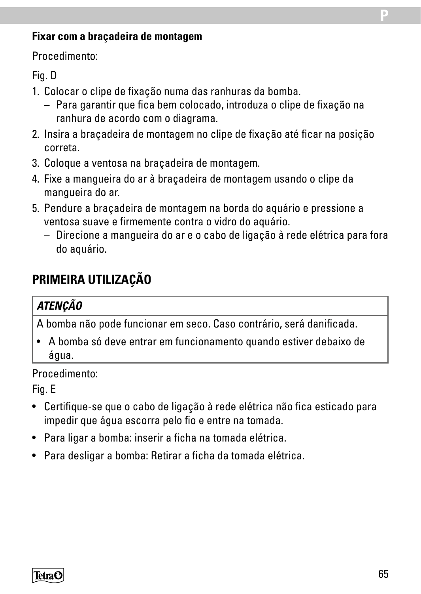#### **Fixar com a braçadeira de montagem**

Procedimento:

#### Fig. D

- 1. Colocar o clipe de fixação numa das ranhuras da bomba.
	- Para garantir que fica bem colocado, introduza o clipe de fixação na ranhura de acordo com o diagrama.
- 2. Insira a braçadeira de montagem no clipe de fixação até ficar na posição correta.
- 3. Coloque a ventosa na braçadeira de montagem.
- 4. Fixe a mangueira do ar à braçadeira de montagem usando o clipe da mangueira do ar.
- 5. Pendure a braçadeira de montagem na borda do aquário e pressione a ventosa suave e firmemente contra o vidro do aquário.
	- Direcione a mangueira do ar e o cabo de ligação à rede elétrica para fora do aquário.

### **PRIMEIRA UTILIZAÇÃO**

#### *ATENÇÃO*

A bomba não pode funcionar em seco. Caso contrário, será danificada.

• A bomba só deve entrar em funcionamento quando estiver debaixo de água.

Procedimento:

Fig. E

- Certifique-se que o cabo de ligação à rede elétrica não fica esticado para impedir que água escorra pelo fio e entre na tomada.
- Para ligar a bomba: inserir a ficha na tomada elétrica.
- Para desligar a bomba: Retirar a ficha da tomada elétrica.

TetraC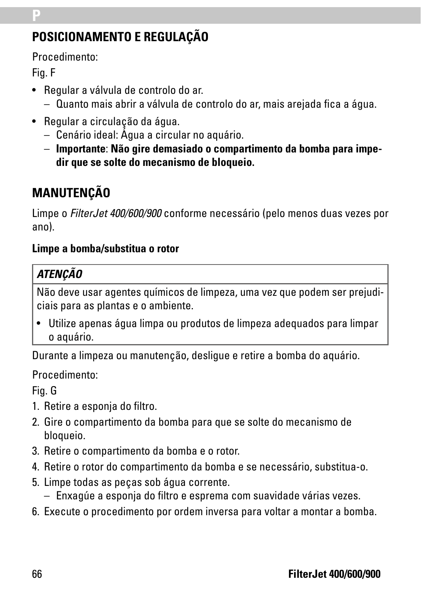# **POSICIONAMENTO E REGULAÇÃO**

Procedimento:

Fig. F

**P**

- Regular a válvula de controlo do ar.
	- Quanto mais abrir a válvula de controlo do ar, mais arejada fica a água.
- Regular a circulação da água.
	- Cenário ideal: Água a circular no aquário.
	- **Importante**: **Não gire demasiado o compartimento da bomba para impedir que se solte do mecanismo de bloqueio.**

# **MANUTENÇÃO**

Limpe o *FilterJet 400/600/900* conforme necessário (pelo menos duas vezes por ano).

#### **Limpe a bomba/substitua o rotor**

### *ATENÇÃO*

Não deve usar agentes químicos de limpeza, uma vez que podem ser prejudiciais para as plantas e o ambiente.

• Utilize apenas água limpa ou produtos de limpeza adequados para limpar o aquário.

Durante a limpeza ou manutenção, desligue e retire a bomba do aquário.

Procedimento:

Fig. G

- 1. Retire a esponja do filtro.
- 2. Gire o compartimento da bomba para que se solte do mecanismo de bloqueio.
- 3. Retire o compartimento da bomba e o rotor.
- 4. Retire o rotor do compartimento da bomba e se necessário, substitua-o.
- 5. Limpe todas as peças sob água corrente.
	- Enxagúe a esponja do filtro e esprema com suavidade várias vezes.
- 6. Execute o procedimento por ordem inversa para voltar a montar a bomba.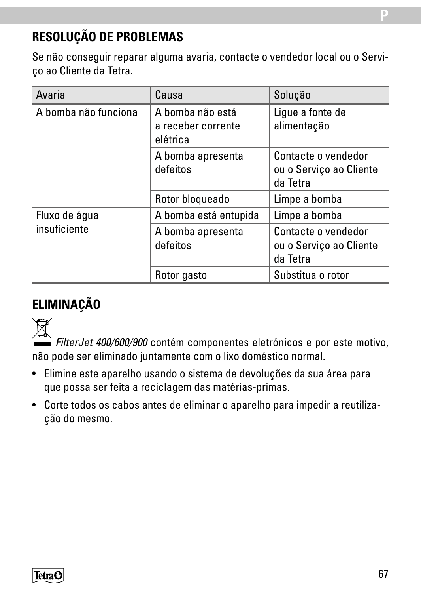### **RESOLUÇÃO DE PROBLEMAS**

Se não conseguir reparar alguma avaria, contacte o vendedor local ou o Serviço ao Cliente da Tetra.

| Avaria               | Causa                                              | Solução                                                    |
|----------------------|----------------------------------------------------|------------------------------------------------------------|
| A bomba não funciona | A bomba não está<br>a receber corrente<br>elétrica | Lique a fonte de<br>alimentação                            |
|                      | A bomba apresenta<br>defeitos                      | Contacte o vendedor<br>ou o Serviço ao Cliente<br>da Tetra |
|                      | Rotor bloqueado                                    | Limpe a bomba                                              |
| Fluxo de água        | A bomba está entupida                              | Limpe a bomba                                              |
| insuficiente         | A bomba apresenta<br>defeitos                      | Contacte o vendedor<br>ou o Serviço ao Cliente<br>da Tetra |
|                      | Rotor gasto                                        | Substitua o rotor                                          |

### **ELIMINAÇÃO**



*FilterJet 400/600/900* contém componentes eletrónicos e por este motivo, não pode ser eliminado juntamente com o lixo doméstico normal.

- Elimine este aparelho usando o sistema de devoluções da sua área para que possa ser feita a reciclagem das matérias-primas.
- Corte todos os cabos antes de eliminar o aparelho para impedir a reutilização do mesmo.

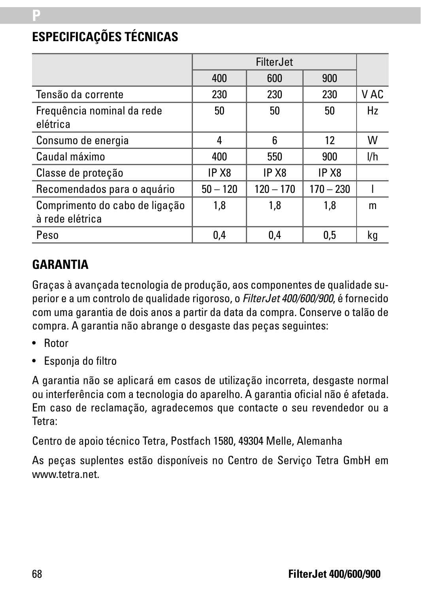# **ESPECIFICAÇÕES TÉCNICAS**

**P**

|                                                   | FilterJet  |             |                   |      |
|---------------------------------------------------|------------|-------------|-------------------|------|
|                                                   | 400        | 600         | 900               |      |
| Tensão da corrente                                | 230        | 230         | 230               | V AC |
| Frequência nominal da rede<br>elétrica            | 50         | 50          | 50                | Hz   |
| Consumo de energia                                | 4          | 6           | 12                | w    |
| Caudal máximo                                     | 400        | 550         | 900               | l/h  |
| Classe de proteção                                | IP X8      | IP X8       | IP X <sub>8</sub> |      |
| Recomendados para o aquário                       | $50 - 120$ | $120 - 170$ | $170 - 230$       |      |
| Comprimento do cabo de ligação<br>à rede elétrica | 1,8        | 1,8         | 1.8               | m    |
| Peso                                              | 0.4        | 0.4         | 0.5               | kq   |

### **GARANTIA**

Graças à avançada tecnologia de produção, aos componentes de qualidade superior e a um controlo de qualidade rigoroso, o *FilterJet 400/600/900*, é fornecido com uma garantia de dois anos a partir da data da compra. Conserve o talão de compra. A garantia não abrange o desgaste das peças seguintes:

- Rotor
- Esponja do filtro

A garantia não se aplicará em casos de utilização incorreta, desgaste normal ou interferência com a tecnologia do aparelho. A garantia oficial não é afetada. Em caso de reclamação, agradecemos que contacte o seu revendedor ou a Tetra:

Centro de apoio técnico Tetra, Postfach 1580, 49304 Melle, Alemanha

As peças suplentes estão disponíveis no Centro de Serviço Tetra GmbH em www.tetra.net.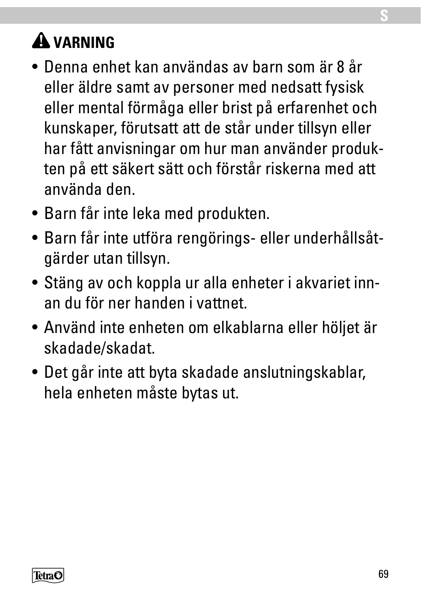# **VARNING**

- Denna enhet kan användas av barn som är 8 år eller äldre samt av personer med nedsatt fysisk eller mental förmåga eller brist på erfarenhet och kunskaper, förutsatt att de står under tillsyn eller har fått anvisningar om hur man använder produkten på ett säkert sätt och förstår riskerna med att använda den.
- Barn får inte leka med produkten.
- Barn får inte utföra rengörings- eller underhållsåtgärder utan tillsyn.
- Stäng av och koppla ur alla enheter i akvariet innan du för ner handen i vattnet.
- Använd inte enheten om elkablarna eller höljet är skadade/skadat.
- Det går inte att byta skadade anslutningskablar, hela enheten måste bytas ut.

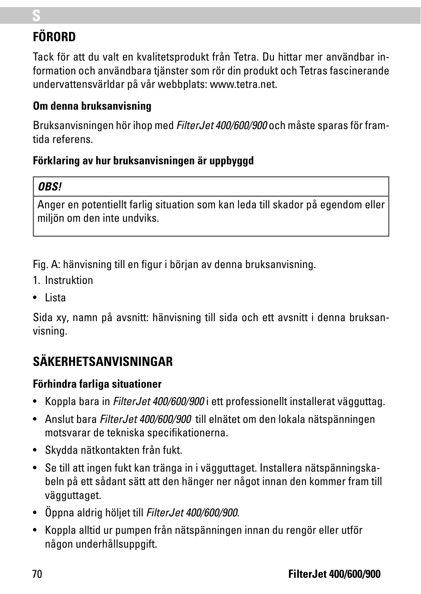# **FÖRORD**

**S**

Tack för att du valt en kvalitetsprodukt från Tetra. Du hittar mer användbar information och användbara tjänster som rör din produkt och Tetras fascinerande undervattensvärldar på vår webbplats: www.tetra.net.

#### **Om denna bruksanvisning**

Bruksanvisningen hör ihop med *FilterJet 400/600/900* och måste sparas för framtida referens.

### **Förklaring av hur bruksanvisningen är uppbyggd**

### *OBS!*

Anger en potentiellt farlig situation som kan leda till skador på egendom eller miljön om den inte undviks.

Fig. A: hänvisning till en figur i början av denna bruksanvisning.

- 1. Instruktion
- Lista

Sida xy, namn på avsnitt: hänvisning till sida och ett avsnitt i denna bruksanvisning.

# **SÄKERHETSANVISNINGAR**

### **Förhindra farliga situationer**

- Koppla bara in *FilterJet 400/600/900* i ett professionellt installerat vägguttag.
- Anslut bara *FilterJet 400/600/900* till elnätet om den lokala nätspänningen motsvarar de tekniska specifikationerna.
- Skydda nätkontakten från fukt.
- Se till att ingen fukt kan tränga in i vägguttaget. Installera nätspänningskabeln på ett sådant sätt att den hänger ner något innan den kommer fram till vägguttaget.
- Öppna aldrig höljet till *FilterJet 400/600/900*.
- Koppla alltid ur pumpen från nätspänningen innan du rengör eller utför någon underhållsuppgift.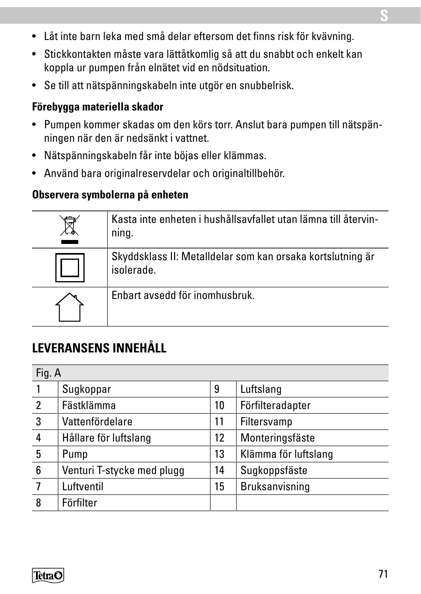- Låt inte barn leka med små delar eftersom det finns risk för kvävning.
- Stickkontakten måste vara lättåtkomlig så att du snabbt och enkelt kan koppla ur pumpen från elnätet vid en nödsituation.
- Se till att nätspänningskabeln inte utgör en snubbelrisk.

#### **Förebygga materiella skador**

- Pumpen kommer skadas om den körs torr. Anslut bara pumpen till nätspänningen när den är nedsänkt i vattnet.
- Nätspänningskabeln får inte böjas eller klämmas.
- Använd bara originalreservdelar och originaltillbehör.

#### **Observera symbolerna på enheten**

| Kasta inte enheten i hushållsavfallet utan lämna till återvin-<br>ning.  |  |  |
|--------------------------------------------------------------------------|--|--|
| Skyddsklass II: Metalldelar som kan orsaka kortslutning är<br>isolerade. |  |  |
| Enbart avsedd för inomhusbruk.                                           |  |  |

# **LEVERANSENS INNEHÅLL**

| Fig. A         |                            |    |                      |
|----------------|----------------------------|----|----------------------|
|                | Sugkoppar                  | 9  | Luftslang            |
| $\overline{2}$ | Fästklämma                 | 10 | Förfilteradapter     |
| 3              | Vattenfördelare            | 11 | Filtersvamp          |
| 4              | Hållare för luftslang      | 12 | Monteringsfäste      |
| 5              | Pump                       | 13 | Klämma för luftslang |
| 6              | Venturi T-stycke med plugg | 14 | Sugkoppsfäste        |
|                | Luftventil                 | 15 | Bruksanvisning       |
| 8              | Förfilter                  |    |                      |



**S**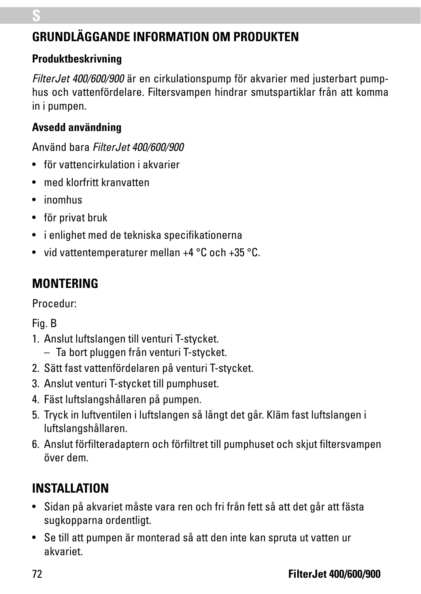# **GRUNDLÄGGANDE INFORMATION OM PRODUKTEN**

#### **Produktbeskrivning**

*FilterJet 400/600/900* är en cirkulationspump för akvarier med justerbart pumphus och vattenfördelare. Filtersvampen hindrar smutspartiklar från att komma in i pumpen.

### **Avsedd användning**

Använd bara *Filter Jet 400/600/900* 

- för vattencirkulation i akvarier
- med klorfritt kranvatten
- inomhus
- för privat bruk
- i enlighet med de tekniska specifikationerna
- vid vattentemperaturer mellan +4 °C och +35 °C.

# **MONTERING**

Procedur:

Fig. B

- 1. Anslut luftslangen till venturi T-stycket.
	- Ta bort pluggen från venturi T-stycket.
- 2. Sätt fast vattenfördelaren på venturi T-stycket.
- 3. Anslut venturi T-stycket till pumphuset.
- 4. Fäst luftslangshållaren på pumpen.
- 5. Tryck in luftventilen i luftslangen så långt det går. Kläm fast luftslangen i luftslangshållaren.
- 6. Anslut förfilteradaptern och förfiltret till pumphuset och skjut filtersvampen över dem.

# **INSTALLATION**

- Sidan på akvariet måste vara ren och fri från fett så att det går att fästa sugkopparna ordentligt.
- Se till att pumpen är monterad så att den inte kan spruta ut vatten ur akvariet.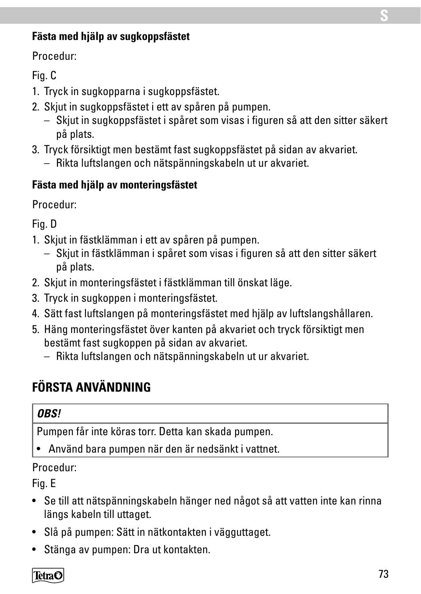#### **Fästa med hjälp av sugkoppsfästet**

Procedur:

#### Fig. C

- 1. Tryck in sugkopparna i sugkoppsfästet.
- 2. Skjut in sugkoppsfästet i ett av spåren på pumpen.
	- Skjut in sugkoppsfästet i spåret som visas i figuren så att den sitter säkert på plats.
- 3. Tryck försiktigt men bestämt fast sugkoppsfästet på sidan av akvariet.
	- Rikta luftslangen och nätspänningskabeln ut ur akvariet.

#### **Fästa med hjälp av monteringsfästet**

Procedur:

Fig. D

- 1. Skjut in fästklämman i ett av spåren på pumpen.
	- Skjut in fästklämman i spåret som visas i figuren så att den sitter säkert på plats.
- 2. Skjut in monteringsfästet i fästklämman till önskat läge.
- 3. Tryck in sugkoppen i monteringsfästet.
- 4. Sätt fast luftslangen på monteringsfästet med hjälp av luftslangshållaren.
- 5. Häng monteringsfästet över kanten på akvariet och tryck försiktigt men bestämt fast sugkoppen på sidan av akvariet.
	- Rikta luftslangen och nätspänningskabeln ut ur akvariet.

# **FÖRSTA ANVÄNDNING**

#### *OBS!*

Pumpen får inte köras torr. Detta kan skada pumpen.

• Använd bara pumpen när den är nedsänkt i vattnet.

#### Procedur:

Fig. E

- Se till att nätspänningskabeln hänger ned något så att vatten inte kan rinna längs kabeln till uttaget.
- Slå på pumpen: Sätt in nätkontakten i vägguttaget.
- Stänga av pumpen: Dra ut kontakten.

#### TetraC

**S**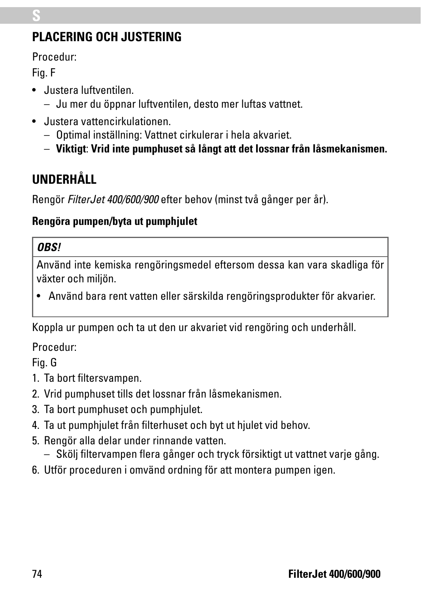# **PLACERING OCH JUSTERING**

Procedur:

Fig. F

**S**

- Justera luftventilen.
	- Ju mer du öppnar luftventilen, desto mer luftas vattnet.
- Justera vattencirkulationen.
	- Optimal inställning: Vattnet cirkulerar i hela akvariet.
	- **Viktigt**: **Vrid inte pumphuset så långt att det lossnar från låsmekanismen.**

# **UNDERHÅLL**

Rengör *FilterJet 400/600/900* efter behov (minst två gånger per år).

### **Rengöra pumpen/byta ut pumphjulet**

### *OBS!*

Använd inte kemiska rengöringsmedel eftersom dessa kan vara skadliga för växter och miljön.

• Använd bara rent vatten eller särskilda rengöringsprodukter för akvarier.

Koppla ur pumpen och ta ut den ur akvariet vid rengöring och underhåll.

Procedur:

Fig. G

- 1. Ta bort filtersvampen.
- 2. Vrid pumphuset tills det lossnar från låsmekanismen.
- 3. Ta bort pumphuset och pumphjulet.
- 4. Ta ut pumphjulet från filterhuset och byt ut hjulet vid behov.
- 5. Rengör alla delar under rinnande vatten.
	- Skölj filtervampen flera gånger och tryck försiktigt ut vattnet varje gång.
- 6. Utför proceduren i omvänd ordning för att montera pumpen igen.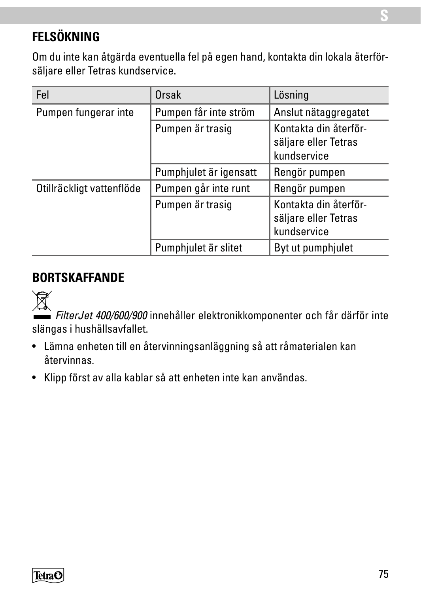# **FELSÖKNING**

Om du inte kan åtgärda eventuella fel på egen hand, kontakta din lokala återförsäljare eller Tetras kundservice.

| Fel                       | Orsak                  | Lösning                                                      |
|---------------------------|------------------------|--------------------------------------------------------------|
| Pumpen fungerar inte      | Pumpen får inte ström  | Anslut nätaggregatet                                         |
|                           | Pumpen är trasig       | Kontakta din återför-<br>säljare eller Tetras<br>kundservice |
|                           | Pumphjulet är igensatt | Rengör pumpen                                                |
| Otillräckligt vattenflöde | Pumpen går inte runt   | Rengör pumpen                                                |
|                           | Pumpen är trasig       | Kontakta din återför-<br>säljare eller Tetras<br>kundservice |
|                           | Pumphjulet är slitet   | Byt ut pumphjulet                                            |

### **BORTSKAFFANDE**



*FilterJet 400/600/900* innehåller elektronikkomponenter och får därför inte slängas i hushållsavfallet.

- Lämna enheten till en återvinningsanläggning så att råmaterialen kan återvinnas.
- Klipp först av alla kablar så att enheten inte kan användas.

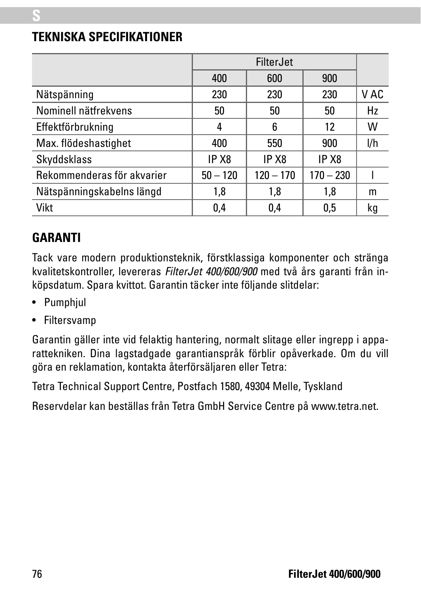# FilterJet 400 | 600 | 900 Nätspänning 1980 230 230 230 V AC Nominell nätfrekvens 50 50 50 Hz Effektförbrukning 4 6 12 W Max. flödeshastighet 400 550 900 l/h Skyddsklass IP X8 IP X8 IP X8 Rekommenderas för akvarier 50 – 120 120 – 170 170 – 230 l Nätspänningskabelns längd 1,8 1,8 1,8 m Vikt 0,4 0,4 0,5 kg

#### **TEKNISKA SPECIFIKATIONER**

### **GARANTI**

**S**

Tack vare modern produktionsteknik, förstklassiga komponenter och stränga kvalitetskontroller, levereras *FilterJet 400/600/900* med två års garanti från inköpsdatum. Spara kvittot. Garantin täcker inte följande slitdelar:

- Pumphiul
- Filtersvamp

Garantin gäller inte vid felaktig hantering, normalt slitage eller ingrepp i apparattekniken. Dina lagstadgade garantianspråk förblir opåverkade. Om du vill göra en reklamation, kontakta återförsäljaren eller Tetra:

Tetra Technical Support Centre, Postfach 1580, 49304 Melle, Tyskland

Reservdelar kan beställas från Tetra GmbH Service Centre på www.tetra.net.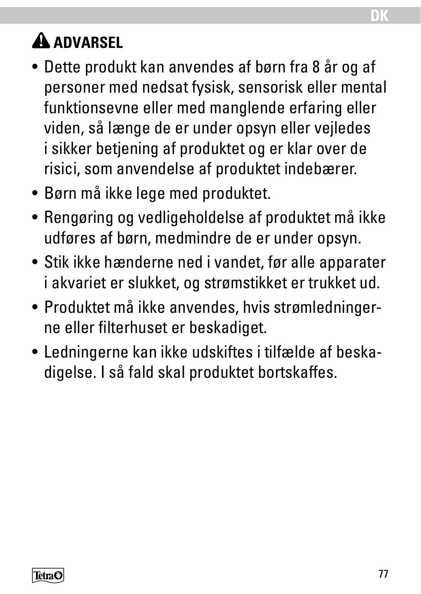# **A** ADVARSEL

- Dette produkt kan anvendes af børn fra 8 år og af personer med nedsat fysisk, sensorisk eller mental funktionsevne eller med manglende erfaring eller viden, så længe de er under opsyn eller vejledes i sikker betjening af produktet og er klar over de risici, som anvendelse af produktet indebærer.
- Børn må ikke lege med produktet.
- Rengøring og vedligeholdelse af produktet må ikke udføres af børn, medmindre de er under opsyn.
- Stik ikke hænderne ned i vandet, før alle apparater i akvariet er slukket, og strømstikket er trukket ud.
- Produktet må ikke anvendes, hvis strømledningerne eller filterhuset er beskadiget.
- Ledningerne kan ikke udskiftes i tilfælde af beskadigelse. I så fald skal produktet bortskaffes.

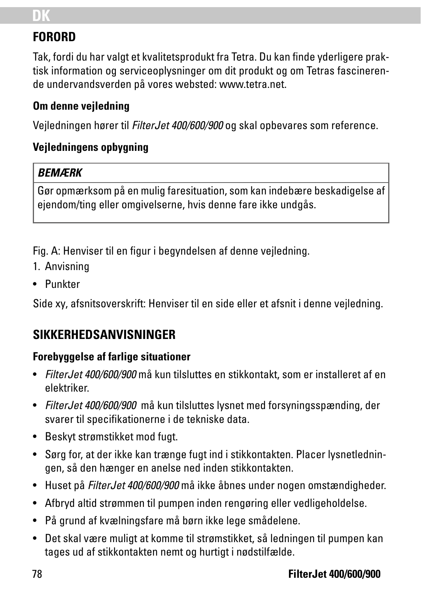# **DK**

# **FORORD**

Tak, fordi du har valgt et kvalitetsprodukt fra Tetra. Du kan finde yderligere praktisk information og serviceoplysninger om dit produkt og om Tetras fascinerende undervandsverden på vores websted: www.tetra.net.

#### **Om denne vejledning**

Vejledningen hører til *FilterJet 400/600/900* og skal opbevares som reference.

#### **Vejledningens opbygning**

#### *BEMÆRK*

Gør opmærksom på en mulig faresituation, som kan indebære beskadigelse af ejendom/ting eller omgivelserne, hvis denne fare ikke undgås.

Fig. A: Henviser til en figur i begyndelsen af denne vejledning.

- 1. Anvisning
- Punkter

Side xy, afsnitsoverskrift: Henviser til en side eller et afsnit i denne vejledning.

# **SIKKERHEDSANVISNINGER**

#### **Forebyggelse af farlige situationer**

- *FilterJet 400/600/900* må kun tilsluttes en stikkontakt, som er installeret af en elektriker.
- *FilterJet 400/600/900* må kun tilsluttes lysnet med forsyningsspænding, der svarer til specifikationerne i de tekniske data.
- Beskyt strømstikket mod fugt.
- Sørg for, at der ikke kan trænge fugt ind i stikkontakten. Placer lysnetledningen, så den hænger en anelse ned inden stikkontakten.
- Huset på *FilterJet 400/600/900* må ikke åbnes under nogen omstændigheder.
- Afbryd altid strømmen til pumpen inden rengøring eller vedligeholdelse.
- På grund af kvælningsfare må børn ikke lege smådelene.
- Det skal være muligt at komme til strømstikket, så ledningen til pumpen kan tages ud af stikkontakten nemt og hurtigt i nødstilfælde.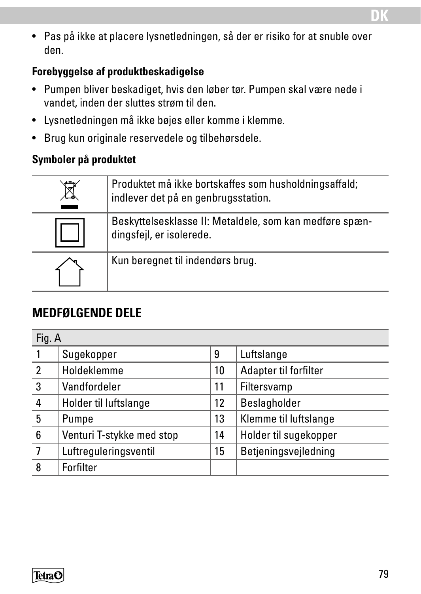• Pas på ikke at placere lysnetledningen, så der er risiko for at snuble over den.

#### **Forebyggelse af produktbeskadigelse**

- Pumpen bliver beskadiget, hvis den løber tør. Pumpen skal være nede i vandet, inden der sluttes strøm til den.
- Lysnetledningen må ikke bøjes eller komme i klemme.
- Brug kun originale reservedele og tilbehørsdele.

#### **Symboler på produktet**

| Produktet må ikke bortskaffes som husholdningsaffald;<br>indlever det på en genbrugsstation. |
|----------------------------------------------------------------------------------------------|
| Beskyttelsesklasse II: Metaldele, som kan medføre spæn-<br>dingsfejl, er isolerede.          |
| Kun beregnet til indendørs brug.                                                             |

## **MEDFØLGENDE DELE**

| Fig. A         |                           |    |                       |
|----------------|---------------------------|----|-----------------------|
|                | Sugekopper                | 9  | Luftslange            |
| $\overline{2}$ | Holdeklemme               | 10 | Adapter til forfilter |
| 3              | Vandfordeler              | 11 | Filtersvamp           |
| 4              | Holder til luftslange     | 12 | Beslagholder          |
| 5              | Pumpe                     | 13 | Klemme til luftslange |
| 6              | Venturi T-stykke med stop | 14 | Holder til sugekopper |
| 7              | Luftreguleringsventil     | 15 | Betjeningsvejledning  |
| 8              | Forfilter                 |    |                       |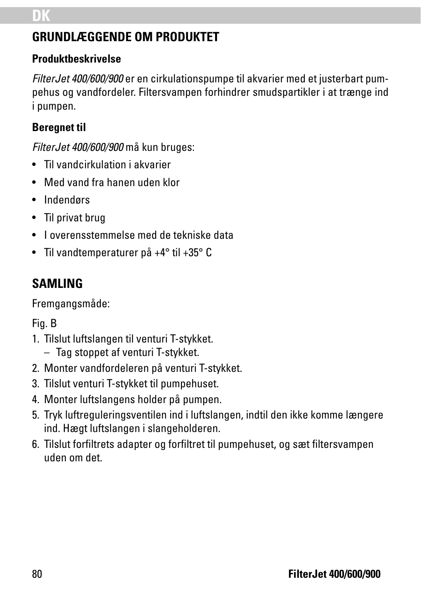# **GRUNDLÆGGENDE OM PRODUKTET**

#### **Produktbeskrivelse**

*FilterJet 400/600/900* er en cirkulationspumpe til akvarier med et justerbart pumpehus og vandfordeler. Filtersvampen forhindrer smudspartikler i at trænge ind i pumpen.

#### **Beregnet til**

*FilterJet 400/600/900* må kun bruges:

- Til vandcirkulation i akvarier
- Med vand fra hanen uden klor
- Indendørs
- Til privat brug
- I overensstemmelse med de tekniske data
- Til vandtemperaturer på +4° til +35° C

# **SAMLING**

Fremgangsmåde:

#### Fig. B

- 1. Tilslut luftslangen til venturi T-stykket.
	- Tag stoppet af venturi T-stykket.
- 2. Monter vandfordeleren på venturi T-stykket.
- 3. Tilslut venturi T-stykket til pumpehuset.
- 4. Monter luftslangens holder på pumpen.
- 5. Tryk luftreguleringsventilen ind i luftslangen, indtil den ikke komme længere ind. Hægt luftslangen i slangeholderen.
- 6. Tilslut forfiltrets adapter og forfiltret til pumpehuset, og sæt filtersvampen uden om det.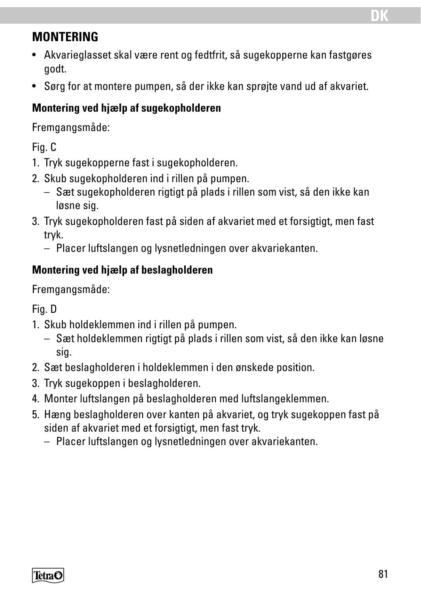### **MONTERING**

- Akvarieglasset skal være rent og fedtfrit, så sugekopperne kan fastgøres godt.
- Sørg for at montere pumpen, så der ikke kan sprøjte vand ud af akvariet.

#### **Montering ved hjælp af sugekopholderen**

Fremgangsmåde:

Fig. C

- 1. Tryk sugekopperne fast i sugekopholderen.
- 2. Skub sugekopholderen ind i rillen på pumpen.
	- Sæt sugekopholderen rigtigt på plads i rillen som vist, så den ikke kan løsne sig.
- 3. Tryk sugekopholderen fast på siden af akvariet med et forsigtigt, men fast tryk.
	- Placer luftslangen og lysnetledningen over akvariekanten.

#### **Montering ved hjælp af beslagholderen**

Fremgangsmåde:

Fig. D

- 1. Skub holdeklemmen ind i rillen på pumpen.
	- Sæt holdeklemmen rigtigt på plads i rillen som vist, så den ikke kan løsne sig.
- 2. Sæt beslagholderen i holdeklemmen i den ønskede position.
- 3. Tryk sugekoppen i beslagholderen.
- 4. Monter luftslangen på beslagholderen med luftslangeklemmen.
- 5. Hæng beslagholderen over kanten på akvariet, og tryk sugekoppen fast på siden af akvariet med et forsigtigt, men fast tryk.
	- Placer luftslangen og lysnetledningen over akvariekanten.

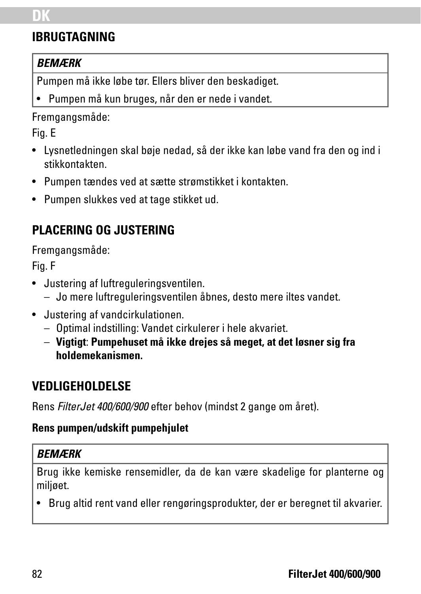# **DK**

# **IBRUGTAGNING**

#### *BEMÆRK*

Pumpen må ikke løbe tør. Ellers bliver den beskadiget.

• Pumpen må kun bruges, når den er nede i vandet.

Fremgangsmåde:

Fig. E

- Lysnetledningen skal bøje nedad, så der ikke kan løbe vand fra den og ind i stikkontakten.
- Pumpen tændes ved at sætte strømstikket i kontakten.
- Pumpen slukkes ved at tage stikket ud.

# **PLACERING OG JUSTERING**

Fremgangsmåde:

Fig. F

- Justering af luftreguleringsventilen.
	- Jo mere luftreguleringsventilen åbnes, desto mere iltes vandet.
- Justering af vandcirkulationen.
	- Optimal indstilling: Vandet cirkulerer i hele akvariet.
	- **Vigtigt**: **Pumpehuset må ikke drejes så meget, at det løsner sig fra holdemekanismen.**

## **VEDLIGEHOLDELSE**

Rens *FilterJet 400/600/900* efter behov (mindst 2 gange om året).

#### **Rens pumpen/udskift pumpehjulet**

#### *BEMÆRK*

Brug ikke kemiske rensemidler, da de kan være skadelige for planterne og miljøet.

• Brug altid rent vand eller rengøringsprodukter, der er beregnet til akvarier.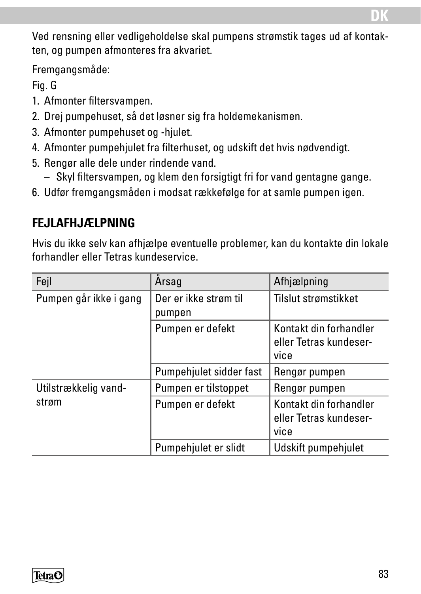Ved rensning eller vedligeholdelse skal pumpens strømstik tages ud af kontakten, og pumpen afmonteres fra akvariet.

Fremgangsmåde:

Fig. G

- 1. Afmonter filtersvampen.
- 2. Drej pumpehuset, så det løsner sig fra holdemekanismen.
- 3. Afmonter pumpehuset og -hjulet.
- 4. Afmonter pumpehjulet fra filterhuset, og udskift det hvis nødvendigt.
- 5. Rengør alle dele under rindende vand.
	- Skyl filtersvampen, og klem den forsigtigt fri for vand gentagne gange.
- 6. Udfør fremgangsmåden i modsat rækkefølge for at samle pumpen igen.

## **FEJLAFHJÆLPNING**

Hvis du ikke selv kan afhjælpe eventuelle problemer, kan du kontakte din lokale forhandler eller Tetras kundeservice.

| Fejl                   | Arsag                                                                        | Afhjælpning                                              |
|------------------------|------------------------------------------------------------------------------|----------------------------------------------------------|
| Pumpen går ikke i gang | Der er ikke strøm til<br>pumpen                                              | Tilslut strømstikket                                     |
|                        | Kontakt din forhandler<br>Pumpen er defekt<br>eller Tetras kundeser-<br>vice |                                                          |
|                        | Pumpehjulet sidder fast                                                      | Rengør pumpen                                            |
| Utilstrækkelig vand-   | Pumpen er tilstoppet                                                         | Rengør pumpen                                            |
| strøm                  | Pumpen er defekt                                                             | Kontakt din forhandler<br>eller Tetras kundeser-<br>vice |
|                        | Pumpehjulet er slidt                                                         | Udskift pumpehjulet                                      |

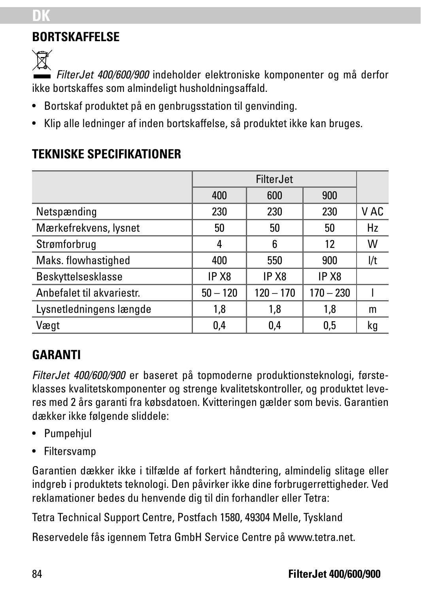# **BORTSKAFFELSE**

Ñ

**DK**

*FilterJet 400/600/900* indeholder elektroniske komponenter og må derfor ikke bortskaffes som almindeligt husholdningsaffald.

- Bortskaf produktet på en genbrugsstation til genvinding.
- Klip alle ledninger af inden bortskaffelse, så produktet ikke kan bruges.

|                           | FilterJet  |                   |             |      |
|---------------------------|------------|-------------------|-------------|------|
|                           | 400        | 600               | 900         |      |
| Netspænding               | 230        | 230               | 230         | V AC |
| Mærkefrekvens, lysnet     | 50         | 50                | 50          | Hz   |
| Strømforbrug              | 4          | 6                 | 12          | W    |
| Maks. flowhastighed       | 400        | 550               | 900         | l/t  |
| Beskyttelsesklasse        | IP X8      | IP X <sub>8</sub> | IP X8       |      |
| Anbefalet til akvariestr. | $50 - 120$ | $120 - 170$       | $170 - 230$ |      |
| Lysnetledningens længde   | 1,8        | 1,8               | 1,8         | m    |
| Vægt                      | 0,4        | 0,4               | 0.5         | kg   |

## **TEKNISKE SPECIFIKATIONER**

# **GARANTI**

*FilterJet 400/600/900* er baseret på topmoderne produktionsteknologi, førsteklasses kvalitetskomponenter og strenge kvalitetskontroller, og produktet leveres med 2 års garanti fra købsdatoen. Kvitteringen gælder som bevis. Garantien dækker ikke følgende sliddele:

- Pumpehjul
- Filtersvamp

Garantien dækker ikke i tilfælde af forkert håndtering, almindelig slitage eller indgreb i produktets teknologi. Den påvirker ikke dine forbrugerrettigheder. Ved reklamationer bedes du henvende dig til din forhandler eller Tetra:

Tetra Technical Support Centre, Postfach 1580, 49304 Melle, Tyskland

Reservedele fås igennem Tetra GmbH Service Centre på www.tetra.net.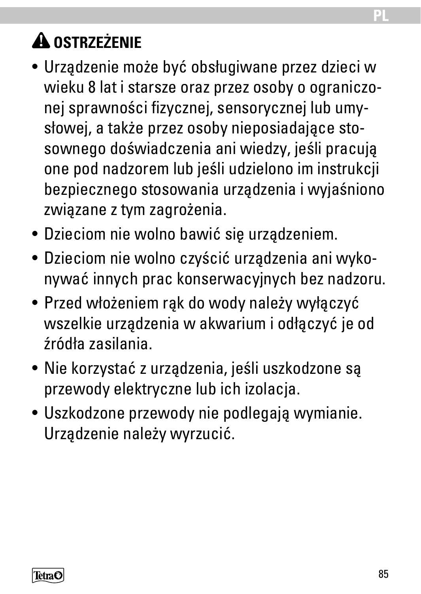# **A** OSTRZEŻENIE

- Urządzenie może być obsługiwane przez dzieci w wieku 8 lat i starsze oraz przez osoby o ograniczonej sprawności fizycznej, sensorycznej lub umysłowej, a także przez osoby nieposiadające stosownego doświadczenia ani wiedzy, jeśli pracują one pod nadzorem lub jeśli udzielono im instrukcji bezpiecznego stosowania urządzenia i wyjaśniono związane z tym zagrożenia.
- Dzieciom nie wolno bawić się urządzeniem.
- Dzieciom nie wolno czyścić urządzenia ani wykonywać innych prac konserwacyjnych bez nadzoru.
- Przed włożeniem rąk do wody należy wyłączyć wszelkie urządzenia w akwarium i odłączyć je od źródła zasilania.
- Nie korzystać z urządzenia, jeśli uszkodzone są przewody elektryczne lub ich izolacja.
- Uszkodzone przewody nie podlegają wymianie. Urządzenie należy wyrzucić.

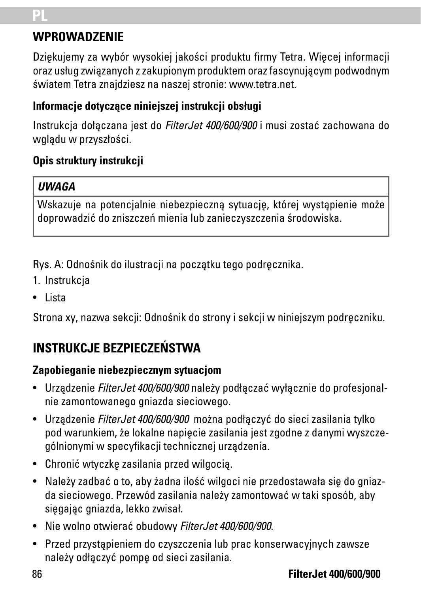# **PL**

## **WPROWADZENIE**

Dziękujemy za wybór wysokiej jakości produktu firmy Tetra. Więcej informacji oraz usług związanych z zakupionym produktem oraz fascynującym podwodnym światem Tetra znajdziesz na naszej stronie: www.tetra.net.

#### **Informacje dotyczące niniejszej instrukcji obsługi**

Instrukcja dołączana jest do *FilterJet 400/600/900* i musi zostać zachowana do wglądu w przyszłości.

#### **Opis struktury instrukcji**

#### *UWAGA*

Wskazuje na potencjalnie niebezpieczną sytuację, której wystąpienie może doprowadzić do zniszczeń mienia lub zanieczyszczenia środowiska.

Rys. A: Odnośnik do ilustracji na początku tego podręcznika.

- 1. Instrukcja
- Lista

Strona xy, nazwa sekcji: Odnośnik do strony i sekcji w niniejszym podręczniku.

# **INSTRUKCJE BEZPIECZEŃSTWA**

### **Zapobieganie niebezpiecznym sytuacjom**

- Urządzenie *FilterJet 400/600/900* należy podłączać wyłącznie do profesjonalnie zamontowanego gniazda sieciowego.
- Urządzenie *FilterJet 400/600/900* można podłączyć do sieci zasilania tylko pod warunkiem, że lokalne napięcie zasilania jest zgodne z danymi wyszczególnionymi w specyfikacji technicznej urządzenia.
- Chronić wtyczkę zasilania przed wilgocią.
- Należy zadbać o to, aby żadna ilość wilgoci nie przedostawała się do gniazda sieciowego. Przewód zasilania należy zamontować w taki sposób, aby sięgając gniazda, lekko zwisał.
- Nie wolno otwierać obudowy *FilterJet 400/600/900*.
- Przed przystąpieniem do czyszczenia lub prac konserwacyjnych zawsze należy odłączyć pompę od sieci zasilania.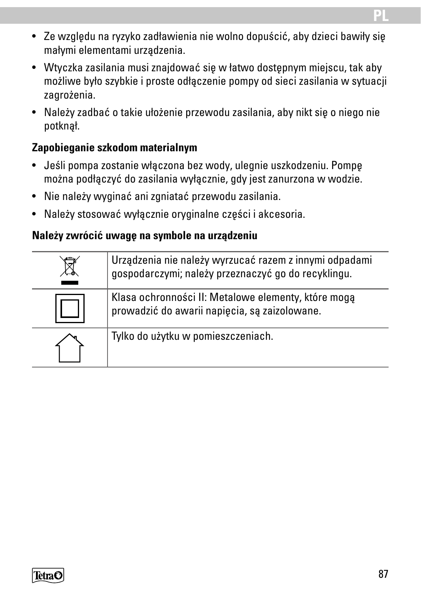- Ze względu na ryzyko zadławienia nie wolno dopuścić, aby dzieci bawiły się małymi elementami urządzenia.
- Wtyczka zasilania musi znajdować się w łatwo dostępnym miejscu, tak aby możliwe było szybkie i proste odłączenie pompy od sieci zasilania w sytuacji zagrożenia.
- Należy zadbać o takie ułożenie przewodu zasilania, aby nikt się o niego nie potknął.

#### **Zapobieganie szkodom materialnym**

- Jeśli pompa zostanie włączona bez wody, ulegnie uszkodzeniu. Pompę można podłączyć do zasilania wyłącznie, gdy jest zanurzona w wodzie.
- Nie należy wyginać ani zgniatać przewodu zasilania.
- Należy stosować wyłącznie oryginalne części i akcesoria.

#### **Należy zwrócić uwagę na symbole na urządzeniu**

| Urządzenia nie należy wyrzucać razem z innymi odpadami<br>gospodarczymi; należy przeznaczyć go do recyklingu. |
|---------------------------------------------------------------------------------------------------------------|
| Klasa ochronności II: Metalowe elementy, które mogą<br>prowadzić do awarii napięcia, są zaizolowane.          |
| Tylko do użytku w pomieszczeniach.                                                                            |

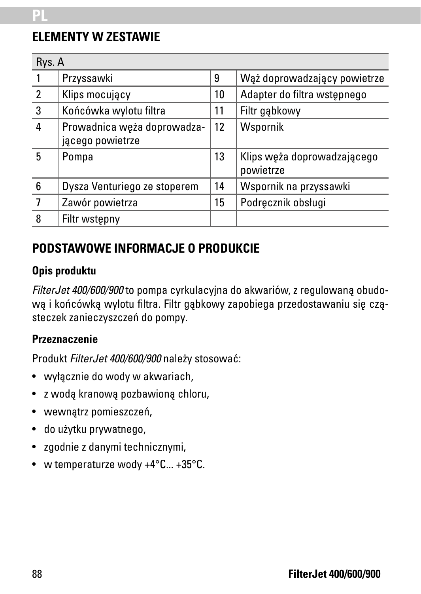### **ELEMENTY W ZESTAWIE**

| Rys. A |                                                 |    |                                          |
|--------|-------------------------------------------------|----|------------------------------------------|
|        | Przyssawki                                      | 9  | Wąż doprowadzający powietrze             |
| 2      | Klips mocujacy                                  | 10 | Adapter do filtra wstepnego              |
| 3      | Końcówka wylotu filtra                          | 11 | Filtr gabkowy                            |
| 4      | Prowadnica węża doprowadza-<br>jącego powietrze | 12 | Wspornik                                 |
| 5      | Pompa                                           | 13 | Klips weża doprowadzającego<br>powietrze |
| 6      | Dysza Venturiego ze stoperem                    | 14 | Wspornik na przyssawki                   |
|        | Zawór powietrza                                 | 15 | Podrecznik obsługi                       |
| 8      | Filtr wstępny                                   |    |                                          |

### **PODSTAWOWE INFORMACJE O PRODUKCIE**

#### **Opis produktu**

*FilterJet 400/600/900* to pompa cyrkulacyjna do akwariów, z regulowaną obudową i końcówką wylotu filtra. Filtr gąbkowy zapobiega przedostawaniu się cząsteczek zanieczyszczeń do pompy.

#### **Przeznaczenie**

Produkt *FilterJet 400/600/900* należy stosować:

- wyłącznie do wody w akwariach,
- z wodą kranową pozbawioną chloru,
- wewnątrz pomieszczeń,
- do użytku prywatnego,
- zgodnie z danymi technicznymi,
- w temperaturze wody +4°C... +35°C.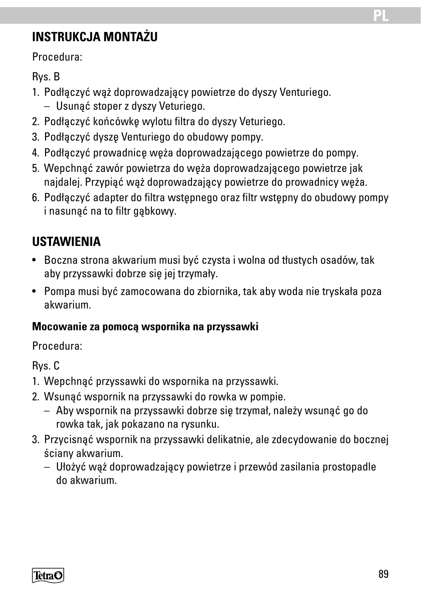# **INSTRUKCJA MONTAŻU**

Procedura:

Rys. B

- 1. Podłączyć wąż doprowadzający powietrze do dyszy Venturiego.
	- Usunąć stoper z dyszy Veturiego.
- 2. Podłączyć końcówkę wylotu filtra do dyszy Veturiego.
- 3. Podłączyć dyszę Venturiego do obudowy pompy.
- 4. Podłączyć prowadnicę węża doprowadzającego powietrze do pompy.
- 5. Wepchnąć zawór powietrza do węża doprowadzającego powietrze jak najdalej. Przypiąć wąż doprowadzający powietrze do prowadnicy węża.
- 6. Podłączyć adapter do filtra wstępnego oraz filtr wstępny do obudowy pompy i nasunąć na to filtr gąbkowy.

# **USTAWIENIA**

- Boczna strona akwarium musi być czysta i wolna od tłustych osadów, tak aby przyssawki dobrze się jej trzymały.
- Pompa musi być zamocowana do zbiornika, tak aby woda nie tryskała poza akwarium.

#### **Mocowanie za pomocą wspornika na przyssawki**

Procedura:

Rys. C

- 1. Wepchnąć przyssawki do wspornika na przyssawki.
- 2. Wsunąć wspornik na przyssawki do rowka w pompie.
	- Aby wspornik na przyssawki dobrze się trzymał, należy wsunąć go do rowka tak, jak pokazano na rysunku.
- 3. Przycisnąć wspornik na przyssawki delikatnie, ale zdecydowanie do bocznej ściany akwarium.
	- Ułożyć wąż doprowadzający powietrze i przewód zasilania prostopadle do akwarium.

TetraC

**PL**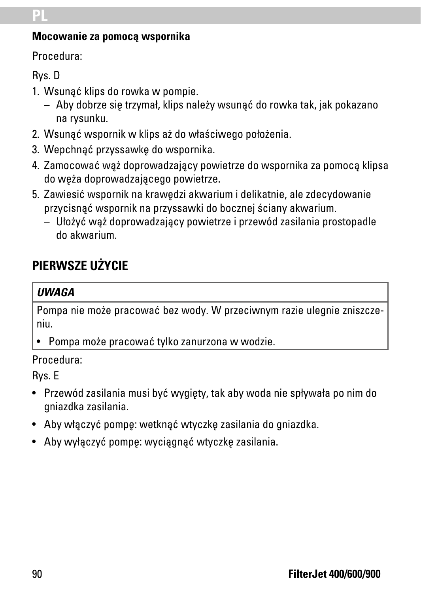# **PL**

#### **Mocowanie za pomocą wspornika**

Procedura:

Rys. D

- 1. Wsunąć klips do rowka w pompie.
	- Aby dobrze się trzymał, klips należy wsunąć do rowka tak, jak pokazano na rysunku.
- 2. Wsunąć wspornik w klips aż do właściwego położenia.
- 3. Wepchnąć przyssawkę do wspornika.
- 4. Zamocować wąż doprowadzający powietrze do wspornika za pomocą klipsa do węża doprowadzającego powietrze.
- 5. Zawiesić wspornik na krawędzi akwarium i delikatnie, ale zdecydowanie przycisnąć wspornik na przyssawki do bocznej ściany akwarium.
	- Ułożyć wąż doprowadzający powietrze i przewód zasilania prostopadle do akwarium.

# **PIERWSZE UŻYCIE**

#### *UWAGA*

Pompa nie może pracować bez wody. W przeciwnym razie ulegnie zniszczeniu.

• Pompa może pracować tylko zanurzona w wodzie.

#### Procedura:

Rys. E

- Przewód zasilania musi być wygięty, tak aby woda nie spływała po nim do gniazdka zasilania.
- Aby włączyć pompę: wetknąć wtyczkę zasilania do gniazdka.
- Aby wyłączyć pompę: wyciągnąć wtyczkę zasilania.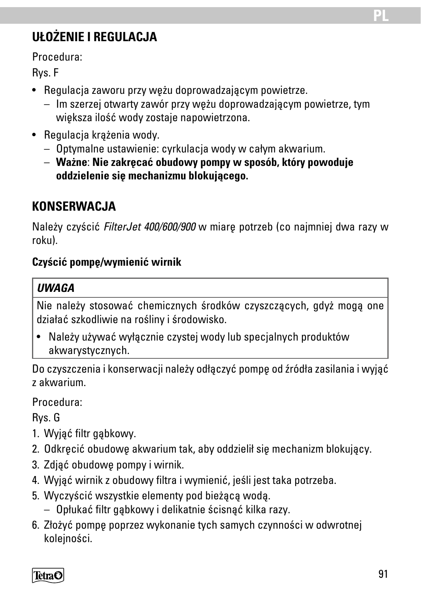# **UŁOŻENIE I REGULACJA**

Procedura:

Rys. F

- Regulacja zaworu przy wężu doprowadzającym powietrze.
	- Im szerzej otwarty zawór przy wężu doprowadzającym powietrze, tym większa ilość wody zostaje napowietrzona.
- Regulacja krążenia wody.
	- Optymalne ustawienie: cyrkulacja wody w całym akwarium.
	- **Ważne**: **Nie zakręcać obudowy pompy w sposób, który powoduje oddzielenie się mechanizmu blokującego.**

# **KONSFRWACJA**

Należy czyścić *FilterJet 400/600/900* w miarę potrzeb (co najmniej dwa razy w roku).

#### **Czyścić pompę/wymienić wirnik**

#### *UWAGA*

Nie należy stosować chemicznych środków czyszczących, gdyż mogą one działać szkodliwie na rośliny i środowisko.

• Należy używać wyłącznie czystej wody lub specjalnych produktów akwarystycznych.

Do czyszczenia i konserwacji należy odłączyć pompę od źródła zasilania i wyjąć z akwarium.

Procedura:

Rys. G

- 1. Wyjąć filtr gąbkowy.
- 2. Odkręcić obudowę akwarium tak, aby oddzielił się mechanizm blokujący.
- 3. Zdjąć obudowę pompy i wirnik.
- 4. Wyjąć wirnik z obudowy filtra i wymienić, jeśli jest taka potrzeba.
- 5. Wyczyścić wszystkie elementy pod bieżącą wodą.
	- Opłukać filtr gąbkowy i delikatnie ścisnąć kilka razy.
- 6. Złożyć pompę poprzez wykonanie tych samych czynności w odwrotnej kolejności.

TetraC

**PL**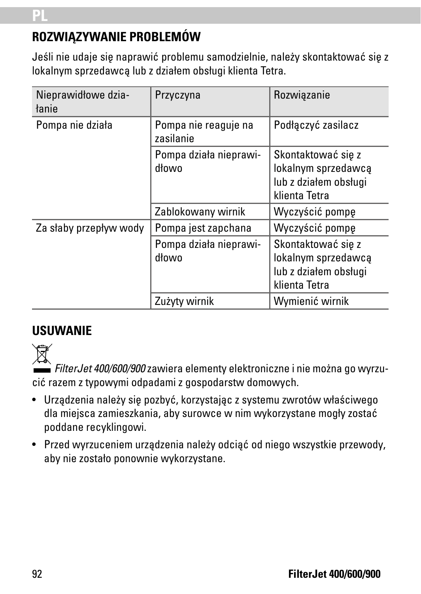# **ROZWIĄZYWANIE PROBLEMÓW**

Jeśli nie udaje się naprawić problemu samodzielnie, należy skontaktować się z lokalnym sprzedawcą lub z działem obsługi klienta Tetra.

| Nieprawidłowe dzia-<br>łanie | Przyczyna                         | Rozwiązanie                                                                         |
|------------------------------|-----------------------------------|-------------------------------------------------------------------------------------|
| Pompa nie działa             | Pompa nie reaguje na<br>zasilanie | Podłaczyć zasilacz                                                                  |
|                              | Pompa działa nieprawi-<br>dłowo   | Skontaktować się z<br>lokalnym sprzedawcą<br>lub z działem obsługi<br>klienta Tetra |
|                              | Zablokowany wirnik                | Wyczyścić pompę                                                                     |
| Za słaby przepływ wody       | Pompa jest zapchana               | Wyczyścić pompe                                                                     |
|                              | Pompa działa nieprawi-<br>dłowo   | Skontaktować się z<br>lokalnym sprzedawcą<br>lub z działem obsługi<br>klienta Tetra |
|                              | Zużyty wirnik                     | Wymienić wirnik                                                                     |

## **USUWANIE**



*FilterJet 400/600/900* zawiera elementy elektroniczne i nie można go wyrzucić razem z typowymi odpadami z gospodarstw domowych.

- Urządzenia należy się pozbyć, korzystając z systemu zwrotów właściwego dla miejsca zamieszkania, aby surowce w nim wykorzystane mogły zostać poddane recyklingowi.
- Przed wyrzuceniem urządzenia należy odciąć od niego wszystkie przewody, aby nie zostało ponownie wykorzystane.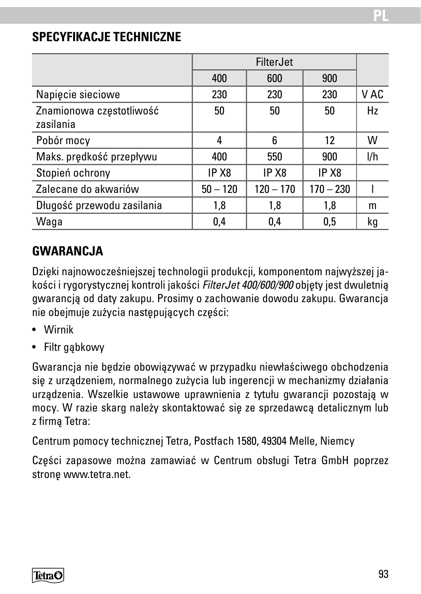#### SPECYFIKACJE TECHNICZNE

|                                       |                   | <b>FilterJet</b>  |                   |      |
|---------------------------------------|-------------------|-------------------|-------------------|------|
|                                       | 400               | 600               | 900               |      |
| Napiecie sieciowe                     | 230               | 230               | 230               | V AC |
| Znamionowa częstotliwość<br>zasilania | 50                | 50                | 50                | Hz   |
| Pobór mocy                            | 4                 | 6                 | 12                | w    |
| Maks. prędkość przepływu              | 400               | 550               | 900               | l/h  |
| Stopień ochrony                       | IP X <sub>8</sub> | IP X <sub>8</sub> | IP X <sub>8</sub> |      |
| Zalecane do akwariów                  | $50 - 120$        | $120 - 170$       | $170 - 230$       |      |
| Długość przewodu zasilania            | 1,8               | 1,8               | 1.8               | m    |
| Waqa                                  | 0.4               | 0.4               | 0.5               | kg   |

### **GWARANCJA**

Dzięki najnowoczęśniejszej technologii produkcji, komponentom najwyższej jakości i rygorystycznej kontroli jakości *FilterJet 400/600/900* objęty jest dwuletnią gwarancją od daty zakupu. Prosimy o zachowanie dowodu zakupu. Gwarancja nie obejmuje zużycia następujących części:

- Wirnik
- Filtr gąbkowy

Gwarancja nie będzie obowiązywać w przypadku niewłaściwego obchodzenia się z urządzeniem, normalnego zużycia lub ingerencji w mechanizmy działania urządzenia. Wszelkie ustawowe uprawnienia z tytułu gwarancji pozostają w mocy. W razie skarg należy skontaktować się ze sprzedawcą detalicznym lub z firmą Tetra:

Centrum pomocy technicznej Tetra, Postfach 1580, 49304 Melle, Niemcy

Części zapasowe można zamawiać w Centrum obsługi Tetra GmbH poprzez stronę www.tetra.net.

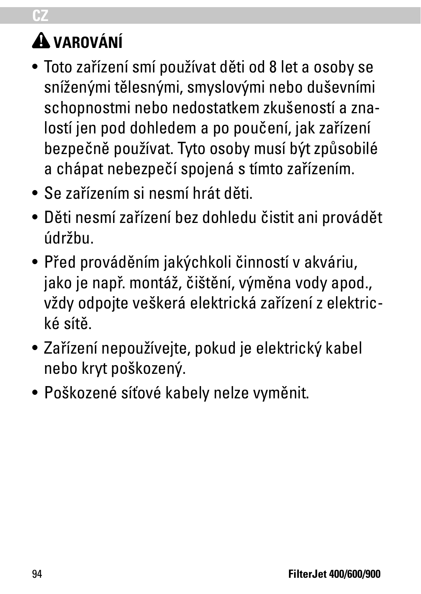# **VAROVÁNÍ**

**CZ**

- Toto zařízení smí používat děti od 8 let a osoby se sníženými tělesnými, smyslovými nebo duševními schopnostmi nebo nedostatkem zkušeností a znalostí jen pod dohledem a po poučení, jak zařízení bezpečně používat. Tyto osoby musí být způsobilé a chápat nebezpečí spojená s tímto zařízením.
- Se zařízením si nesmí hrát děti.
- Děti nesmí zařízení bez dohledu čistit ani provádět údržbu.
- Před prováděním jakýchkoli činností v akváriu, jako je např. montáž, čištění, výměna vody apod., vždy odpojte veškerá elektrická zařízení z elektrické sítě.
- Zařízení nepoužívejte, pokud je elektrický kabel nebo kryt poškozený.
- Poškozené síťové kabely nelze vyměnit.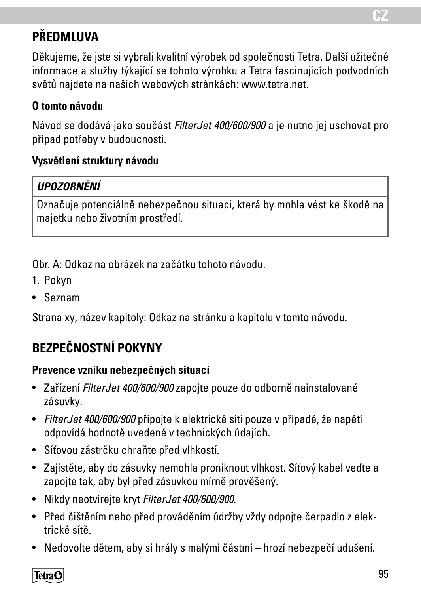# **PŘEDMLUVA**

Děkujeme, že jste si vybrali kvalitní výrobek od společnosti Tetra. Další užitečné informace a služby týkající se tohoto výrobku a Tetra fascinujících podvodních světů najdete na našich webových stránkách: www.tetra.net.

#### **O tomto návodu**

Návod se dodává jako součást *FilterJet 400/600/900* a je nutno jej uschovat pro případ potřeby v budoucnosti.

#### **Vysvětlení struktury návodu**

#### *UPOZORNĚNÍ*

Označuje potenciálně nebezpečnou situaci, která by mohla vést ke škodě na majetku nebo životním prostředí.

Obr. A: Odkaz na obrázek na začátku tohoto návodu.

- 1. Pokyn
- Seznam

Strana xy, název kapitoly: Odkaz na stránku a kapitolu v tomto návodu.

# **BEZPEČNOSTNÍ POKYNY**

#### **Prevence vzniku nebezpečných situací**

- Zařízení *FilterJet 400/600/900* zapojte pouze do odborně nainstalované zásuvky.
- *FilterJet 400/600/900* připojte k elektrické síti pouze v případě, že napětí odpovídá hodnotě uvedené v technických údajích.
- Síťovou zástrčku chraňte před vlhkostí.
- Zajistěte, aby do zásuvky nemohla proniknout vlhkost. Síťový kabel veďte a zapojte tak, aby byl před zásuvkou mírně prověšený.
- Nikdy neotvírejte kryt *FilterJet 400/600/900*.
- Před čištěním nebo před prováděním údržby vždy odpojte čerpadlo z elektrické sítě.
- Nedovolte dětem, aby si hrály s malými částmi hrozí nebezpečí udušení.

TetraO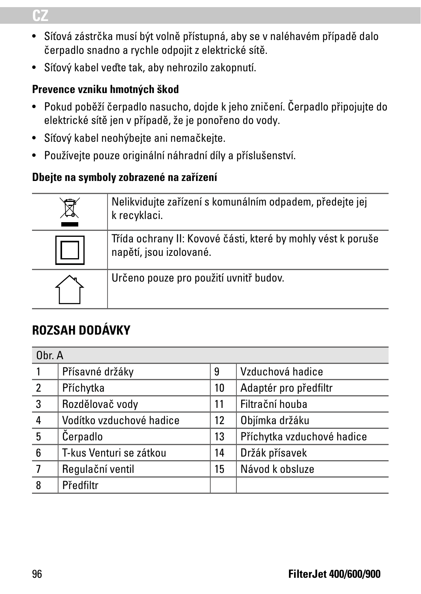### **CZ**

- Síťová zástrčka musí být volně přístupná, aby se v naléhavém případě dalo čerpadlo snadno a rychle odpojit z elektrické sítě.
- Síťový kabel veďte tak, aby nehrozilo zakopnutí.

#### **Prevence vzniku hmotných škod**

- Pokud poběží čerpadlo nasucho, dojde k jeho zničení. Čerpadlo připojujte do elektrické sítě jen v případě, že je ponořeno do vody.
- Síťový kabel neohýbejte ani nemačkejte.
- Používejte pouze originální náhradní díly a příslušenství.

#### **Dbejte na symboly zobrazené na zařízení**

| Nelikvidujte zařízení s komunálním odpadem, předejte jej<br>k recyklaci.                |
|-----------------------------------------------------------------------------------------|
| Třída ochrany II: Kovové části, které by mohly vést k poruše<br>napětí, jsou izolované. |
| Určeno pouze pro použití uvnitř budov.                                                  |

# **ROZSAH DODÁVKY**

| Obr. A         |                          |                   |                            |
|----------------|--------------------------|-------------------|----------------------------|
|                | Přísavné držáky          | 9                 | Vzduchová hadice           |
| $\overline{2}$ | Příchytka                | 10                | Adaptér pro předfiltr      |
| 3              | Rozdělovač vody          | 11                | Filtrační houba            |
| 4              | Vodítko vzduchové hadice | $12 \overline{ }$ | Objímka držáku             |
| 5              | Cerpadlo                 | 13                | Příchytka vzduchové hadice |
| 6              | T-kus Venturi se zátkou  | 14                | Držák přísavek             |
|                | Regulační ventil         | 15                | Návod k obsluze            |
| 8              | Předfiltr                |                   |                            |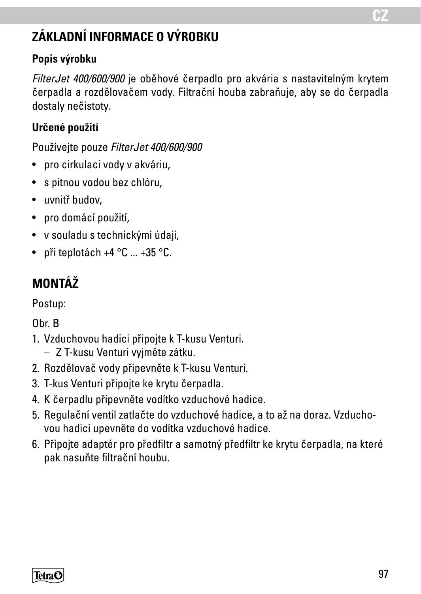# **ZÁKLADNÍ INFORMACE O VÝROBKU**

#### **Popis výrobku**

*FilterJet 400/600/900* je oběhové čerpadlo pro akvária s nastavitelným krytem čerpadla a rozdělovačem vody. Filtrační houba zabraňuje, aby se do čerpadla dostaly nečistoty.

### **Určené použití**

Používejte pouze *FilterJet 400/600/900*

- pro cirkulaci vody v akváriu,
- s pitnou vodou bez chlóru,
- uvnitř budov,
- pro domácí použití,
- v souladu s technickými údaji,
- při teplotách +4 $^{\circ}$ C  $...$  +35 $^{\circ}$ C.

# **MONTÁŽ**

Postup:

Obr. B

- 1. Vzduchovou hadici připojte k T-kusu Venturi.
	- Z T-kusu Venturi vyjměte zátku.
- 2. Rozdělovač vody připevněte k T-kusu Venturi.
- 3. T-kus Venturi připojte ke krytu čerpadla.
- 4. K čerpadlu připevněte vodítko vzduchové hadice.
- 5. Regulační ventil zatlačte do vzduchové hadice, a to až na doraz. Vzduchovou hadici upevněte do vodítka vzduchové hadice.
- 6. Připojte adaptér pro předfiltr a samotný předfiltr ke krytu čerpadla, na které pak nasuňte filtrační houbu.

**TetraC** 

**CZ**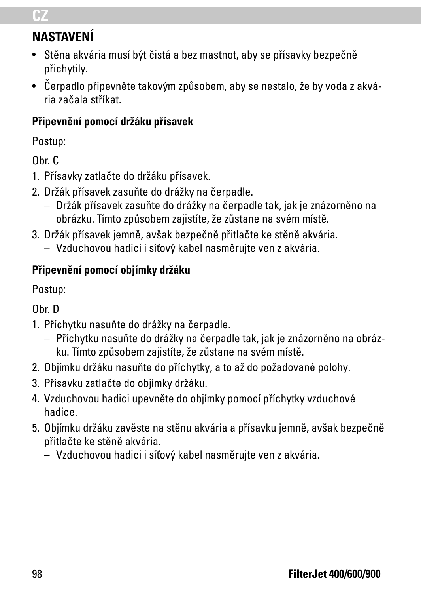### **CZ**

# **NASTAVENÍ**

- Stěna akvária musí být čistá a bez mastnot, aby se přísavky bezpečně přichytily.
- Čerpadlo připevněte takovým způsobem, aby se nestalo, že by voda z akvária začala stříkat.

#### **Připevnění pomocí držáku přísavek**

Postup:

Obr. C

- 1. Přísavky zatlačte do držáku přísavek.
- 2. Držák přísavek zasuňte do drážky na čerpadle.
	- Držák přísavek zasuňte do drážky na čerpadle tak, jak je znázorněno na obrázku. Tímto způsobem zajistíte, že zůstane na svém místě.
- 3. Držák přísavek jemně, avšak bezpečně přitlačte ke stěně akvária.
	- Vzduchovou hadici i síťový kabel nasměrujte ven z akvária.

#### **Připevnění pomocí objímky držáku**

Postup:

Obr. D

- 1. Příchytku nasuňte do drážky na čerpadle.
	- Příchytku nasuňte do drážky na čerpadle tak, jak je znázorněno na obrázku. Tímto způsobem zajistíte, že zůstane na svém místě.
- 2. Objímku držáku nasuňte do příchytky, a to až do požadované polohy.
- 3. Přísavku zatlačte do objímky držáku.
- 4. Vzduchovou hadici upevněte do objímky pomocí příchytky vzduchové hadice.
- 5. Objímku držáku zavěste na stěnu akvária a přísavku jemně, avšak bezpečně přitlačte ke stěně akvária.
	- Vzduchovou hadici i síťový kabel nasměrujte ven z akvária.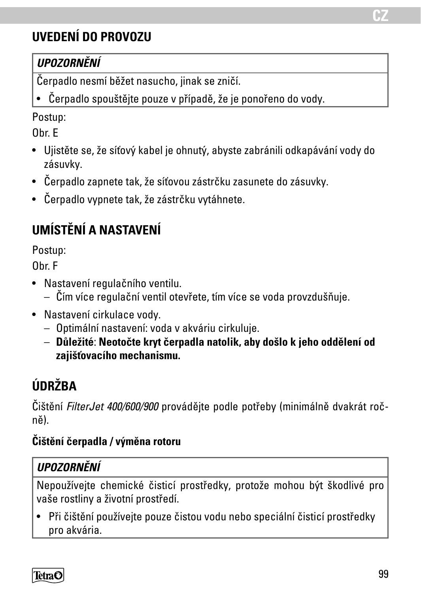# **UVEDENÍ DO PROVOZU**

### *UPOZORNĚNÍ*

Čerpadlo nesmí běžet nasucho, jinak se zničí.

• Čerpadlo spouštějte pouze v případě, že je ponořeno do vody.

Postup:

Obr. E

- Ujistěte se, že síťový kabel je ohnutý, abyste zabránili odkapávání vody do zásuvky.
- Čerpadlo zapnete tak, že síťovou zástrčku zasunete do zásuvky.
- Čerpadlo vypnete tak, že zástrčku vytáhnete.

# **UMÍSTĚNÍ A NASTAVENÍ**

Postup:

Obr. F

- Nastavení regulačního ventilu.
	- Čím více regulační ventil otevřete, tím více se voda provzdušňuje.
- Nastavení cirkulace vody.
	- Optimální nastavení: voda v akváriu cirkuluje.
	- **Důležité**: **Neotočte kryt čerpadla natolik, aby došlo k jeho oddělení od zajišťovacího mechanismu.**

# **ÚDRŽBA**

Čištění *FilterJet 400/600/900* provádějte podle potřeby (minimálně dvakrát ročně).

#### **Čištění čerpadla / výměna rotoru**

#### *UPOZORNĚNÍ*

Nepoužívejte chemické čisticí prostředky, protože mohou být škodlivé pro vaše rostliny a životní prostředí.

• Při čištění používejte pouze čistou vodu nebo speciální čisticí prostředky pro akvária.

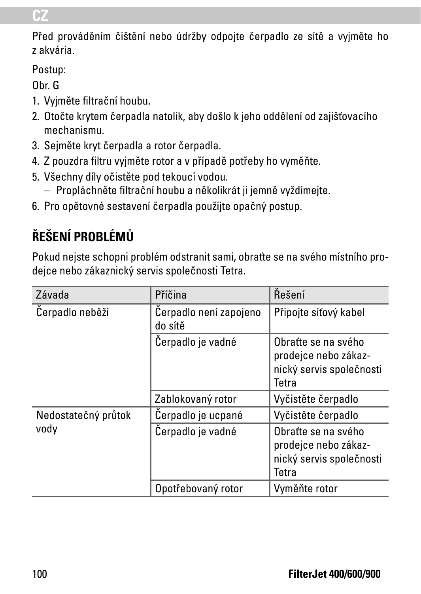#### **CZ**

Před prováděním čištění nebo údržby odpojte čerpadlo ze sítě a vyjměte ho z akvária.

Postup:

Obr. G

- 1. Vyjměte filtrační houbu.
- 2. Otočte krytem čerpadla natolik, aby došlo k jeho oddělení od zajišťovacího mechanismu.
- 3. Sejměte kryt čerpadla a rotor čerpadla.
- 4. Z pouzdra filtru vyjměte rotor a v případě potřeby ho vyměňte.
- 5. Všechny díly očistěte pod tekoucí vodou.
	- Propláchněte filtrační houbu a několikrát ji jemně vyždímejte.
- 6. Pro opětovné sestavení čerpadla použijte opačný postup.

# **ŘEŠENÍ PROBLÉMŮ**

Pokud nejste schopni problém odstranit sami, obraťte se na svého místního prodejce nebo zákaznický servis společnosti Tetra.

| Závada              | Příčina                           | Rešení                                                                           |
|---------------------|-----------------------------------|----------------------------------------------------------------------------------|
| Cerpadlo neběží     | Cerpadlo není zapojeno<br>do sítě | Připojte síťový kabel                                                            |
|                     | Čerpadlo je vadné                 | Obratte se na svého<br>prodejce nebo zákaz-<br>nický servis společnosti<br>Tetra |
|                     | Zablokovaný rotor                 | Vyčistěte čerpadlo                                                               |
| Nedostatečný průtok | Cerpadlo je ucpané                | Vyčistěte čerpadlo                                                               |
| vody                | Čerpadlo je vadné                 | Obratte se na svého<br>prodejce nebo zákaz-<br>nický servis společnosti<br>Tetra |
|                     | Opotřebovaný rotor                | Vyměňte rotor                                                                    |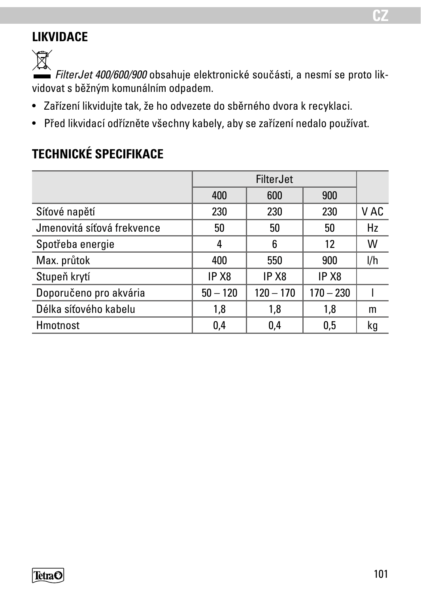# **LIKVIDACE**

 $\widehat{\mathbb{X}}$ 

*FilterJet 400/600/900* obsahuje elektronické součásti, a nesmí se proto likvidovat s běžným komunálním odpadem.

- Zařízení likvidujte tak, že ho odvezete do sběrného dvora k recyklaci.
- Před likvidací odřízněte všechny kabely, aby se zařízení nedalo používat.

# **TECHNICKÉ SPECIFIKACE**

|                            | <b>FilterJet</b>  |                   |                   |      |
|----------------------------|-------------------|-------------------|-------------------|------|
|                            | 400               | 600               | 900               |      |
| Síťové napětí              | 230               | 230               | 230               | V AC |
| Jmenovitá síťová frekvence | 50                | 50                | 50                | Hz   |
| Spotřeba energie           | 4                 | 6                 | 12                | W    |
| Max. průtok                | 400               | 550               | 900               | l/h  |
| Stupeň krytí               | IP X <sub>8</sub> | IP X <sub>8</sub> | IP X <sub>8</sub> |      |
| Doporučeno pro akvária     | $50 - 120$        | $120 - 170$       | $170 - 230$       |      |
| Délka síťového kabelu      | 1,8               | 1,8               | 1.8               | m    |
| Hmotnost                   | 0,4               | 0.4               | 0.5               | kg   |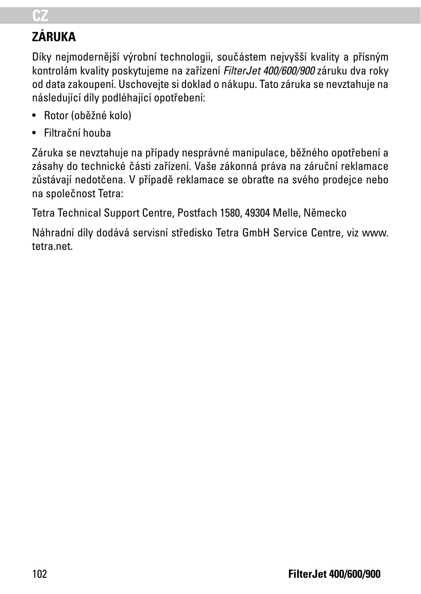#### **CZ**

# **ZÁRUKA**

Díky nejmodernější výrobní technologii, součástem nejvyšší kvality a přísným kontrolám kvality poskytujeme na zařízení *FilterJet 400/600/900* záruku dva roky od data zakoupení. Uschovejte si doklad o nákupu. Tato záruka se nevztahuje na následující díly podléhající opotřebení:

- Rotor (oběžné kolo)
- Filtrační houba

Záruka se nevztahuje na případy nesprávné manipulace, běžného opotřebení a zásahy do technické části zařízení. Vaše zákonná práva na záruční reklamace zůstávají nedotčena. V případě reklamace se obraťte na svého prodejce nebo na společnost Tetra:

Tetra Technical Support Centre, Postfach 1580, 49304 Melle, Německo

Náhradní díly dodává servisní středisko Tetra GmbH Service Centre, viz www. tetra.net.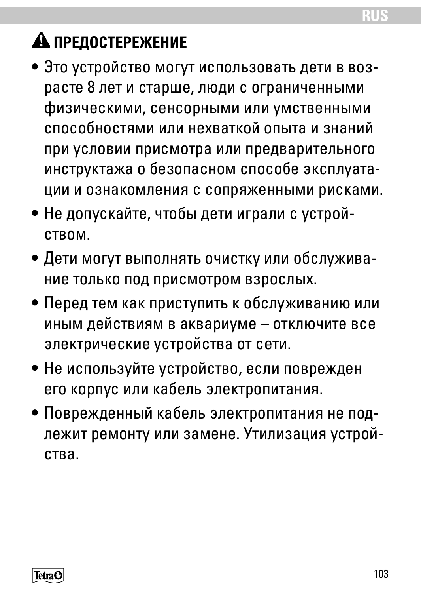# **А ПРЕДОСТЕРЕЖЕНИЕ**

- Это устройство могут использовать дети в возрасте 8 лет и старше, люди с ограниченными физическими, сенсорными или умственными способностями или нехваткой опыта и знаний при условии присмотра или предварительного инструктажа о безопасном способе эксплуатации и ознакомления с сопряженными рисками.
- Не допускайте, чтобы дети играли с устройством.
- Дети могут выполнять очистку или обслуживание только под присмотром взрослых.
- Перед тем как приступить к обслуживанию или иным действиям в аквариуме – отключите все электрические устройства от сети.
- Не используйте устройство, если поврежден его корпус или кабель электропитания.
- Поврежденный кабель электропитания не подлежит ремонту или замене. Утилизация устройства.

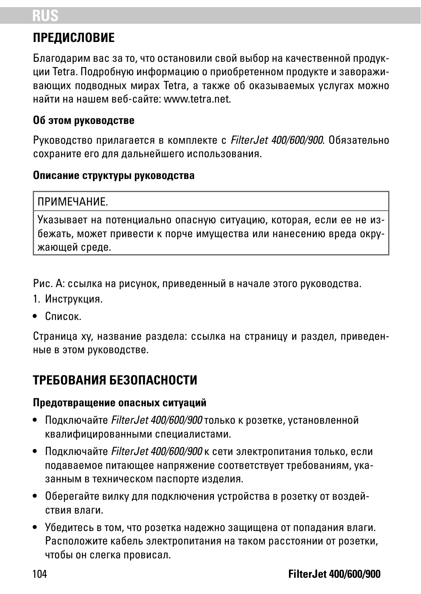# **RUS**

# **ПРЕДИСЛОВИЕ**

Благодарим вас за то, что остановили свой выбор на качественной продукции Tetra. Подробную информацию о приобретенном продукте и завораживающих подводных мирах Tetra, а также об оказываемых услугах можно найти на нашем веб-сайте: www.tetra.net.

#### **Об этом руководстве**

Руководство прилагается в комплекте с *FilterJet 400/600/900*. Обязательно сохраните его для дальнейшего использования.

#### **Описание структуры руководства**

#### ПРИМЕЧАНИЕ.

Указывает на потенциально опасную ситуацию, которая, если ее не избежать, может привести к порче имущества или нанесению вреда окружающей среде.

Рис. A: ссылка на рисунок, приведенный в начале этого руководства.

- 1. Инструкция.
- Список.

Страница xy, название раздела: ссылка на страницу и раздел, приведенные в этом руководстве.

# **ТРЕБОВАНИЯ БЕЗОПАСНОСТИ**

#### **Предотвращение опасных ситуаций**

- Подключайте *FilterJet 400/600/900* только к розетке, установленной квалифицированными специалистами.
- Подключайте *FilterJet 400/600/900* к сети электропитания только, если подаваемое питающее напряжение соответствует требованиям, указанным в техническом паспорте изделия.
- Оберегайте вилку для подключения устройства в розетку от воздействия влаги.
- Убедитесь в том, что розетка надежно защищена от попадания влаги. Расположите кабель электропитания на таком расстоянии от розетки, чтобы он слегка провисал.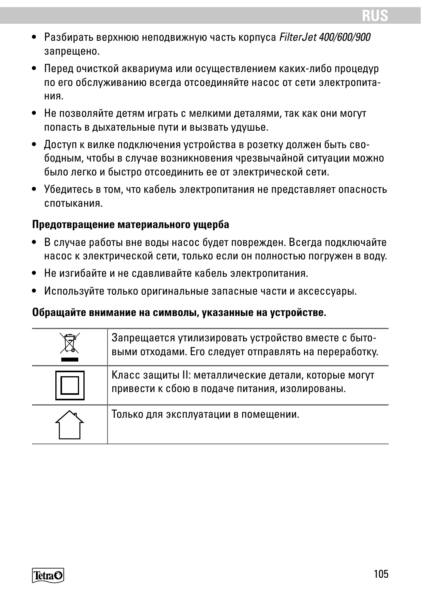- Разбирать верхнюю неподвижную часть корпуса *FilterJet 400/600/900* запрещено.
- Перед очисткой аквариума или осуществлением каких-либо процедур по его обслуживанию всегда отсоединяйте насос от сети электропитания.
- Не позволяйте детям играть с мелкими деталями, так как они могут попасть в дыхательные пути и вызвать удушье.
- Доступ к вилке подключения устройства в розетку должен быть свободным, чтобы в случае возникновения чрезвычайной ситуации можно было легко и быстро отсоединить ее от электрической сети.
- Убедитесь в том, что кабель электропитания не представляет опасность спотыкания.

#### **Предотвращение материального ущерба**

- В случае работы вне воды насос будет поврежден. Всегда подключайте насос к электрической сети, только если он полностью погружен в воду.
- Не изгибайте и не сдавливайте кабель электропитания.
- Используйте только оригинальные запасные части и аксессуары.

#### **Обращайте внимание на символы, указанные на устройстве.**

| Запрещается утилизировать устройство вместе с быто-<br>выми отходами. Его следует отправлять на переработку. |
|--------------------------------------------------------------------------------------------------------------|
| Класс защиты II: металлические детали, которые могут<br>привести к сбою в подаче питания, изолированы.       |
| Только для эксплуатации в помещении.                                                                         |

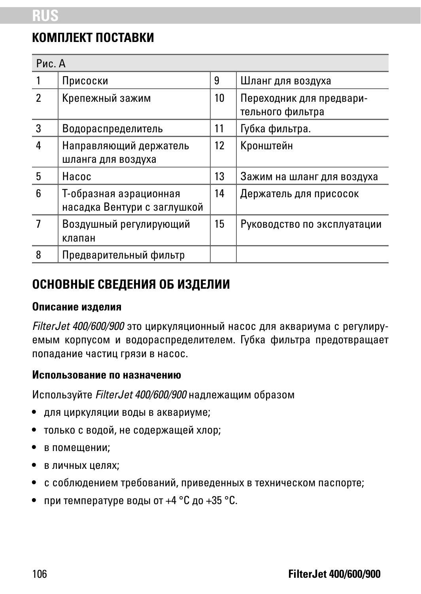### **КОМПЛЕКТ ПОСТАВКИ**

| Рис. A |                                                       |    |                                              |  |  |
|--------|-------------------------------------------------------|----|----------------------------------------------|--|--|
|        | Присоски                                              | 9  | Шланг для воздуха                            |  |  |
| 2      | Крепежный зажим                                       | 10 | Переходник для предвари-<br>тельного фильтра |  |  |
| 3      | Водораспределитель                                    | 11 | Губка фильтра.                               |  |  |
| 4      | Направляющий держатель<br>шланга для воздуха          | 12 | Кронштейн                                    |  |  |
| 5      | Hacoc                                                 | 13 | Зажим на шланг для воздуха                   |  |  |
| 6      | Т-образная аэрационная<br>насадка Вентури с заглушкой | 14 | Держатель для присосок                       |  |  |
|        | Воздушный регулирующий<br>клапан                      | 15 | Руководство по эксплуатации                  |  |  |
| 8      | Предварительный фильтр                                |    |                                              |  |  |

#### **ОСНОВНЫЕ СВЕДЕНИЯ ОБ ИЗДЕЛИИ**

#### **Описание изделия**

*FilterJet 400/600/900* это циркуляционный насос для аквариума с регулируемым корпусом и водораспределителем. Губка фильтра предотвращает попадание частиц грязи в насос.

#### **Использование по назначению**

Используйте *FilterJet 400/600/900* надлежащим образом

- для циркуляции воды в аквариуме;
- только с водой, не содержащей хлор;
- в помещении;
- в личных целях;
- с соблюдением требований, приведенных в техническом паспорте;
- при температуре воды от  $+4$  °С до  $+35$  °С.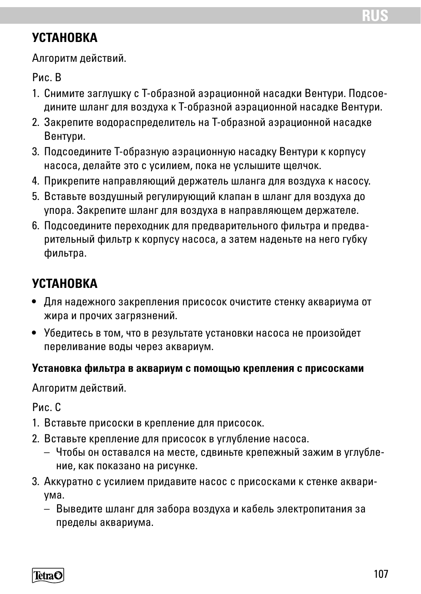### **УСТАНОВКА**

Алгоритм действий.

Рис. B

- 1. Снимите заглушку с Т-образной аэрационной насадки Вентури. Подсоедините шланг для воздуха к Т-образной аэрационной насадке Вентури.
- 2. Закрепите водораспределитель на Т-образной аэрационной насадке Вентури.
- 3. Подсоедините Т-образную аэрационную насадку Вентури к корпусу насоса, делайте это с усилием, пока не услышите щелчок.
- 4. Прикрепите направляющий держатель шланга для воздуха к насосу.
- 5. Вставьте воздушный регулирующий клапан в шланг для воздуха до упора. Закрепите шланг для воздуха в направляющем держателе.
- 6. Подсоедините переходник для предварительного фильтра и предварительный фильтр к корпусу насоса, а затем наденьте на него губку фильтра.

# **УСТАНОВКА**

- Для надежного закрепления присосок очистите стенку аквариума от жира и прочих загрязнений.
- Убедитесь в том, что в результате установки насоса не произойдет переливание воды через аквариум.

#### **Установка фильтра в аквариум с помощью крепления с присосками**

Алгоритм действий.

Рис. C

- 1. Вставьте присоски в крепление для присосок.
- 2. Вставьте крепление для присосок в углубление насоса.
	- Чтобы он оставался на месте, сдвиньте крепежный зажим в углубление, как показано на рисунке.
- 3. Аккуратно с усилием придавите насос с присосками к стенке аквариума.
	- Выведите шланг для забора воздуха и кабель электропитания за пределы аквариума.

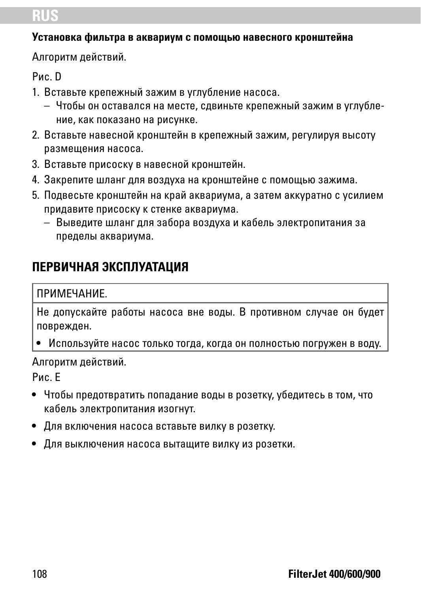# **RUS**

#### **Установка фильтра в аквариум с помощью навесного кронштейна**

Алгоритм действий.

Рис. D

- 1. Вставьте крепежный зажим в углубление насоса.
	- Чтобы он оставался на месте, сдвиньте крепежный зажим в углубление, как показано на рисунке.
- 2. Вставьте навесной кронштейн в крепежный зажим, регулируя высоту размещения насоса.
- 3. Вставьте присоску в навесной кронштейн.
- 4. Закрепите шланг для воздуха на кронштейне с помощью зажима.
- 5. Подвесьте кронштейн на край аквариума, а затем аккуратно с усилием придавите присоску к стенке аквариума.
	- Выведите шланг для забора воздуха и кабель электропитания за пределы аквариума.

# **ПЕРВИЧНАЯ ЭКСПЛУАТАЦИЯ**

#### ПРИМЕЧАНИЕ.

Не допускайте работы насоса вне воды. В противном случае он будет поврежден.

• Используйте насос только тогда, когда он полностью погружен в воду.

Алгоритм действий.

Рис. E

- Чтобы предотвратить попадание воды в розетку, убедитесь в том, что кабель электропитания изогнут.
- Для включения насоса вставьте вилку в розетку.
- Для выключения насоса вытащите вилку из розетки.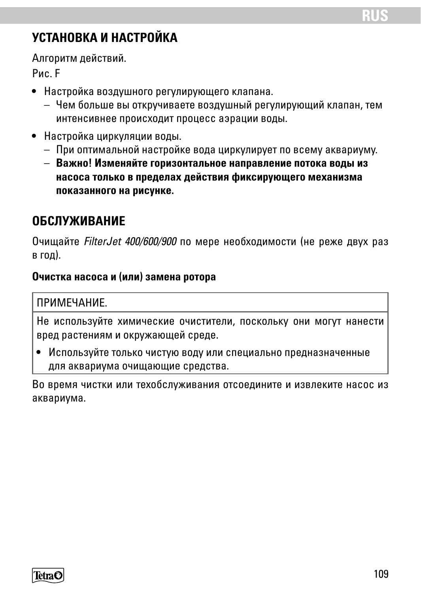# **УСТАНОВКА И НАСТРОЙКА**

Алгоритм действий.

Рис. F

- Настройка воздушного регулирующего клапана.
	- Чем больше вы откручиваете воздушный регулирующий клапан, тем интенсивнее происходит процесс аэрации воды.
- Настройка циркуляции воды.
	- При оптимальной настройке вода циркулирует по всему аквариуму.
	- **Важно! Изменяйте горизонтальное направление потока воды из насоса только в пределах действия фиксирующего механизма показанного на рисунке.**

# **ОБСЛУЖИВАНИЕ**

Очищайте *FilterJet 400/600/900* по мере необходимости (не реже двух раз в год).

#### **Очистка насоса и (или) замена ротора**

#### **ПРИМЕЧАНИЕ**

Не используйте химические очистители, поскольку они могут нанести вред растениям и окружающей среде.

• Используйте только чистую воду или специально предназначенные для аквариума очищающие средства.

Во время чистки или техобслуживания отсоедините и извлеките насос из аквариума.

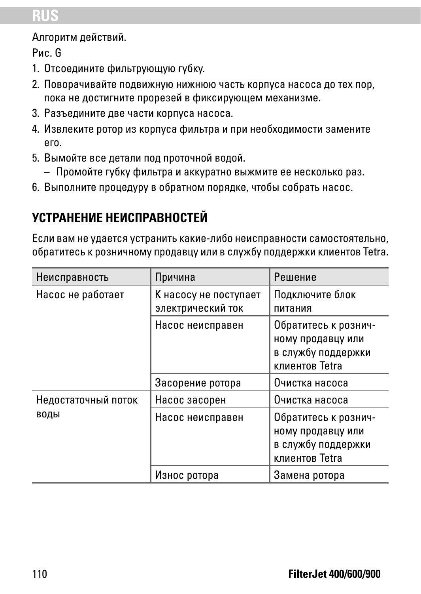# **RUS**

Алгоритм действий.

Рис. G

- 1. Отсоедините фильтрующую губку.
- 2. Поворачивайте подвижную нижнюю часть корпуса насоса до тех пор, пока не достигните прорезей в фиксирующем механизме.
- 3. Разъедините две части корпуса насоса.
- 4. Извлеките ротор из корпуса фильтра и при необходимости замените его.
- 5. Вымойте все детали под проточной водой.
	- Промойте губку фильтра и аккуратно выжмите ее несколько раз.
- 6. Выполните процедуру в обратном порядке, чтобы собрать насос.

# **УСТРАНЕНИЕ НЕИСПРАВНОСТЕЙ**

Если вам не удается устранить какие-либо неисправности самостоятельно, обратитесь к розничному продавцу или в службу поддержки клиентов Tetra.

| Неисправность       | Причина                                    | Решение                                                                           |  |
|---------------------|--------------------------------------------|-----------------------------------------------------------------------------------|--|
| Насос не работает   | К насосу не поступает<br>электрический ток | Подключите блок<br>питания                                                        |  |
|                     | Насос неисправен                           | Обратитесь к рознич-<br>ному продавцу или<br>в службу поддержки<br>клиентов Tetra |  |
|                     | Засорение ротора                           | Очистка насоса                                                                    |  |
| Недостаточный поток | Насос засорен                              | Очистка насоса                                                                    |  |
| воды                | Насос неисправен                           | Обратитесь к рознич-<br>ному продавцу или<br>в службу поддержки<br>клиентов Tetra |  |
|                     | Износ ротора                               | Замена ротора                                                                     |  |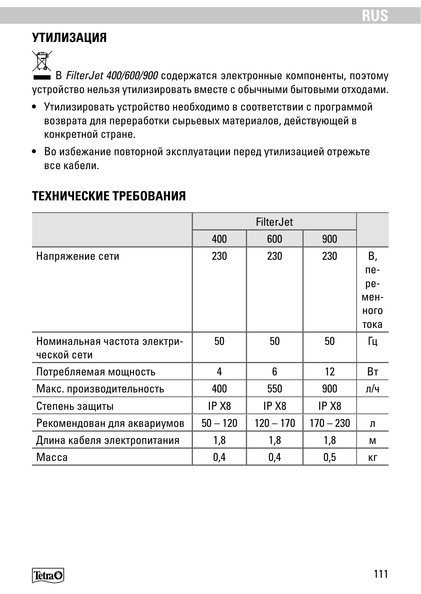# **УТИЛИЗАЦИЯ**

 $\widehat{\mathbb{N}}$  В *FilterJet 400/600/900* содержатся электронные компоненты, поэтому устройство нельзя утилизировать вместе с обычными бытовыми отходами.

- Утилизировать устройство необходимо в соответствии с программой возврата для переработки сырьевых материалов, действующей в конкретной стране.
- Во избежание повторной эксплуатации перед утилизацией отрежьте все кабели.

## **ТЕХНИЧЕСКИЕ ТРЕБОВАНИЯ**

|                              | FilterJet         |                   |                   |      |
|------------------------------|-------------------|-------------------|-------------------|------|
|                              | 400               | 600               | 900               |      |
| Напряжение сети              | 230               | 230               | 230               | В,   |
|                              |                   |                   |                   | ne-  |
|                              |                   |                   |                   | pe-  |
|                              |                   |                   |                   | мен- |
|                              |                   |                   |                   | ного |
|                              |                   |                   |                   | тока |
| Номинальная частота электри- | 50                | 50                | 50                | Гц   |
| ческой сети                  |                   |                   |                   |      |
| Потребляемая мощность        | 4                 | 6                 | 12                | Bт   |
| Макс. производительность     | 400               | 550               | 900               | л/ч  |
| Степень защиты               | IP X <sub>8</sub> | IP X <sub>8</sub> | IP X <sub>8</sub> |      |
| Рекомендован для аквариумов  | $50 - 120$        | $120 - 170$       | $170 - 230$       | л    |
| Длина кабеля электропитания  | 1,8               | 1,8               | 1,8               | м    |
| Macca                        | 0,4               | 0,4               | 0,5               | KГ   |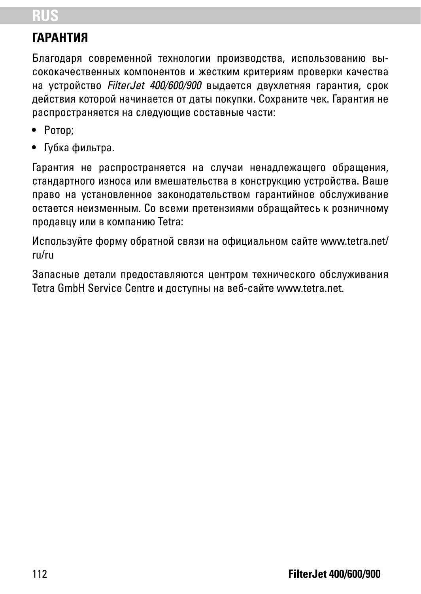# **RUS**

# **ГАРАНТИЯ**

Благодаря современной технологии производства, использованию высококачественных компонентов и жестким критериям проверки качества на устройство *FilterJet 400/600/900* выдается двухлетняя гарантия, срок действия которой начинается от даты покупки. Сохраните чек. Гарантия не распространяется на следующие составные части:

- Ротор;
- Губка фильтра.

Гарантия не распространяется на случаи ненадлежащего обращения, стандартного износа или вмешательства в конструкцию устройства. Ваше право на установленное законодательством гарантийное обслуживание остается неизменным. Со всеми претензиями обращайтесь к розничному продавцу или в компанию Tetra:

Используйте форму обратной связи на официальном сайте www.tetra.net/ ru/ru

Запасные детали предоставляются центром технического обслуживания Tetra GmbH Service Centre и доступны на веб-сайте www.tetra.net.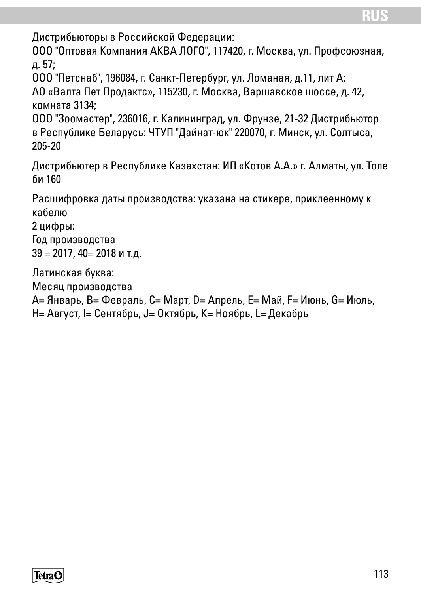Дистрибьюторы в Российской Федерации:

ООО "Оптовая Компания АКВА ЛОГО", 117420, г. Москва, ул. Профсоюзная, д. 57;

ООО "Петcнаб", 196084, г. Санкт-Петербург, ул. Ломаная, д.11, лит А; АО «Валта Пет Продактс», 115230, г. Москва, Варшавское шocce, д. 42, кoмната 3134;

ООО "Зooмacтеp", 236016, г. Калининград, ул. Фрунзе, 21-32 Дистрибьютор в Республике Беларусь: ЧТУП "Дайнат-юк" 220070, г. Минск, ул. Солтыса, 205-20

Дистрибьютер в Республике Казахстан: ИП «Котов А.А.» г. Алматы, ул. Толе би 160

Расшифровка даты производства: указана на стикере, приклеенному к кабелю

2 цифры:

Год производства 39 = 2017, 40= 2018 и т.д.

Латинская буква:

Месяц производства

A= Январь, B= Февраль, C= Март, D= Апрель, E= Май, F= Июнь, G= Июль,

H= Август, I= Сентябрь, J= Октябрь, K= Ноябрь, L= Декабрь

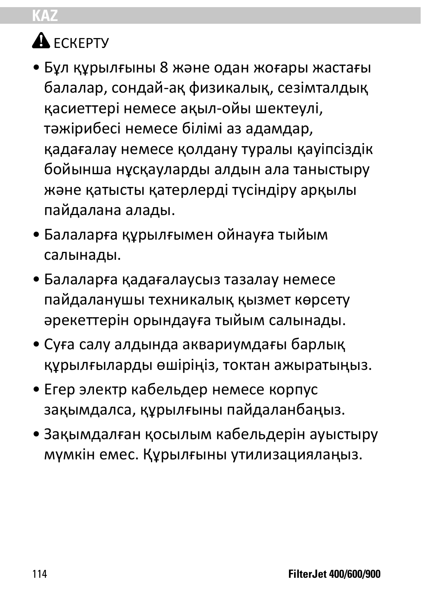# **KAZ**

# $A$  FCKFPTV

- Бұл құрылғыны 8 және одан жоғары жастағы балалар, сондай-ақ физикалық, сезімталдық қасиеттері немесе ақыл-ойы шектеулі, тәжірибесі немесе білімі аз адамдар, қадағалау немесе қолдану туралы қауіпсіздік бойынша нұсқауларды алдын ала таныстыру және қатысты қатерлерді түсіндіру арқылы пайдалана алады.
- Балаларға құрылғымен ойнауға тыйым салынады.
- Балаларға қадағалаусыз тазалау немесе пайдаланушы техникалық қызмет көрсету әрекеттерін орындауға тыйым салынады.
- Суға салу алдында аквариумдағы барлық құрылғыларды өшіріңіз, токтан ажыратыңыз.
- Егер электр кабельдер немесе корпус зақымдалса, құрылғыны пайдаланбаңыз.
- Зақымдалған қосылым кабельдерін ауыстыру мүмкін емес. Құрылғыны утилизациялаңыз.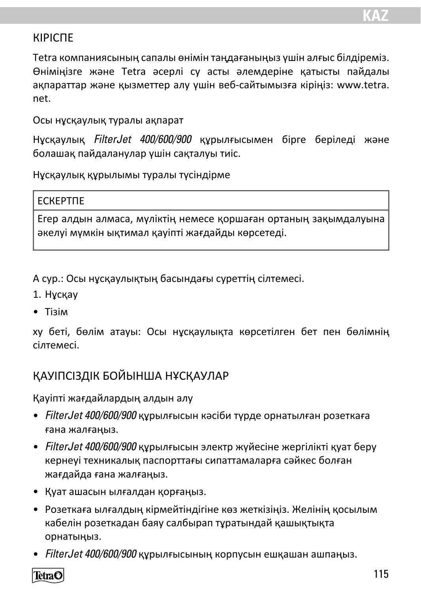## КІРІСПЕ

Tetra компаниясының сапалы өнімін таңдағаныңыз үшін алғыс білдіреміз. Өніміңізге және Tetra әсерлі су асты әлемдеріне қатысты пайдалы ақпараттар және қызметтер алу үшін веб-сайтымызға кіріңіз: www.tetra. net.

Осы нұсқаулық туралы ақпарат

Нұсқаулық *FilterJet 400/600/900* құрылғысымен бірге беріледі және болашақ пайдаланулар үшін сақталуы тиіс.

Нұсқаулық құрылымы туралы түсіндірме

#### ЕСКЕРТПЕ

Егер алдын алмаса, мүліктің немесе қоршаған ортаның зақымдалуына әкелуі мүмкін ықтимал қауіпті жағдайды көрсетеді.

А сур.: Осы нұсқаулықтың басындағы суреттің сілтемесі.

- 1. Нұсқау
- Тізім

xy беті, бөлім атауы: Осы нұсқаулықта көрсетілген бет пен бөлімнің сілтемесі.

## ҚАУІПСІЗДІК БОЙЫНША НҰСҚАУЛАР

Қауіпті жағдайлардың алдын алу

- *FilterJet 400/600/900* құрылғысын кәсіби түрде орнатылған розеткаға ғана жалғаңыз.
- *FilterJet 400/600/900* құрылғысын электр жүйесіне жергілікті қуат беру кернеуі техникалық паспорттағы сипаттамаларға сәйкес болған жағдайда ғана жалғаңыз.
- Қуат ашасын ылғалдан қорғаңыз.
- Розеткаға ылғалдың кірмейтіндігіне көз жеткізіңіз. Желінің қосылым кабелін розеткадан баяу салбырап тұратындай қашықтықта орнатыңыз.
- *FilterJet 400/600/900* құрылғысының корпусын ешқашан ашпаңыз.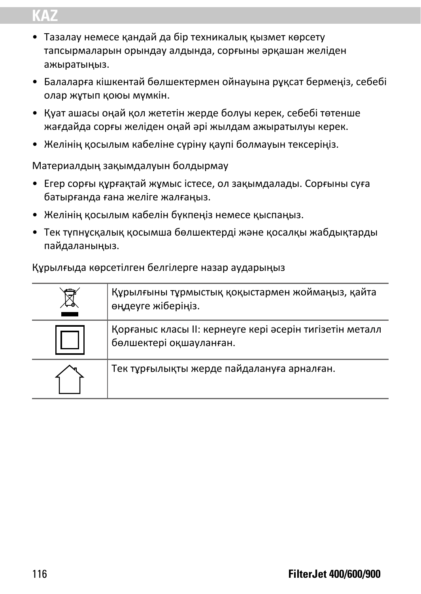# **KAZ**

- Тазалау немесе қандай да бір техникалық қызмет көрсету тапсырмаларын орындау алдында, сорғыны әрқашан желіден ажыратыңыз.
- Балаларға кішкентай бөлшектермен ойнауына рұқсат бермеңіз, себебі олар жұтып қоюы мүмкін.
- Қуат ашасы оңай қол жететін жерде болуы керек, себебі төтенше жағдайда сорғы желіден оңай әрі жылдам ажыратылуы керек.
- Желінің қосылым кабеліне сүріну қаупі болмауын тексеріңіз.

Материалдың зақымдалуын болдырмау

- Егер сорғы құрғақтай жұмыс істесе, ол зақымдалады. Сорғыны суға батырғанда ғана желіге жалғаңыз.
- Желінің қосылым кабелін бүкпеңіз немесе қыспаңыз.
- Тек түпнұсқалық қосымша бөлшектерді және қосалқы жабдықтарды пайдаланыңыз.

Құрылғыда көрсетілген белгілерге назар аударыңыз

| Құрылғыны тұрмыстық қоқыстармен жоймаңыз, қайта<br>өңдеуге жіберіңіз.               |
|-------------------------------------------------------------------------------------|
| Қорғаныс класы II: кернеуге кері әсерін тигізетін металл<br>бөлшектері оқшауланған. |
| Тек тұрғылықты жерде пайдалануға арналған.                                          |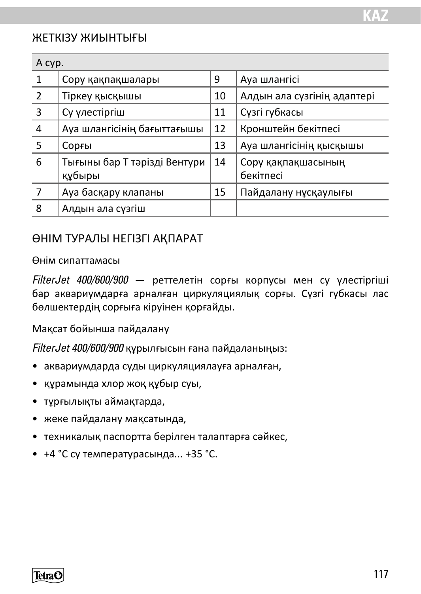### ЖЕТКІЗУ ЖИЫНТЫҒЫ

| A cyp.         |                                        |    |                                 |
|----------------|----------------------------------------|----|---------------------------------|
| 1              | Сору қақпақшалары                      | 9  | Ауа шлангісі                    |
| 2              | Тіркеу қысқышы                         | 10 | Алдын ала сүзгінің адаптері     |
| 3              | Су улестіргіш                          | 11 | Сузгі губкасы                   |
| 4              | Ауа шлангісінің бағыттағышы            | 12 | Кронштейн бекітпесі             |
| 5              | Сорғы                                  | 13 | Ауа шлангісінің қысқышы         |
| 6              | Тығыны бар Т тәрізді Вентури<br>құбыры | 14 | Сору қақпақшасының<br>бекітпесі |
| $\overline{7}$ | Ауа басқару клапаны                    | 15 | Пайдалану нұсқаулығы            |
| 8              | Алдын ала сүзгіш                       |    |                                 |

#### ӨНІМ ТУРАЛЫ НЕГІЗГІ АҚПАРАТ

#### Өнім сипаттамасы

*FilterJet 400/600/900* — реттелетін сорғы корпусы мен су үлестіргіші бар аквариумдарға арналған циркуляциялық сорғы. Сүзгі губкасы лас бөлшектердің сорғыға кіруінен қорғайды.

Мақсат бойынша пайдалану

*FilterJet 400/600/900* құрылғысын ғана пайдаланыңыз:

- аквариумдарда суды циркуляциялауға арналған,
- құрамында хлор жоқ құбыр суы,
- тұрғылықты аймақтарда,
- жеке пайдалану мақсатында,
- техникалық паспортта берілген талаптарға сәйкес,
- +4 °С су температурасында... +35 °С.

TetraC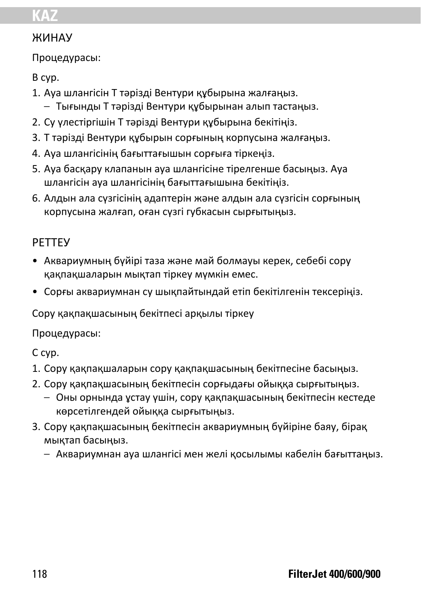# **KAZ**

## ЖИНАУ

Процедурасы:

В сур.

- 1. Ауа шлангісін Т тәрізді Вентури құбырына жалғаңыз.
	- Тығынды Т тәрізді Вентури құбырынан алып тастаңыз.
- 2. Су үлестіргішін Т тәрізді Вентури құбырына бекітіңіз.
- 3. Т тәрізді Вентури құбырын сорғының корпусына жалғаңыз.
- 4. Ауа шлангісінің бағыттағышын сорғыға тіркеңіз.
- 5. Ауа басқару клапанын ауа шлангісіне тірелгенше басыңыз. Ауа шлангісін ауа шлангісінің бағыттағышына бекітіңіз.
- 6. Алдын ала сүзгісінің адаптерін және алдын ала сүзгісін сорғының корпусына жалғап, оған сүзгі губкасын сырғытыңыз.

# РЕТТЕУ

- Аквариумның бүйірі таза және май болмауы керек, себебі сору қақпақшаларын мықтап тіркеу мүмкін емес.
- Сорғы аквариумнан су шықпайтындай етіп бекітілгенін тексеріңіз.

Сору қақпақшасының бекітпесі арқылы тіркеу

Процедурасы:

С сур.

- 1. Сору қақпақшаларын сору қақпақшасының бекітпесіне басыңыз.
- 2. Сору қақпақшасының бекітпесін сорғыдағы ойыққа сырғытыңыз.
	- Оны орнында ұстау үшін, сору қақпақшасының бекітпесін кестеде көрсетілгендей ойыққа сырғытыңыз.
- 3. Сору қақпақшасының бекітпесін аквариумның бүйіріне баяу, бірақ мықтап басыңыз.
	- Аквариумнан ауа шлангісі мен желі қосылымы кабелін бағыттаңыз.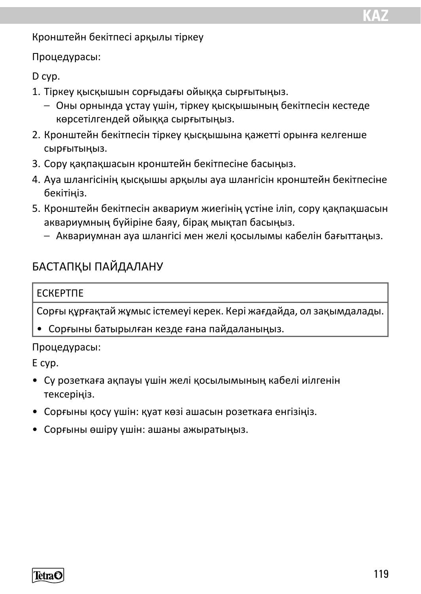Кронштейн бекітпесі арқылы тіркеу

Процедурасы:

D сур.

- 1. Тіркеу қысқышын сорғыдағы ойыққа сырғытыңыз.
	- Оны орнында ұстау үшін, тіркеу қысқышының бекітпесін кестеде көрсетілгендей ойыққа сырғытыңыз.
- 2. Кронштейн бекітпесін тіркеу қысқышына қажетті орынға келгенше сырғытыңыз.
- 3. Сору қақпақшасын кронштейн бекітпесіне басыңыз.
- 4. Ауа шлангісінің қысқышы арқылы ауа шлангісін кронштейн бекітпесіне бекітіңіз.
- 5. Кронштейн бекітпесін аквариум жиегінің үстіне іліп, сору қақпақшасын аквариумның бүйіріне баяу, бірақ мықтап басыңыз.
	- Аквариумнан ауа шлангісі мен желі қосылымы кабелін бағыттаңыз.

## БАСТАПҚЫ ПАЙДАЛАНУ

#### ЕСКЕРТПЕ

Сорғы құрғақтай жұмыс істемеуі керек. Кері жағдайда, ол зақымдалады.

• Сорғыны батырылған кезде ғана пайдаланыңыз.

#### Процедурасы:

E сур.

- Су розеткаға ақпауы үшін желі қосылымының кабелі иілгенін тексеріңіз.
- Сорғыны қосу үшін: қуат көзі ашасын розеткаға енгізіңіз.
- Сорғыны өшіру үшін: ашаны ажыратыңыз.

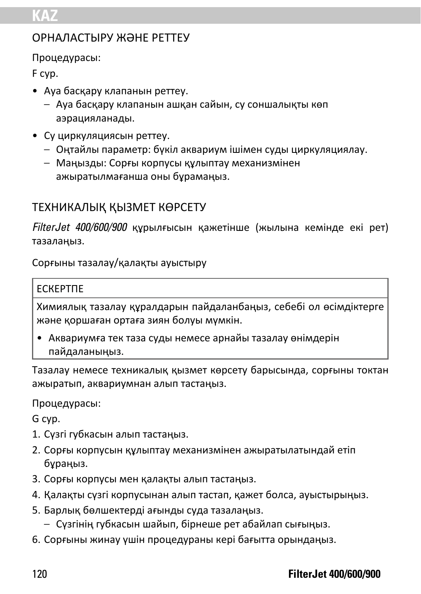## ОРНАЛАСТЫРУ ЖӘНЕ РЕТТЕУ

Процедурасы:

F сур.

- Ауа басқару клапанын реттеу.
	- Ауа басқару клапанын ашқан сайын, су соншалықты көп аэрацияланады.
- Су циркуляциясын реттеу.
	- Оңтайлы параметр: бүкіл аквариум ішімен суды циркуляциялау.
	- Маңызды: Сорғы корпусы құлыптау механизмінен ажыратылмағанша оны бұрамаңыз.

# ТЕХНИКАЛЫҚ ҚЫЗМЕТ КӨРСЕТУ

*FilterJet 400/600/900* құрылғысын қажетінше (жылына кемінде екі рет) тазалаңыз.

Сорғыны тазалау/қалақты ауыстыру

#### ЕСКЕРТПЕ

Химиялық тазалау құралдарын пайдаланбаңыз, себебі ол өсімдіктерге және қоршаған ортаға зиян болуы мүмкін.

• Аквариумға тек таза суды немесе арнайы тазалау өнімдерін пайдаланыңыз.

Тазалау немесе техникалық қызмет көрсету барысында, сорғыны токтан ажыратып, аквариумнан алып тастаңыз.

Процедурасы:

G сур.

- 1. Сүзгі губкасын алып тастаңыз.
- 2. Сорғы корпусын құлыптау механизмінен ажыратылатындай етіп бұраңыз.
- 3. Сорғы корпусы мен қалақты алып тастаңыз.
- 4. Қалақты сүзгі корпусынан алып тастап, қажет болса, ауыстырыңыз.
- 5. Барлық бөлшектерді ағынды суда тазалаңыз.
	- Сүзгінің губкасын шайып, бірнеше рет абайлап сығыңыз.
- 6. Сорғыны жинау үшін процедураны кері бағытта орындаңыз.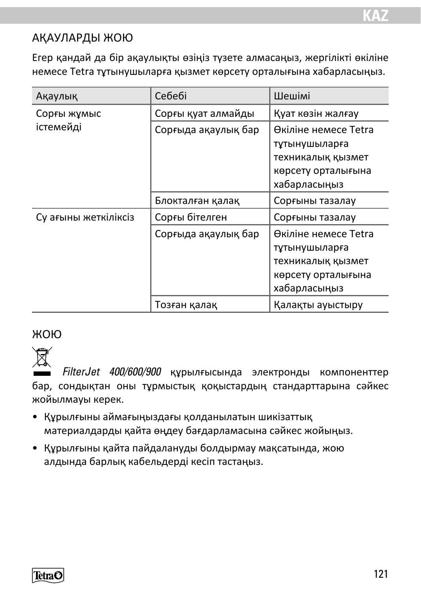## АҚАУЛАРДЫ ЖОЮ

Егер қандай да бір ақаулықты өзіңіз түзете алмасаңыз, жергілікті өкіліне немесе Tetra тұтынушыларға қызмет көрсету орталығына хабарласыңыз.

| Ақаулық              | Себебі              | Шешімі                                                                                           |  |
|----------------------|---------------------|--------------------------------------------------------------------------------------------------|--|
| Сорғы жұмыс          | Сорғы қуат алмайды  | Қуат көзін жалғау                                                                                |  |
| істемейді            | Сорғыда ақаулық бар | Өкіліне немесе Tetra<br>тұтынушыларға<br>техникалық қызмет<br>көрсету орталығына<br>хабарласыңыз |  |
|                      | Блокталған қалақ    | Сорғыны тазалау                                                                                  |  |
| Су ағыны жеткіліксіз | Сорғы бітелген      | Сорғыны тазалау                                                                                  |  |
|                      | Сорғыда ақаулық бар | Өкіліне немесе Tetra<br>тұтынушыларға<br>техникалық қызмет<br>көрсету орталығына<br>хабарласыңыз |  |
|                      | Тозған қалақ        | Қалақты ауыстыру                                                                                 |  |

# ЖОЮ



*FilterJet 400/600/900* құрылғысында электронды компоненттер бар, сондықтан оны тұрмыстық қоқыстардың стандарттарына сәйкес жойылмауы керек.

- Құрылғыны аймағыңыздағы қолданылатын шикізаттық материалдарды қайта өңдеу бағдарламасына сәйкес жойыңыз.
- Құрылғыны қайта пайдалануды болдырмау мақсатында, жою алдында барлық кабельдерді кесіп тастаңыз.

TetraC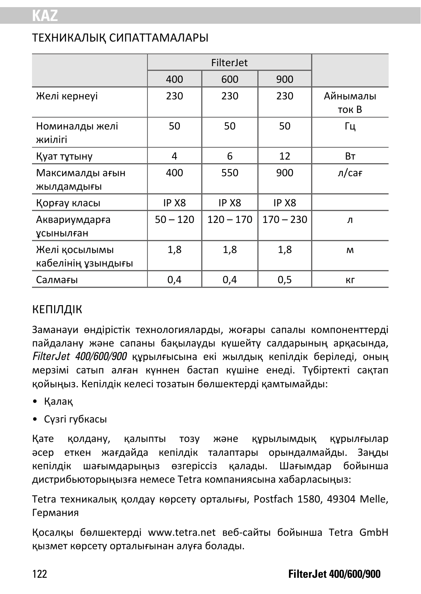## ТЕХНИКАЛЫҚ СИПАТТАМАЛАРЫ

|                                     | FilterJet  |             |             |                   |
|-------------------------------------|------------|-------------|-------------|-------------------|
|                                     | 400        | 600         | 900         |                   |
| Желі кернеуі                        | 230        | 230         | 230         | Айнымалы<br>ток В |
| Номиналды желі<br>жиілігі           | 50         | 50          | 50          | Гц                |
| Қуат тұтыну                         | 4          | 6           | 12          | Bт                |
| Максималды ағын<br>жылдамдығы       | 400        | 550         | 900         | л/сағ             |
| Қорғау класы                        | IP X8      | IP X8       | IP X8       |                   |
| Аквариумдарға<br>ұсынылған          | $50 - 120$ | $120 - 170$ | $170 - 230$ | л                 |
| Желі қосылымы<br>кабелінің ұзындығы | 1,8        | 1,8         | 1,8         | M                 |
| Салмағы                             | 0,4        | 0,4         | 0,5         | Кr                |

#### КЕПІЛДІК

Заманауи өндірістік технологияларды, жоғары сапалы компоненттерді пайдалану және сапаны бақылауды күшейту салдарының арқасында, *FilterJet 400/600/900* құрылғысына екі жылдық кепілдік беріледі, оның мерзімі сатып алған күннен бастап күшіне енеді. Түбіртекті сақтап қойыңыз. Кепілдік келесі тозатын бөлшектерді қамтымайды:

- Қалақ
- Сүзгі губкасы

Қате қолдану, қалыпты тозу және құрылымдық құрылғылар әсер еткен жағдайда кепілдік талаптары орындалмайды. Заңды кепілдік шағымдарыңыз өзгеріссіз қалады. Шағымдар бойынша дистрибьюторыңызға немесе Tetra компаниясына хабарласыңыз:

Tetra техникалық қолдау көрсету орталығы, Postfach 1580, 49304 Melle, Германия

Қосалқы бөлшектерді www.tetra.net веб-сайты бойынша Tetra GmbH қызмет көрсету орталығынан алуға болады.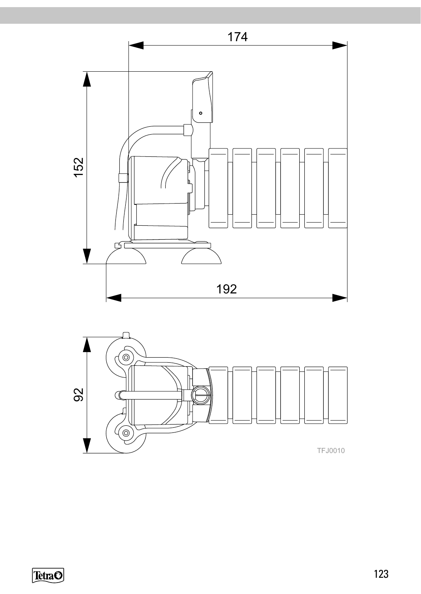



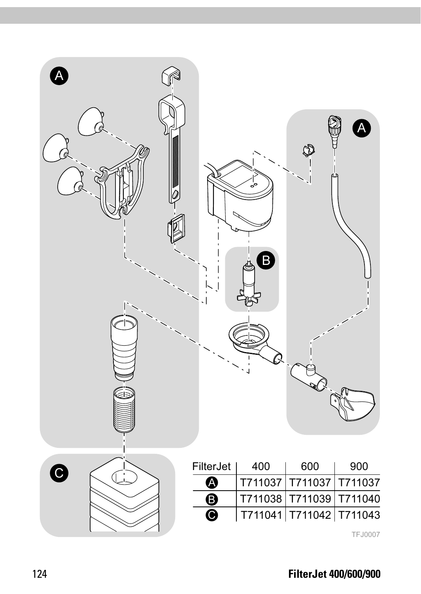